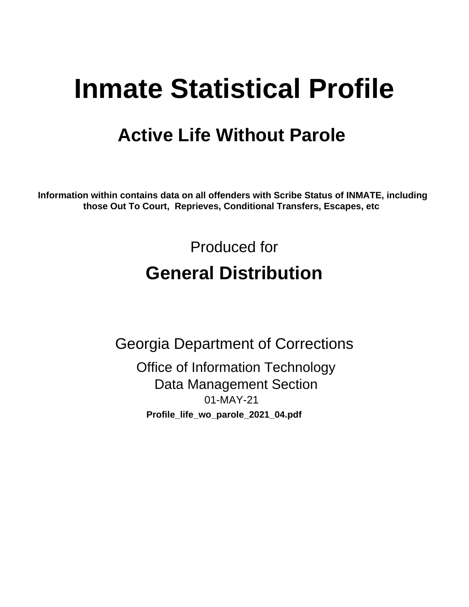# **Inmate Statistical Profile**

# **Active Life Without Parole**

Information within contains data on all offenders with Scribe Status of INMATE, including those Out To Court, Reprieves, Conditional Transfers, Escapes, etc

> Produced for **General Distribution**

**Georgia Department of Corrections Office of Information Technology Data Management Section** 01-MAY-21 Profile\_life\_wo\_parole\_2021\_04.pdf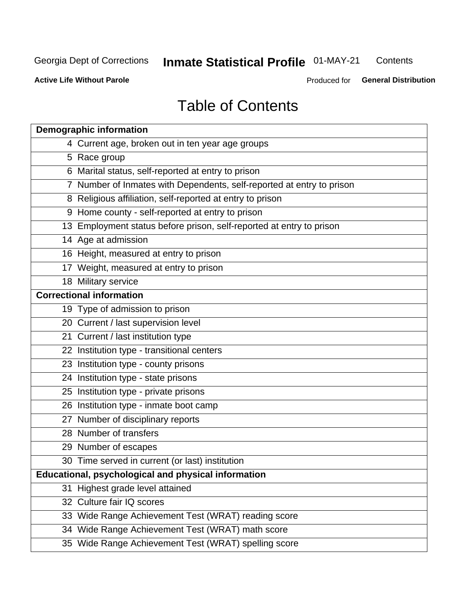#### **Inmate Statistical Profile 01-MAY-21** Contents

**Active Life Without Parole** 

Produced for General Distribution

# **Table of Contents**

|    | <b>Demographic information</b>                                        |  |  |  |  |  |
|----|-----------------------------------------------------------------------|--|--|--|--|--|
|    | 4 Current age, broken out in ten year age groups                      |  |  |  |  |  |
|    | 5 Race group                                                          |  |  |  |  |  |
|    | 6 Marital status, self-reported at entry to prison                    |  |  |  |  |  |
|    | 7 Number of Inmates with Dependents, self-reported at entry to prison |  |  |  |  |  |
|    | 8 Religious affiliation, self-reported at entry to prison             |  |  |  |  |  |
|    | 9 Home county - self-reported at entry to prison                      |  |  |  |  |  |
|    | 13 Employment status before prison, self-reported at entry to prison  |  |  |  |  |  |
|    | 14 Age at admission                                                   |  |  |  |  |  |
|    | 16 Height, measured at entry to prison                                |  |  |  |  |  |
|    | 17 Weight, measured at entry to prison                                |  |  |  |  |  |
|    | 18 Military service                                                   |  |  |  |  |  |
|    | <b>Correctional information</b>                                       |  |  |  |  |  |
|    | 19 Type of admission to prison                                        |  |  |  |  |  |
|    | 20 Current / last supervision level                                   |  |  |  |  |  |
|    | 21 Current / last institution type                                    |  |  |  |  |  |
|    | 22 Institution type - transitional centers                            |  |  |  |  |  |
|    | 23 Institution type - county prisons                                  |  |  |  |  |  |
|    | 24 Institution type - state prisons                                   |  |  |  |  |  |
|    | 25 Institution type - private prisons                                 |  |  |  |  |  |
|    | 26 Institution type - inmate boot camp                                |  |  |  |  |  |
|    | 27 Number of disciplinary reports                                     |  |  |  |  |  |
|    | 28 Number of transfers                                                |  |  |  |  |  |
|    | 29 Number of escapes                                                  |  |  |  |  |  |
|    | 30 Time served in current (or last) institution                       |  |  |  |  |  |
|    | Educational, psychological and physical information                   |  |  |  |  |  |
| 31 | Highest grade level attained                                          |  |  |  |  |  |
|    | 32 Culture fair IQ scores                                             |  |  |  |  |  |
|    | 33 Wide Range Achievement Test (WRAT) reading score                   |  |  |  |  |  |
|    | 34 Wide Range Achievement Test (WRAT) math score                      |  |  |  |  |  |
|    | 35 Wide Range Achievement Test (WRAT) spelling score                  |  |  |  |  |  |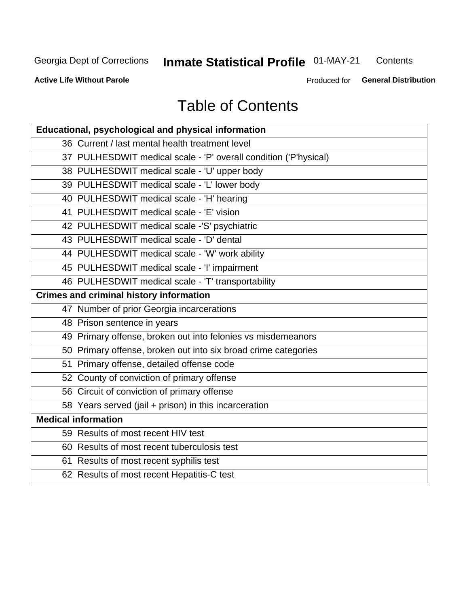# **Inmate Statistical Profile 01-MAY-21**

Contents

**Active Life Without Parole** 

Produced for General Distribution

# **Table of Contents**

| Educational, psychological and physical information              |
|------------------------------------------------------------------|
| 36 Current / last mental health treatment level                  |
| 37 PULHESDWIT medical scale - 'P' overall condition ('P'hysical) |
| 38 PULHESDWIT medical scale - 'U' upper body                     |
| 39 PULHESDWIT medical scale - 'L' lower body                     |
| 40 PULHESDWIT medical scale - 'H' hearing                        |
| 41 PULHESDWIT medical scale - 'E' vision                         |
| 42 PULHESDWIT medical scale -'S' psychiatric                     |
| 43 PULHESDWIT medical scale - 'D' dental                         |
| 44 PULHESDWIT medical scale - 'W' work ability                   |
| 45 PULHESDWIT medical scale - 'I' impairment                     |
| 46 PULHESDWIT medical scale - 'T' transportability               |
| <b>Crimes and criminal history information</b>                   |
| 47 Number of prior Georgia incarcerations                        |
| 48 Prison sentence in years                                      |
| 49 Primary offense, broken out into felonies vs misdemeanors     |
| 50 Primary offense, broken out into six broad crime categories   |
| 51 Primary offense, detailed offense code                        |
| 52 County of conviction of primary offense                       |
| 56 Circuit of conviction of primary offense                      |
| 58 Years served (jail + prison) in this incarceration            |
| <b>Medical information</b>                                       |
| 59 Results of most recent HIV test                               |
| 60 Results of most recent tuberculosis test                      |
| 61 Results of most recent syphilis test                          |
| 62 Results of most recent Hepatitis-C test                       |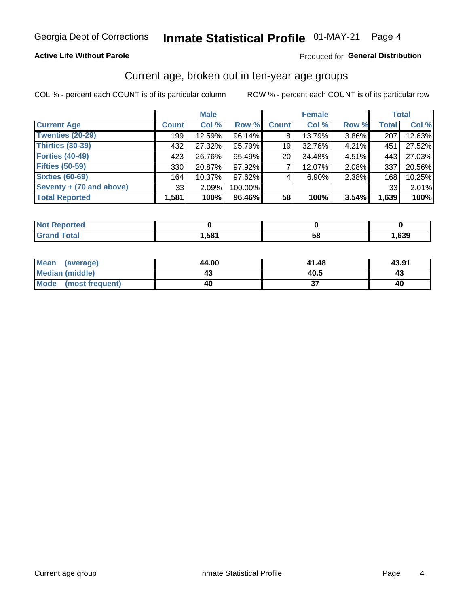#### **Active Life Without Parole**

#### Produced for General Distribution

### Current age, broken out in ten-year age groups

COL % - percent each COUNT is of its particular column

|                          | <b>Male</b>  |        |         | <b>Female</b> |        |       |              | <b>Total</b> |
|--------------------------|--------------|--------|---------|---------------|--------|-------|--------------|--------------|
| <b>Current Age</b>       | <b>Count</b> | Col %  | Row %   | <b>Count</b>  | Col %  | Row % | <b>Total</b> | Col %        |
| <b>Twenties (20-29)</b>  | 199          | 12.59% | 96.14%  | 8             | 13.79% | 3.86% | 207          | 12.63%       |
| <b>Thirties (30-39)</b>  | 432          | 27.32% | 95.79%  | 19            | 32.76% | 4.21% | 451          | 27.52%       |
| <b>Forties (40-49)</b>   | 423          | 26.76% | 95.49%  | 20            | 34.48% | 4.51% | 443          | 27.03%       |
| <b>Fifties (50-59)</b>   | 330          | 20.87% | 97.92%  |               | 12.07% | 2.08% | 337          | 20.56%       |
| <b>Sixties (60-69)</b>   | 164          | 10.37% | 97.62%  | 4             | 6.90%  | 2.38% | 168          | 10.25%       |
| Seventy + (70 and above) | 33           | 2.09%  | 100.00% |               |        |       | 33           | 2.01%        |
| <b>Total Reported</b>    | 1,581        | 100%   | 96.46%  | 58            | 100%   | 3.54% | 1,639        | 100%         |

| <b>Reported</b><br><b>NOT</b><br> |      |    |      |
|-----------------------------------|------|----|------|
| <b>Total</b><br>$\mathbf{v}$ and  | ,581 | ว๐ | ,639 |

| Mean<br>(average)              | 44.00 | 41.48 | 43.91 |
|--------------------------------|-------|-------|-------|
| <b>Median (middle)</b>         | 43    | 40.5  | 43    |
| <b>Mode</b><br>(most frequent) | 40    |       | 40    |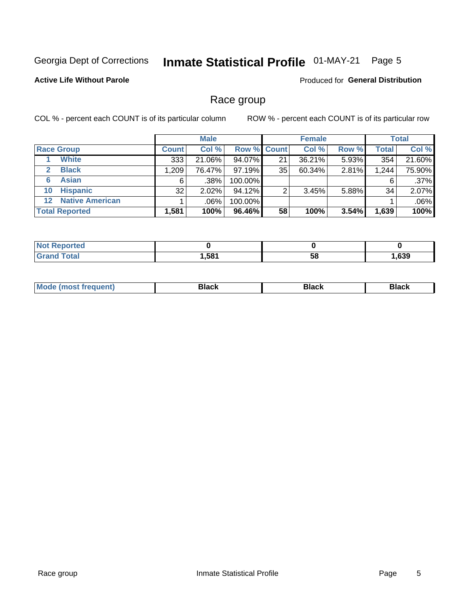#### Inmate Statistical Profile 01-MAY-21 Page 5

### **Active Life Without Parole**

**Produced for General Distribution** 

### Race group

COL % - percent each COUNT is of its particular column

|                       |                        |              | <b>Male</b> |         |                    | <b>Female</b> |       |              | <b>Total</b> |  |
|-----------------------|------------------------|--------------|-------------|---------|--------------------|---------------|-------|--------------|--------------|--|
| <b>Race Group</b>     |                        | <b>Count</b> | Col %       |         | <b>Row % Count</b> | Col %         | Row % | <b>Total</b> | Col %        |  |
|                       | <b>White</b>           | 333          | 21.06%      | 94.07%  | 21                 | 36.21%        | 5.93% | 354          | 21.60%       |  |
| $\mathbf{2}$          | <b>Black</b>           | 1,209        | 76.47%      | 97.19%  | 35                 | 60.34%        | 2.81% | 1,244        | 75.90%       |  |
| 6                     | <b>Asian</b>           | 6            | .38%        | 100.00% |                    |               |       | 6            | .37%         |  |
| 10                    | <b>Hispanic</b>        | 32           | 2.02%       | 94.12%  | ◠                  | 3.45%         | 5.88% | 34           | 2.07%        |  |
| 12 <sup>1</sup>       | <b>Native American</b> |              | .06%        | 100.00% |                    |               |       |              | .06%         |  |
| <b>Total Reported</b> |                        | 1,581        | 100%        | 96.46%  | 58                 | 100%          | 3.54% | 1,639        | 100%         |  |

| <b>rted</b> |      |    |      |
|-------------|------|----|------|
| $F0+0$      | .581 | 58 | ,639 |

| M |  |  |
|---|--|--|
|   |  |  |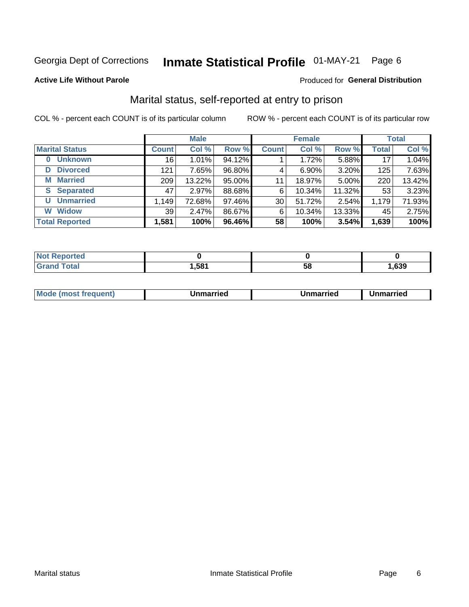#### Inmate Statistical Profile 01-MAY-21 Page 6

#### **Active Life Without Parole**

#### Produced for General Distribution

### Marital status, self-reported at entry to prison

COL % - percent each COUNT is of its particular column

|                            | <b>Male</b>  |        |        | <b>Female</b> |          |        | <b>Total</b> |        |
|----------------------------|--------------|--------|--------|---------------|----------|--------|--------------|--------|
| <b>Marital Status</b>      | <b>Count</b> | Col %  | Row %  | <b>Count</b>  | Col %    | Row %  | <b>Total</b> | Col %  |
| <b>Unknown</b><br>$\bf{0}$ | 16           | 1.01%  | 94.12% |               | 1.72%    | 5.88%  | 17           | 1.04%  |
| <b>Divorced</b><br>D       | 121          | 7.65%  | 96.80% | 4             | $6.90\%$ | 3.20%  | 125          | 7.63%  |
| <b>Married</b><br>М        | 209          | 13.22% | 95.00% | 11            | 18.97%   | 5.00%  | 220          | 13.42% |
| <b>S</b> Separated         | 47           | 2.97%  | 88.68% | 6             | 10.34%   | 11.32% | 53           | 3.23%  |
| <b>Unmarried</b><br>U      | 1,149        | 72.68% | 97.46% | 30            | 51.72%   | 2.54%  | 1,179        | 71.93% |
| <b>Widow</b><br>W          | 39           | 2.47%  | 86.67% | 6             | 10.34%   | 13.33% | 45           | 2.75%  |
| <b>Total Reported</b>      | 1,581        | 100%   | 96.46% | 58            | 100%     | 3.54%  | 1,639        | 100%   |

| ττeα<br>NO |      |    |      |
|------------|------|----|------|
|            | 581, | ວດ | ,639 |

|  | M | . | Unmarried | າmarried<br>_____ |
|--|---|---|-----------|-------------------|
|--|---|---|-----------|-------------------|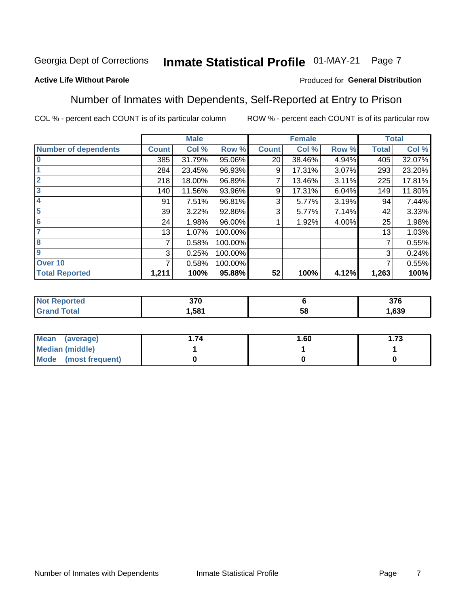#### Inmate Statistical Profile 01-MAY-21 Page 7

### **Active Life Without Parole**

#### Produced for General Distribution

### Number of Inmates with Dependents, Self-Reported at Entry to Prison

COL % - percent each COUNT is of its particular column

|                             |              | <b>Male</b> |         |              | <b>Female</b> |       |              | <b>Total</b> |
|-----------------------------|--------------|-------------|---------|--------------|---------------|-------|--------------|--------------|
| <b>Number of dependents</b> | <b>Count</b> | Col %       | Row %   | <b>Count</b> | Col %         | Row % | <b>Total</b> | Col %        |
| $\bf{0}$                    | 385          | 31.79%      | 95.06%  | 20           | 38.46%        | 4.94% | 405          | 32.07%       |
|                             | 284          | 23.45%      | 96.93%  | 9            | 17.31%        | 3.07% | 293          | 23.20%       |
| $\overline{2}$              | 218          | 18.00%      | 96.89%  |              | 13.46%        | 3.11% | 225          | 17.81%       |
| $\overline{3}$              | 140          | 11.56%      | 93.96%  | 9            | 17.31%        | 6.04% | 149          | 11.80%       |
| 4                           | 91           | 7.51%       | 96.81%  | 3            | 5.77%         | 3.19% | 94           | 7.44%        |
| $\overline{\mathbf{5}}$     | 39           | 3.22%       | 92.86%  | 3            | 5.77%         | 7.14% | 42           | 3.33%        |
| 6                           | 24           | 1.98%       | 96.00%  |              | 1.92%         | 4.00% | 25           | 1.98%        |
| 7                           | 13           | 1.07%       | 100.00% |              |               |       | 13           | 1.03%        |
| 8                           | 7            | 0.58%       | 100.00% |              |               |       | 7            | 0.55%        |
| $\boldsymbol{9}$            | 3            | 0.25%       | 100.00% |              |               |       | 3            | 0.24%        |
| Over 10                     | 7            | 0.58%       | 100.00% |              |               |       | 7            | 0.55%        |
| <b>Total Reported</b>       | 1,211        | 100%        | 95.88%  | 52           | 100%          | 4.12% | 1,263        | 100%         |

| 270<br>J/U<br>- - |          | <b>276</b><br>ა / O |
|-------------------|----------|---------------------|
| .581              | . .<br>◡ | ,639                |

| <b>Mean</b><br>(average) | 1.60 | - 72<br>I. I J |
|--------------------------|------|----------------|
| Median (middle)          |      |                |
| Mode<br>(most frequent)  |      |                |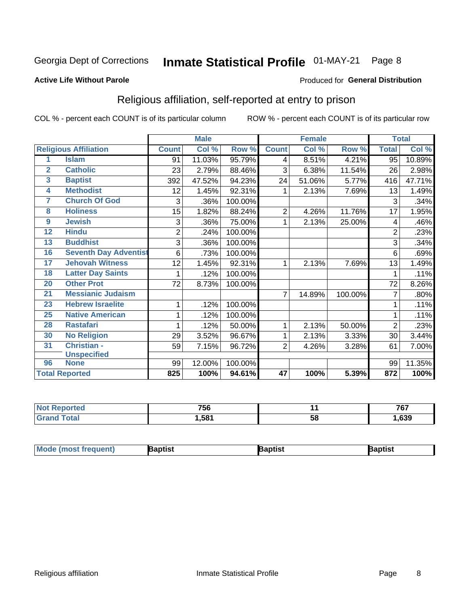#### Inmate Statistical Profile 01-MAY-21 Page 8

#### **Active Life Without Parole**

#### Produced for General Distribution

### Religious affiliation, self-reported at entry to prison

COL % - percent each COUNT is of its particular column

|                         |                              |                | <b>Male</b> |         |                | <b>Female</b> |         |                | <b>Total</b> |
|-------------------------|------------------------------|----------------|-------------|---------|----------------|---------------|---------|----------------|--------------|
|                         | <b>Religious Affiliation</b> | <b>Count</b>   | Col %       | Row %   | <b>Count</b>   | Col%          | Row %   | <b>Total</b>   | Col %        |
| 1                       | <b>Islam</b>                 | 91             | 11.03%      | 95.79%  | 4              | 8.51%         | 4.21%   | 95             | 10.89%       |
| $\overline{2}$          | <b>Catholic</b>              | 23             | 2.79%       | 88.46%  | 3              | 6.38%         | 11.54%  | 26             | 2.98%        |
| $\overline{\mathbf{3}}$ | <b>Baptist</b>               | 392            | 47.52%      | 94.23%  | 24             | 51.06%        | 5.77%   | 416            | 47.71%       |
| $\overline{4}$          | <b>Methodist</b>             | 12             | 1.45%       | 92.31%  |                | 2.13%         | 7.69%   | 13             | 1.49%        |
| 7                       | <b>Church Of God</b>         | 3              | .36%        | 100.00% |                |               |         | 3              | .34%         |
| 8                       | <b>Holiness</b>              | 15             | 1.82%       | 88.24%  | $\overline{2}$ | 4.26%         | 11.76%  | 17             | 1.95%        |
| 9                       | <b>Jewish</b>                | 3              | .36%        | 75.00%  | 1              | 2.13%         | 25.00%  | 4              | .46%         |
| $\overline{12}$         | <b>Hindu</b>                 | $\overline{2}$ | .24%        | 100.00% |                |               |         | $\overline{2}$ | .23%         |
| 13                      | <b>Buddhist</b>              | 3              | .36%        | 100.00% |                |               |         | 3              | .34%         |
| 16                      | <b>Seventh Day Adventist</b> | 6              | .73%        | 100.00% |                |               |         | 6              | .69%         |
| 17                      | <b>Jehovah Witness</b>       | 12             | 1.45%       | 92.31%  |                | 2.13%         | 7.69%   | 13             | 1.49%        |
| 18                      | <b>Latter Day Saints</b>     | 1              | .12%        | 100.00% |                |               |         | 1              | .11%         |
| 20                      | <b>Other Prot</b>            | 72             | 8.73%       | 100.00% |                |               |         | 72             | 8.26%        |
| 21                      | <b>Messianic Judaism</b>     |                |             |         | $\overline{7}$ | 14.89%        | 100.00% | 7              | .80%         |
| 23                      | <b>Hebrew Israelite</b>      | 1              | .12%        | 100.00% |                |               |         |                | .11%         |
| 25                      | <b>Native American</b>       |                | .12%        | 100.00% |                |               |         |                | .11%         |
| 28                      | <b>Rastafari</b>             |                | .12%        | 50.00%  | 1              | 2.13%         | 50.00%  | $\overline{2}$ | .23%         |
| 30                      | <b>No Religion</b>           | 29             | 3.52%       | 96.67%  | 1              | 2.13%         | 3.33%   | 30             | 3.44%        |
| 31                      | Christian -                  | 59             | 7.15%       | 96.72%  | $\overline{2}$ | 4.26%         | 3.28%   | 61             | 7.00%        |
|                         | <b>Unspecified</b>           |                |             |         |                |               |         |                |              |
| 96                      | <b>None</b>                  | 99             | 12.00%      | 100.00% |                |               |         | 99             | 11.35%       |
|                         | <b>Total Reported</b>        | 825            | 100%        | 94.61%  | 47             | 100%          | 5.39%   | 872            | 100%         |

| <b>borted</b><br><b>NOT</b> | 756   |    | 767  |
|-----------------------------|-------|----|------|
| $\sim$                      | .,581 | ວເ | .639 |

| <b>Mode (most frequent)</b> | aptist | Baptist | Baptist |
|-----------------------------|--------|---------|---------|
|-----------------------------|--------|---------|---------|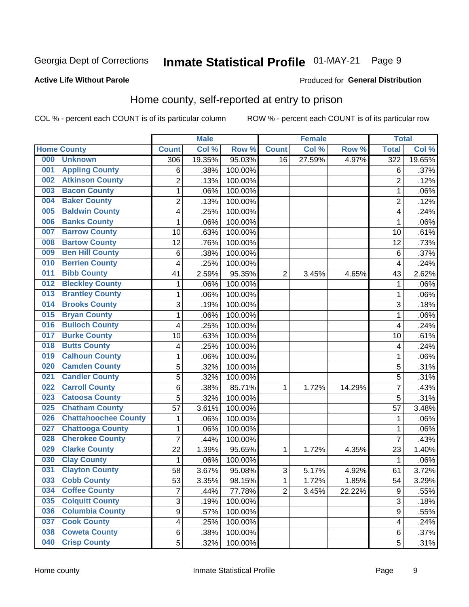#### Inmate Statistical Profile 01-MAY-21 Page 9

#### **Active Life Without Parole**

#### Produced for General Distribution

### Home county, self-reported at entry to prison

COL % - percent each COUNT is of its particular column

|     |                             |                         | <b>Male</b> |         |                | <b>Female</b> |        | <b>Total</b>     |        |
|-----|-----------------------------|-------------------------|-------------|---------|----------------|---------------|--------|------------------|--------|
|     | <b>Home County</b>          | <b>Count</b>            | Col %       | Row %   | <b>Count</b>   | Col %         | Row %  | <b>Total</b>     | Col %  |
| 000 | <b>Unknown</b>              | 306                     | 19.35%      | 95.03%  | 16             | 27.59%        | 4.97%  | 322              | 19.65% |
| 001 | <b>Appling County</b>       | 6                       | .38%        | 100.00% |                |               |        | 6                | .37%   |
| 002 | <b>Atkinson County</b>      | $\overline{2}$          | .13%        | 100.00% |                |               |        | $\overline{2}$   | .12%   |
| 003 | <b>Bacon County</b>         | $\mathbf 1$             | .06%        | 100.00% |                |               |        | 1                | .06%   |
| 004 | <b>Baker County</b>         | $\overline{2}$          | .13%        | 100.00% |                |               |        | $\overline{2}$   | .12%   |
| 005 | <b>Baldwin County</b>       | 4                       | .25%        | 100.00% |                |               |        | 4                | .24%   |
| 006 | <b>Banks County</b>         | $\mathbf{1}$            | .06%        | 100.00% |                |               |        | 1                | .06%   |
| 007 | <b>Barrow County</b>        | 10                      | .63%        | 100.00% |                |               |        | 10               | .61%   |
| 008 | <b>Bartow County</b>        | 12                      | .76%        | 100.00% |                |               |        | 12               | .73%   |
| 009 | <b>Ben Hill County</b>      | 6                       | .38%        | 100.00% |                |               |        | 6                | .37%   |
| 010 | <b>Berrien County</b>       | 4                       | .25%        | 100.00% |                |               |        | $\overline{4}$   | .24%   |
| 011 | <b>Bibb County</b>          | 41                      | 2.59%       | 95.35%  | $\overline{2}$ | 3.45%         | 4.65%  | 43               | 2.62%  |
| 012 | <b>Bleckley County</b>      | $\mathbf 1$             | .06%        | 100.00% |                |               |        | 1                | .06%   |
| 013 | <b>Brantley County</b>      | $\mathbf 1$             | .06%        | 100.00% |                |               |        | 1                | .06%   |
| 014 | <b>Brooks County</b>        | 3                       | .19%        | 100.00% |                |               |        | 3                | .18%   |
| 015 | <b>Bryan County</b>         | $\mathbf{1}$            | .06%        | 100.00% |                |               |        | 1                | .06%   |
| 016 | <b>Bulloch County</b>       | 4                       | .25%        | 100.00% |                |               |        | $\overline{4}$   | .24%   |
| 017 | <b>Burke County</b>         | 10                      | .63%        | 100.00% |                |               |        | 10               | .61%   |
| 018 | <b>Butts County</b>         | 4                       | .25%        | 100.00% |                |               |        | 4                | .24%   |
| 019 | <b>Calhoun County</b>       | $\mathbf 1$             | .06%        | 100.00% |                |               |        | 1                | .06%   |
| 020 | <b>Camden County</b>        | 5                       | .32%        | 100.00% |                |               |        | 5                | .31%   |
| 021 | <b>Candler County</b>       | 5                       | .32%        | 100.00% |                |               |        | 5                | .31%   |
| 022 | <b>Carroll County</b>       | 6                       | .38%        | 85.71%  | 1              | 1.72%         | 14.29% | 7                | .43%   |
| 023 | <b>Catoosa County</b>       | 5                       | .32%        | 100.00% |                |               |        | 5                | .31%   |
| 025 | <b>Chatham County</b>       | 57                      | 3.61%       | 100.00% |                |               |        | 57               | 3.48%  |
| 026 | <b>Chattahoochee County</b> | $\mathbf 1$             | .06%        | 100.00% |                |               |        | 1                | .06%   |
| 027 | <b>Chattooga County</b>     | $\mathbf 1$             | .06%        | 100.00% |                |               |        | 1                | .06%   |
| 028 | <b>Cherokee County</b>      | $\overline{7}$          | .44%        | 100.00% |                |               |        | $\overline{7}$   | .43%   |
| 029 | <b>Clarke County</b>        | 22                      | 1.39%       | 95.65%  | 1              | 1.72%         | 4.35%  | 23               | 1.40%  |
| 030 | <b>Clay County</b>          | $\mathbf 1$             | .06%        | 100.00% |                |               |        | $\mathbf 1$      | .06%   |
| 031 | <b>Clayton County</b>       | 58                      | 3.67%       | 95.08%  | $\sqrt{3}$     | 5.17%         | 4.92%  | 61               | 3.72%  |
| 033 | <b>Cobb County</b>          | 53                      | 3.35%       | 98.15%  | 1              | 1.72%         | 1.85%  | 54               | 3.29%  |
| 034 | <b>Coffee County</b>        | $\overline{7}$          | .44%        | 77.78%  | $\overline{2}$ | 3.45%         | 22.22% | $\boldsymbol{9}$ | .55%   |
| 035 | <b>Colquitt County</b>      | 3                       | .19%        | 100.00% |                |               |        | $\overline{3}$   | .18%   |
| 036 | <b>Columbia County</b>      | $\overline{9}$          | .57%        | 100.00% |                |               |        | 9                | .55%   |
| 037 | <b>Cook County</b>          | $\overline{\mathbf{4}}$ | .25%        | 100.00% |                |               |        | 4                | .24%   |
| 038 | <b>Coweta County</b>        | 6                       | .38%        | 100.00% |                |               |        | 6                | .37%   |
| 040 | <b>Crisp County</b>         | 5                       | .32%        | 100.00% |                |               |        | 5                | .31%   |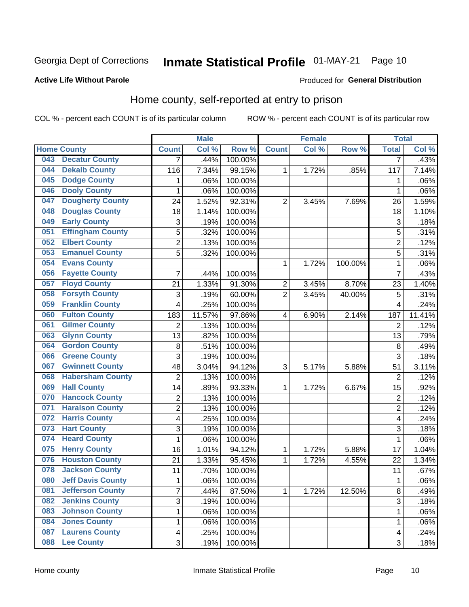# Inmate Statistical Profile 01-MAY-21 Page 10

#### **Active Life Without Parole**

### Produced for General Distribution

### Home county, self-reported at entry to prison

COL % - percent each COUNT is of its particular column

|     |                          |                         | <b>Male</b> |         |                | <b>Female</b> |         | <b>Total</b>   |        |
|-----|--------------------------|-------------------------|-------------|---------|----------------|---------------|---------|----------------|--------|
|     | <b>Home County</b>       | <b>Count</b>            | Col %       | Row %   | <b>Count</b>   | Col%          | Row %   | <b>Total</b>   | Col %  |
| 043 | <b>Decatur County</b>    | 7                       | .44%        | 100.00% |                |               |         | 7              | .43%   |
| 044 | <b>Dekalb County</b>     | 116                     | 7.34%       | 99.15%  | 1              | 1.72%         | .85%    | 117            | 7.14%  |
| 045 | <b>Dodge County</b>      | 1                       | .06%        | 100.00% |                |               |         | 1              | .06%   |
| 046 | <b>Dooly County</b>      | $\mathbf 1$             | .06%        | 100.00% |                |               |         | 1              | .06%   |
| 047 | <b>Dougherty County</b>  | 24                      | 1.52%       | 92.31%  | $\overline{2}$ | 3.45%         | 7.69%   | 26             | 1.59%  |
| 048 | <b>Douglas County</b>    | 18                      | 1.14%       | 100.00% |                |               |         | 18             | 1.10%  |
| 049 | <b>Early County</b>      | 3                       | .19%        | 100.00% |                |               |         | 3              | .18%   |
| 051 | <b>Effingham County</b>  | 5                       | .32%        | 100.00% |                |               |         | 5              | .31%   |
| 052 | <b>Elbert County</b>     | $\overline{c}$          | .13%        | 100.00% |                |               |         | $\overline{2}$ | .12%   |
| 053 | <b>Emanuel County</b>    | 5                       | .32%        | 100.00% |                |               |         | 5              | .31%   |
| 054 | <b>Evans County</b>      |                         |             |         | 1              | 1.72%         | 100.00% | 1              | .06%   |
| 056 | <b>Fayette County</b>    | $\overline{7}$          | .44%        | 100.00% |                |               |         | 7              | .43%   |
| 057 | <b>Floyd County</b>      | 21                      | 1.33%       | 91.30%  | $\overline{c}$ | 3.45%         | 8.70%   | 23             | 1.40%  |
| 058 | <b>Forsyth County</b>    | 3                       | .19%        | 60.00%  | $\overline{2}$ | 3.45%         | 40.00%  | 5              | .31%   |
| 059 | <b>Franklin County</b>   | 4                       | .25%        | 100.00% |                |               |         | 4              | .24%   |
| 060 | <b>Fulton County</b>     | 183                     | 11.57%      | 97.86%  | 4              | 6.90%         | 2.14%   | 187            | 11.41% |
| 061 | <b>Gilmer County</b>     | 2                       | .13%        | 100.00% |                |               |         | $\overline{2}$ | .12%   |
| 063 | <b>Glynn County</b>      | 13                      | .82%        | 100.00% |                |               |         | 13             | .79%   |
| 064 | <b>Gordon County</b>     | 8                       | .51%        | 100.00% |                |               |         | 8              | .49%   |
| 066 | <b>Greene County</b>     | 3                       | .19%        | 100.00% |                |               |         | 3              | .18%   |
| 067 | <b>Gwinnett County</b>   | 48                      | 3.04%       | 94.12%  | 3              | 5.17%         | 5.88%   | 51             | 3.11%  |
| 068 | <b>Habersham County</b>  | $\overline{2}$          | .13%        | 100.00% |                |               |         | $\overline{2}$ | .12%   |
| 069 | <b>Hall County</b>       | 14                      | .89%        | 93.33%  | 1              | 1.72%         | 6.67%   | 15             | .92%   |
| 070 | <b>Hancock County</b>    | 2                       | .13%        | 100.00% |                |               |         | $\overline{2}$ | .12%   |
| 071 | <b>Haralson County</b>   | $\overline{c}$          | .13%        | 100.00% |                |               |         | $\overline{2}$ | .12%   |
| 072 | <b>Harris County</b>     | 4                       | .25%        | 100.00% |                |               |         | 4              | .24%   |
| 073 | <b>Hart County</b>       | 3                       | .19%        | 100.00% |                |               |         | 3              | .18%   |
| 074 | <b>Heard County</b>      | 1                       | .06%        | 100.00% |                |               |         | 1              | .06%   |
| 075 | <b>Henry County</b>      | 16                      | 1.01%       | 94.12%  | 1              | 1.72%         | 5.88%   | 17             | 1.04%  |
| 076 | <b>Houston County</b>    | 21                      | 1.33%       | 95.45%  | 1              | 1.72%         | 4.55%   | 22             | 1.34%  |
| 078 | <b>Jackson County</b>    | 11                      | .70%        | 100.00% |                |               |         | 11             | .67%   |
| 080 | <b>Jeff Davis County</b> | 1                       | .06%        | 100.00% |                |               |         | 1              | .06%   |
| 081 | <b>Jefferson County</b>  | $\overline{7}$          | .44%        | 87.50%  | $\mathbf 1$    | 1.72%         | 12.50%  | 8              | .49%   |
| 082 | <b>Jenkins County</b>    | 3                       | .19%        | 100.00% |                |               |         | 3              | .18%   |
| 083 | <b>Johnson County</b>    | 1                       | .06%        | 100.00% |                |               |         | 1              | .06%   |
| 084 | <b>Jones County</b>      | $\mathbf 1$             | .06%        | 100.00% |                |               |         | 1              | .06%   |
| 087 | <b>Laurens County</b>    | $\overline{\mathbf{4}}$ | .25%        | 100.00% |                |               |         | 4              | .24%   |
| 088 | <b>Lee County</b>        | 3                       | .19%        | 100.00% |                |               |         | 3              | .18%   |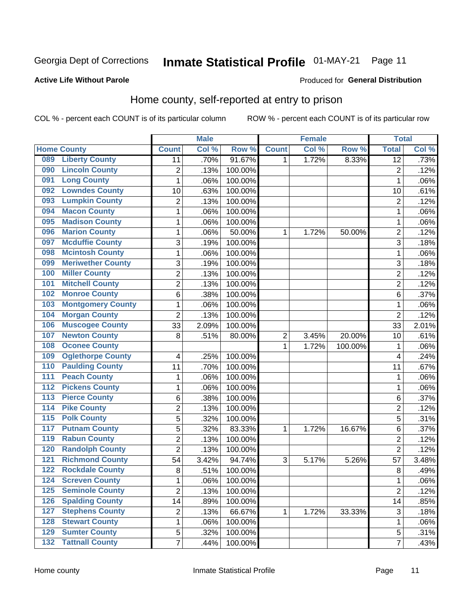# Inmate Statistical Profile 01-MAY-21 Page 11

#### **Active Life Without Parole**

### Produced for General Distribution

### Home county, self-reported at entry to prison

COL % - percent each COUNT is of its particular column

|                  |                          |                | <b>Male</b> |         |                         | <b>Female</b> |         | <b>Total</b>    |       |
|------------------|--------------------------|----------------|-------------|---------|-------------------------|---------------|---------|-----------------|-------|
|                  | <b>Home County</b>       | <b>Count</b>   | Col%        | Row %   | <b>Count</b>            | Col %         | Row %   | <b>Total</b>    | Col%  |
| 089              | <b>Liberty County</b>    | 11             | .70%        | 91.67%  | 1                       | 1.72%         | 8.33%   | $\overline{12}$ | .73%  |
| 090              | <b>Lincoln County</b>    | $\overline{2}$ | .13%        | 100.00% |                         |               |         | $\overline{2}$  | .12%  |
| 091              | <b>Long County</b>       | $\mathbf{1}$   | .06%        | 100.00% |                         |               |         | 1               | .06%  |
| 092              | <b>Lowndes County</b>    | 10             | .63%        | 100.00% |                         |               |         | 10              | .61%  |
| 093              | <b>Lumpkin County</b>    | $\overline{2}$ | .13%        | 100.00% |                         |               |         | $\overline{2}$  | .12%  |
| 094              | <b>Macon County</b>      | $\mathbf 1$    | .06%        | 100.00% |                         |               |         | 1               | .06%  |
| 095              | <b>Madison County</b>    | $\mathbf 1$    | .06%        | 100.00% |                         |               |         | 1               | .06%  |
| 096              | <b>Marion County</b>     | 1              | .06%        | 50.00%  | 1                       | 1.72%         | 50.00%  | $\overline{c}$  | .12%  |
| 097              | <b>Mcduffie County</b>   | 3              | .19%        | 100.00% |                         |               |         | 3               | .18%  |
| 098              | <b>Mcintosh County</b>   | $\mathbf 1$    | .06%        | 100.00% |                         |               |         | 1               | .06%  |
| 099              | <b>Meriwether County</b> | 3              | .19%        | 100.00% |                         |               |         | 3               | .18%  |
| 100              | <b>Miller County</b>     | $\overline{c}$ | .13%        | 100.00% |                         |               |         | $\overline{2}$  | .12%  |
| 101              | <b>Mitchell County</b>   | $\overline{2}$ | .13%        | 100.00% |                         |               |         | $\overline{2}$  | .12%  |
| 102              | <b>Monroe County</b>     | 6              | .38%        | 100.00% |                         |               |         | $6\phantom{1}6$ | .37%  |
| 103              | <b>Montgomery County</b> | $\mathbf 1$    | .06%        | 100.00% |                         |               |         | 1               | .06%  |
| 104              | <b>Morgan County</b>     | $\overline{2}$ | .13%        | 100.00% |                         |               |         | $\overline{2}$  | .12%  |
| 106              | <b>Muscogee County</b>   | 33             | 2.09%       | 100.00% |                         |               |         | 33              | 2.01% |
| 107              | <b>Newton County</b>     | 8              | .51%        | 80.00%  | $\overline{\mathbf{c}}$ | 3.45%         | 20.00%  | 10              | .61%  |
| 108              | <b>Oconee County</b>     |                |             |         | 1                       | 1.72%         | 100.00% | 1               | .06%  |
| 109              | <b>Oglethorpe County</b> | 4              | .25%        | 100.00% |                         |               |         | 4               | .24%  |
| 110              | <b>Paulding County</b>   | 11             | .70%        | 100.00% |                         |               |         | 11              | .67%  |
| 111              | <b>Peach County</b>      | $\mathbf 1$    | .06%        | 100.00% |                         |               |         | 1               | .06%  |
| 112              | <b>Pickens County</b>    | $\mathbf 1$    | .06%        | 100.00% |                         |               |         | 1               | .06%  |
| 113              | <b>Pierce County</b>     | 6              | .38%        | 100.00% |                         |               |         | $\,6$           | .37%  |
| 114              | <b>Pike County</b>       | $\overline{c}$ | .13%        | 100.00% |                         |               |         | $\overline{c}$  | .12%  |
| $\overline{115}$ | <b>Polk County</b>       | 5              | .32%        | 100.00% |                         |               |         | 5               | .31%  |
| 117              | <b>Putnam County</b>     | 5              | .32%        | 83.33%  | 1                       | 1.72%         | 16.67%  | 6               | .37%  |
| 119              | <b>Rabun County</b>      | $\overline{2}$ | .13%        | 100.00% |                         |               |         | $\overline{2}$  | .12%  |
| 120              | <b>Randolph County</b>   | $\overline{2}$ | .13%        | 100.00% |                         |               |         | $\overline{2}$  | .12%  |
| 121              | <b>Richmond County</b>   | 54             | 3.42%       | 94.74%  | 3                       | 5.17%         | 5.26%   | 57              | 3.48% |
| 122              | <b>Rockdale County</b>   | 8              | .51%        | 100.00% |                         |               |         | 8               | .49%  |
| 124              | <b>Screven County</b>    | $\mathbf 1$    | .06%        | 100.00% |                         |               |         | 1               | .06%  |
| 125              | <b>Seminole County</b>   | $\overline{2}$ | .13%        | 100.00% |                         |               |         | $\overline{2}$  | .12%  |
| 126              | <b>Spalding County</b>   | 14             | .89%        | 100.00% |                         |               |         | 14              | .85%  |
| 127              | <b>Stephens County</b>   | $\overline{c}$ | .13%        | 66.67%  | 1                       | 1.72%         | 33.33%  | $\sqrt{3}$      | .18%  |
| 128              | <b>Stewart County</b>    | 1              | .06%        | 100.00% |                         |               |         | 1               | .06%  |
| 129              | <b>Sumter County</b>     | 5              | .32%        | 100.00% |                         |               |         | 5               | .31%  |
| 132              | <b>Tattnall County</b>   | $\overline{7}$ | .44%        | 100.00% |                         |               |         | $\overline{7}$  | .43%  |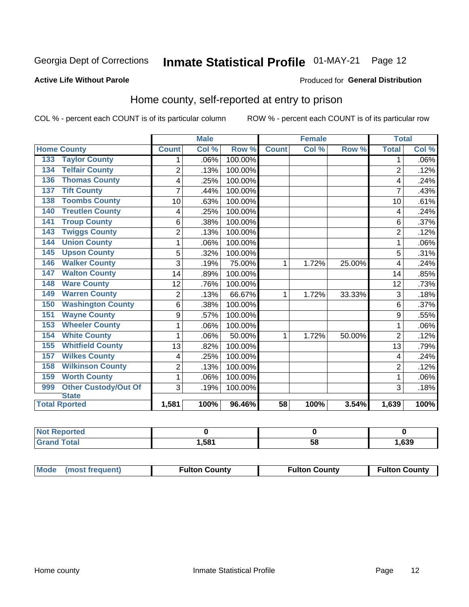# Inmate Statistical Profile 01-MAY-21 Page 12

#### **Active Life Without Parole**

#### Produced for General Distribution

### Home county, self-reported at entry to prison

COL % - percent each COUNT is of its particular column

|                                    |                | <b>Male</b> |         | <b>Female</b> |       |        | <b>Total</b>   |         |
|------------------------------------|----------------|-------------|---------|---------------|-------|--------|----------------|---------|
| <b>Home County</b>                 | <b>Count</b>   | Col %       | Row %   | <b>Count</b>  | Col % | Row %  | <b>Total</b>   | Col %   |
| <b>Taylor County</b><br>133        | 1              | .06%        | 100.00% |               |       |        | 1              | $.06\%$ |
| <b>Telfair County</b><br>134       | $\overline{2}$ | .13%        | 100.00% |               |       |        | $\overline{2}$ | .12%    |
| <b>Thomas County</b><br>136        | 4              | .25%        | 100.00% |               |       |        | 4              | .24%    |
| <b>Tift County</b><br>137          | 7              | .44%        | 100.00% |               |       |        | 7              | .43%    |
| <b>Toombs County</b><br>138        | 10             | .63%        | 100.00% |               |       |        | 10             | .61%    |
| <b>Treutlen County</b><br>140      | 4              | .25%        | 100.00% |               |       |        | 4              | .24%    |
| <b>Troup County</b><br>141         | 6              | .38%        | 100.00% |               |       |        | 6              | .37%    |
| <b>Twiggs County</b><br>143        | $\overline{2}$ | .13%        | 100.00% |               |       |        | $\overline{2}$ | .12%    |
| <b>Union County</b><br>144         | 1              | .06%        | 100.00% |               |       |        |                | .06%    |
| <b>Upson County</b><br>145         | 5              | .32%        | 100.00% |               |       |        | 5              | .31%    |
| <b>Walker County</b><br>146        | 3              | .19%        | 75.00%  | 1             | 1.72% | 25.00% | 4              | .24%    |
| <b>Walton County</b><br>147        | 14             | .89%        | 100.00% |               |       |        | 14             | .85%    |
| <b>Ware County</b><br>148          | 12             | .76%        | 100.00% |               |       |        | 12             | .73%    |
| <b>Warren County</b><br>149        | $\overline{2}$ | .13%        | 66.67%  | 1             | 1.72% | 33.33% | 3              | .18%    |
| <b>Washington County</b><br>150    | 6              | .38%        | 100.00% |               |       |        | 6              | .37%    |
| <b>Wayne County</b><br>151         | 9              | .57%        | 100.00% |               |       |        | 9              | .55%    |
| <b>Wheeler County</b><br>153       | 1              | .06%        | 100.00% |               |       |        | 1              | .06%    |
| <b>White County</b><br>154         | 1              | .06%        | 50.00%  | 1             | 1.72% | 50.00% | $\overline{2}$ | .12%    |
| <b>Whitfield County</b><br>155     | 13             | .82%        | 100.00% |               |       |        | 13             | .79%    |
| <b>Wilkes County</b><br>157        | 4              | .25%        | 100.00% |               |       |        | 4              | .24%    |
| <b>Wilkinson County</b><br>158     | $\overline{2}$ | .13%        | 100.00% |               |       |        | $\overline{2}$ | .12%    |
| <b>Worth County</b><br>159         | 1              | .06%        | 100.00% |               |       |        | 1              | .06%    |
| <b>Other Custody/Out Of</b><br>999 | 3              | .19%        | 100.00% |               |       |        | 3              | .18%    |
| <b>State</b>                       |                |             |         |               |       |        |                |         |
| <b>Total Rported</b>               | 1,581          | 100%        | 96.46%  | 58            | 100%  | 3.54%  | 1,639          | 100%    |

| <b>Not Reported</b> |      |    |      |
|---------------------|------|----|------|
| <b>Total</b>        | .58' | ວດ | ,639 |

| Mode (most frequent) | <b>Fulton County</b> | <b>Fulton County</b> | <b>Fulton County</b> |
|----------------------|----------------------|----------------------|----------------------|
|----------------------|----------------------|----------------------|----------------------|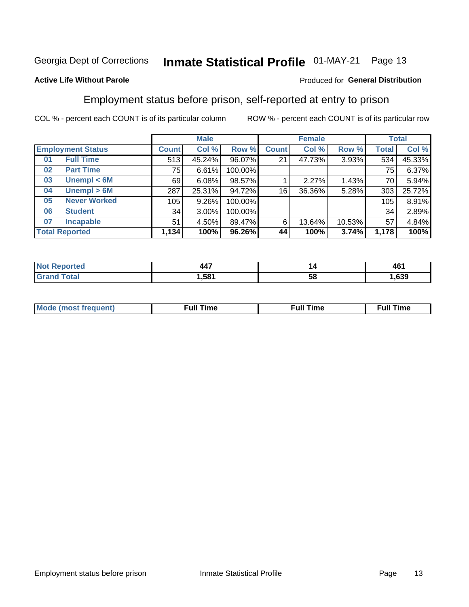#### Inmate Statistical Profile 01-MAY-21 Page 13

### **Active Life Without Parole**

### Produced for General Distribution

### Employment status before prison, self-reported at entry to prison

COL % - percent each COUNT is of its particular column

|                           |              | <b>Male</b> |         |              | <b>Female</b> |        |       | <b>Total</b> |
|---------------------------|--------------|-------------|---------|--------------|---------------|--------|-------|--------------|
| <b>Employment Status</b>  | <b>Count</b> | Col %       | Row %   | <b>Count</b> | Col %         | Row %  | Total | Col %        |
| <b>Full Time</b><br>01    | 513          | 45.24%      | 96.07%  | 21           | 47.73%        | 3.93%  | 534   | 45.33%       |
| <b>Part Time</b><br>02    | 75           | 6.61%       | 100.00% |              |               |        | 75    | 6.37%        |
| Unempl $<$ 6M<br>03       | 69           | 6.08%       | 98.57%  |              | 2.27%         | 1.43%  | 70    | 5.94%        |
| Unempl > 6M<br>04         | 287          | 25.31%      | 94.72%  | 16           | 36.36%        | 5.28%  | 303   | 25.72%       |
| <b>Never Worked</b><br>05 | 105          | 9.26%       | 100.00% |              |               |        | 105   | 8.91%        |
| <b>Student</b><br>06      | 34           | 3.00%       | 100.00% |              |               |        | 34    | 2.89%        |
| <b>Incapable</b><br>07    | 51           | 4.50%       | 89.47%  | 6            | 13.64%        | 10.53% | 57    | 4.84%        |
| <b>Total Reported</b>     | 1,134        | 100%        | 96.26%  | 44           | 100%          | 3.74%  | 1,178 | 100%         |

| $\overline{\phantom{a}}$<br>- - - | "  | 461  |
|-----------------------------------|----|------|
| .581                              | ວເ | .639 |

| Mc | ∙u∥<br>----<br>ıme | ίuΙ<br>Πmε |
|----|--------------------|------------|
|    |                    |            |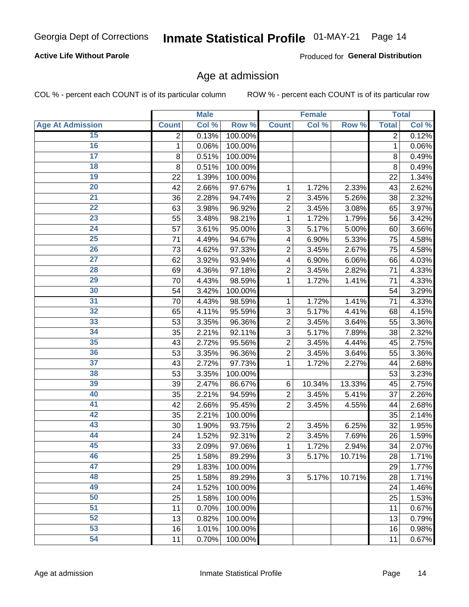### **Active Life Without Parole**

Produced for General Distribution

### Age at admission

COL % - percent each COUNT is of its particular column

|                         |              | <b>Male</b> |         |                | <b>Female</b> |        |              | <b>Total</b> |
|-------------------------|--------------|-------------|---------|----------------|---------------|--------|--------------|--------------|
| <b>Age At Admission</b> | <b>Count</b> | Col %       | Row %   | <b>Count</b>   | Col %         | Row %  | <b>Total</b> | Col %        |
| 15                      | 2            | 0.13%       | 100.00% |                |               |        | 2            | 0.12%        |
| 16                      | 1            | 0.06%       | 100.00% |                |               |        | 1            | 0.06%        |
| $\overline{17}$         | 8            | 0.51%       | 100.00% |                |               |        | 8            | 0.49%        |
| 18                      | 8            | 0.51%       | 100.00% |                |               |        | 8            | 0.49%        |
| 19                      | 22           | 1.39%       | 100.00% |                |               |        | 22           | 1.34%        |
| $\overline{20}$         | 42           | 2.66%       | 97.67%  | 1              | 1.72%         | 2.33%  | 43           | 2.62%        |
| $\overline{21}$         | 36           | 2.28%       | 94.74%  | $\overline{2}$ | 3.45%         | 5.26%  | 38           | 2.32%        |
| 22                      | 63           | 3.98%       | 96.92%  | $\overline{2}$ | 3.45%         | 3.08%  | 65           | 3.97%        |
| 23                      | 55           | 3.48%       | 98.21%  | 1              | 1.72%         | 1.79%  | 56           | 3.42%        |
| 24                      | 57           | 3.61%       | 95.00%  | 3              | 5.17%         | 5.00%  | 60           | 3.66%        |
| $\overline{25}$         | 71           | 4.49%       | 94.67%  | 4              | 6.90%         | 5.33%  | 75           | 4.58%        |
| 26                      | 73           | 4.62%       | 97.33%  | $\overline{2}$ | 3.45%         | 2.67%  | 75           | 4.58%        |
| $\overline{27}$         | 62           | 3.92%       | 93.94%  | 4              | 6.90%         | 6.06%  | 66           | 4.03%        |
| 28                      | 69           | 4.36%       | 97.18%  | $\overline{2}$ | 3.45%         | 2.82%  | 71           | 4.33%        |
| 29                      | 70           | 4.43%       | 98.59%  | 1              | 1.72%         | 1.41%  | 71           | 4.33%        |
| 30                      | 54           | 3.42%       | 100.00% |                |               |        | 54           | 3.29%        |
| $\overline{31}$         | 70           | 4.43%       | 98.59%  | 1              | 1.72%         | 1.41%  | 71           | 4.33%        |
| 32                      | 65           | 4.11%       | 95.59%  | 3              | 5.17%         | 4.41%  | 68           | 4.15%        |
| 33                      | 53           | 3.35%       | 96.36%  | $\overline{2}$ | 3.45%         | 3.64%  | 55           | 3.36%        |
| 34                      | 35           | 2.21%       | 92.11%  | 3              | 5.17%         | 7.89%  | 38           | 2.32%        |
| 35                      | 43           | 2.72%       | 95.56%  | $\overline{2}$ | 3.45%         | 4.44%  | 45           | 2.75%        |
| 36                      | 53           | 3.35%       | 96.36%  | $\overline{2}$ | 3.45%         | 3.64%  | 55           | 3.36%        |
| $\overline{37}$         | 43           | 2.72%       | 97.73%  | 1              | 1.72%         | 2.27%  | 44           | 2.68%        |
| 38                      | 53           | 3.35%       | 100.00% |                |               |        | 53           | 3.23%        |
| 39                      | 39           | 2.47%       | 86.67%  | 6              | 10.34%        | 13.33% | 45           | 2.75%        |
| 40                      | 35           | 2.21%       | 94.59%  | $\overline{2}$ | 3.45%         | 5.41%  | 37           | 2.26%        |
| 41                      | 42           | 2.66%       | 95.45%  | $\overline{2}$ | 3.45%         | 4.55%  | 44           | 2.68%        |
| 42                      | 35           | 2.21%       | 100.00% |                |               |        | 35           | 2.14%        |
| 43                      | 30           | 1.90%       | 93.75%  | $\overline{2}$ | 3.45%         | 6.25%  | 32           | 1.95%        |
| 44                      | 24           | 1.52%       | 92.31%  | $\overline{2}$ | 3.45%         | 7.69%  | 26           | 1.59%        |
| 45                      | 33           | 2.09%       | 97.06%  | 1              | 1.72%         | 2.94%  | 34           | 2.07%        |
| 46                      | 25           | 1.58%       | 89.29%  | 3              | 5.17%         | 10.71% | 28           | 1.71%        |
| 47                      | 29           | 1.83%       | 100.00% |                |               |        | 29           | 1.77%        |
| 48                      | 25           | 1.58%       | 89.29%  | 3              | 5.17%         | 10.71% | 28           | 1.71%        |
| 49                      | 24           | 1.52%       | 100.00% |                |               |        | 24           | 1.46%        |
| 50                      | 25           | 1.58%       | 100.00% |                |               |        | 25           | 1.53%        |
| $\overline{51}$         | 11           | 0.70%       | 100.00% |                |               |        | 11           | 0.67%        |
| 52                      | 13           | 0.82%       | 100.00% |                |               |        | 13           | 0.79%        |
| 53                      | 16           | 1.01%       | 100.00% |                |               |        | 16           | 0.98%        |
| 54                      | 11           | 0.70%       | 100.00% |                |               |        | 11           | 0.67%        |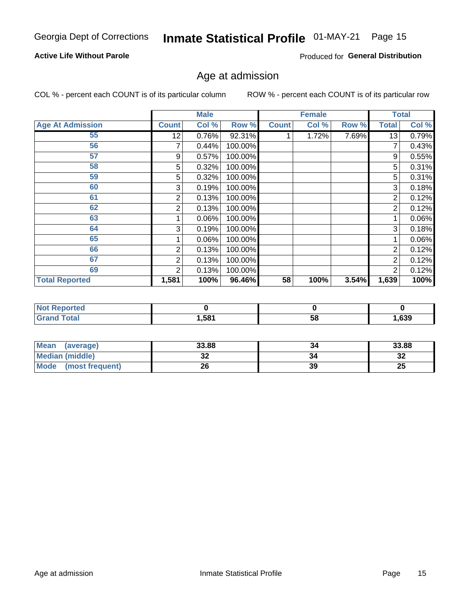# Inmate Statistical Profile 01-MAY-21 Page 15

### **Active Life Without Parole**

Produced for General Distribution

### Age at admission

COL % - percent each COUNT is of its particular column

|                         |              | <b>Male</b> |         |              | <b>Female</b> |       |                | <b>Total</b> |
|-------------------------|--------------|-------------|---------|--------------|---------------|-------|----------------|--------------|
| <b>Age At Admission</b> | <b>Count</b> | Col %       | Row %   | <b>Count</b> | Col %         | Row % | <b>Total</b>   | Col %        |
| 55                      | 12           | 0.76%       | 92.31%  |              | 1.72%         | 7.69% | 13             | 0.79%        |
| 56                      |              | 0.44%       | 100.00% |              |               |       |                | 0.43%        |
| 57                      | 9            | 0.57%       | 100.00% |              |               |       | 9              | 0.55%        |
| 58                      | 5            | 0.32%       | 100.00% |              |               |       | 5              | 0.31%        |
| 59                      | 5            | 0.32%       | 100.00% |              |               |       | 5              | 0.31%        |
| 60                      | 3            | 0.19%       | 100.00% |              |               |       | 3              | 0.18%        |
| 61                      | 2            | 0.13%       | 100.00% |              |               |       | $\overline{2}$ | 0.12%        |
| 62                      | 2            | 0.13%       | 100.00% |              |               |       | $\overline{2}$ | 0.12%        |
| 63                      |              | 0.06%       | 100.00% |              |               |       |                | 0.06%        |
| 64                      | 3            | 0.19%       | 100.00% |              |               |       | 3              | 0.18%        |
| 65                      |              | 0.06%       | 100.00% |              |               |       |                | 0.06%        |
| 66                      | 2            | 0.13%       | 100.00% |              |               |       | 2              | 0.12%        |
| 67                      | 2            | 0.13%       | 100.00% |              |               |       | $\overline{2}$ | 0.12%        |
| 69                      | 2            | 0.13%       | 100.00% |              |               |       | 2              | 0.12%        |
| <b>Total Reported</b>   | 1,581        | 100%        | 96.46%  | 58           | 100%          | 3.54% | 1,639          | 100%         |

| <b>Not Reported</b> |       |    |      |
|---------------------|-------|----|------|
| Total<br>Grar       | 581,ا | 58 | ,639 |

| <b>Mean</b><br>(average) | 33.88    | 34 | 33.88    |
|--------------------------|----------|----|----------|
| Median (middle)          | JZ       | 34 | …<br>34  |
| Mode<br>(most frequent)  | ^^<br>۷۵ | 39 | つに<br>ZJ |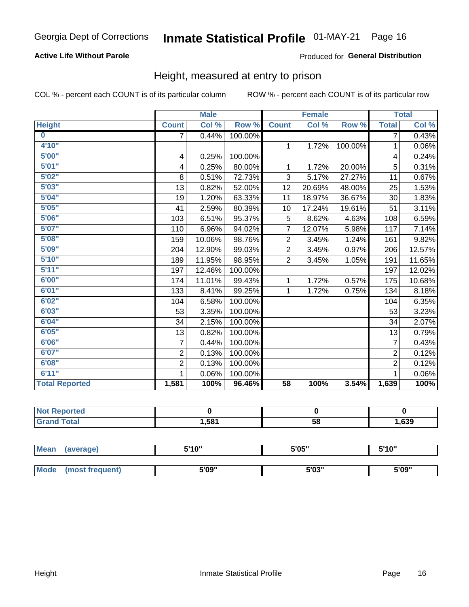### **Active Life Without Parole**

#### Produced for General Distribution

### Height, measured at entry to prison

COL % - percent each COUNT is of its particular column

|                       |                | <b>Male</b> |         |                 | <b>Female</b>              |         |                | <b>Total</b> |
|-----------------------|----------------|-------------|---------|-----------------|----------------------------|---------|----------------|--------------|
| <b>Height</b>         | <b>Count</b>   | Col %       | Row %   | <b>Count</b>    | $\overline{\text{Col }^9}$ | Row %   | <b>Total</b>   | Col %        |
| $\bf{0}$              | 7              | 0.44%       | 100.00% |                 |                            |         | 7              | 0.43%        |
| 4'10"                 |                |             |         | $\mathbf{1}$    | 1.72%                      | 100.00% | 1              | 0.06%        |
| 5'00''                | 4              | 0.25%       | 100.00% |                 |                            |         | 4              | 0.24%        |
| 5'01"                 | 4              | 0.25%       | 80.00%  | 1               | 1.72%                      | 20.00%  | 5              | 0.31%        |
| 5'02"                 | 8              | 0.51%       | 72.73%  | 3               | 5.17%                      | 27.27%  | 11             | 0.67%        |
| 5'03''                | 13             | 0.82%       | 52.00%  | 12              | 20.69%                     | 48.00%  | 25             | 1.53%        |
| 5'04"                 | 19             | 1.20%       | 63.33%  | 11              | 18.97%                     | 36.67%  | 30             | 1.83%        |
| 5'05"                 | 41             | 2.59%       | 80.39%  | 10              | 17.24%                     | 19.61%  | 51             | 3.11%        |
| 5'06''                | 103            | 6.51%       | 95.37%  | 5               | 8.62%                      | 4.63%   | 108            | 6.59%        |
| 5'07"                 | 110            | 6.96%       | 94.02%  | $\overline{7}$  | 12.07%                     | 5.98%   | 117            | 7.14%        |
| 5'08''                | 159            | 10.06%      | 98.76%  | $\overline{2}$  | 3.45%                      | 1.24%   | 161            | 9.82%        |
| 5'09''                | 204            | 12.90%      | 99.03%  | $\overline{2}$  | 3.45%                      | 0.97%   | 206            | 12.57%       |
| 5'10''                | 189            | 11.95%      | 98.95%  | $\overline{2}$  | 3.45%                      | 1.05%   | 191            | 11.65%       |
| 5'11"                 | 197            | 12.46%      | 100.00% |                 |                            |         | 197            | 12.02%       |
| 6'00''                | 174            | 11.01%      | 99.43%  | $\mathbf{1}$    | 1.72%                      | 0.57%   | 175            | 10.68%       |
| 6'01''                | 133            | 8.41%       | 99.25%  | $\mathbf{1}$    | 1.72%                      | 0.75%   | 134            | 8.18%        |
| 6'02"                 | 104            | 6.58%       | 100.00% |                 |                            |         | 104            | 6.35%        |
| 6'03''                | 53             | 3.35%       | 100.00% |                 |                            |         | 53             | 3.23%        |
| 6'04"                 | 34             | 2.15%       | 100.00% |                 |                            |         | 34             | 2.07%        |
| 6'05"                 | 13             | 0.82%       | 100.00% |                 |                            |         | 13             | 0.79%        |
| 6'06''                | $\overline{7}$ | 0.44%       | 100.00% |                 |                            |         | $\overline{7}$ | 0.43%        |
| 6'07''                | $\overline{2}$ | 0.13%       | 100.00% |                 |                            |         | $\overline{2}$ | 0.12%        |
| 6'08''                | $\overline{2}$ | 0.13%       | 100.00% |                 |                            |         | $\overline{2}$ | 0.12%        |
| 6'11''                | 1              | 0.06%       | 100.00% |                 |                            |         |                | 0.06%        |
| <b>Total Reported</b> | 1,581          | 100%        | 96.46%  | $\overline{58}$ | 100%                       | 3.54%   | 1,639          | 100%         |

| <b>NOT</b><br>rtea<br>- AREN HAT<br>$\sim$ |      |    |      |
|--------------------------------------------|------|----|------|
| $\sim$ 10                                  | ⊪581 | 58 | ,639 |

| <b>Mean</b> | (average)       | 5'10" | 5'05" | 5'10"<br>ັ |
|-------------|-----------------|-------|-------|------------|
|             |                 |       |       |            |
| <b>Mode</b> | (most frequent) | 5'09" | 5'03" | 5'09"      |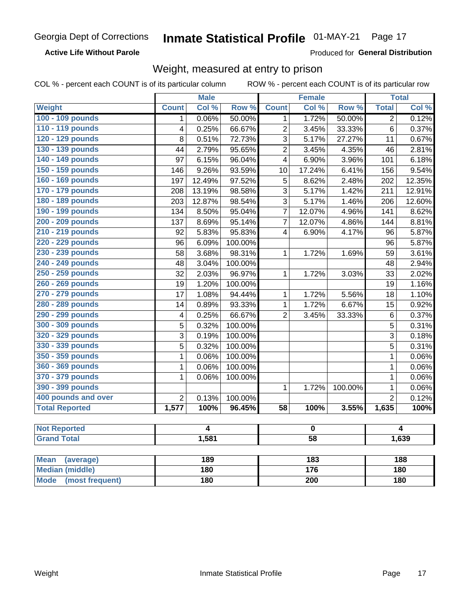**Active Life Without Parole** 

Produced for General Distribution

### Weight, measured at entry to prison

COL % - percent each COUNT is of its particular column

ROW % - percent each COUNT is of its particular row

| Col %<br>Row %<br>Col %<br>Row %<br><b>Total</b><br>Col %<br><b>Weight</b><br><b>Count</b><br><b>Count</b><br>100 - 109 pounds<br>0.06%<br>1.72%<br>50.00%<br>0.12%<br>50.00%<br>$\overline{2}$<br>1<br>1<br>110 - 119 pounds<br>0.25%<br>66.67%<br>$\overline{2}$<br>33.33%<br>3.45%<br>6<br>0.37%<br>4 |
|----------------------------------------------------------------------------------------------------------------------------------------------------------------------------------------------------------------------------------------------------------------------------------------------------------|
|                                                                                                                                                                                                                                                                                                          |
|                                                                                                                                                                                                                                                                                                          |
|                                                                                                                                                                                                                                                                                                          |
| 120 - 129 pounds<br>0.51%<br>72.73%<br>3<br>5.17%<br>27.27%<br>0.67%<br>8<br>11                                                                                                                                                                                                                          |
| 130 - 139 pounds<br>2.79%<br>95.65%<br>$\overline{2}$<br>3.45%<br>4.35%<br>2.81%<br>44<br>46                                                                                                                                                                                                             |
| 140 - 149 pounds<br>6.15%<br>96.04%<br>6.90%<br>3.96%<br>6.18%<br>97<br>4<br>101                                                                                                                                                                                                                         |
| 150 - 159 pounds<br>9.26%<br>93.59%<br>17.24%<br>9.54%<br>146<br>6.41%<br>156<br>10                                                                                                                                                                                                                      |
| 160 - 169 pounds<br>97.52%<br>12.35%<br>12.49%<br>5<br>8.62%<br>2.48%<br>202<br>197                                                                                                                                                                                                                      |
| 170 - 179 pounds<br>13.19%<br>98.58%<br>3<br>5.17%<br>1.42%<br>12.91%<br>208<br>211                                                                                                                                                                                                                      |
| 180 - 189 pounds<br>12.87%<br>98.54%<br>3<br>5.17%<br>1.46%<br>12.60%<br>203<br>206                                                                                                                                                                                                                      |
| 190 - 199 pounds<br>$\overline{7}$<br>8.50%<br>95.04%<br>12.07%<br>4.96%<br>141<br>8.62%<br>134                                                                                                                                                                                                          |
| 200 - 209 pounds<br>8.69%<br>95.14%<br>$\overline{7}$<br>12.07%<br>4.86%<br>8.81%<br>137<br>144                                                                                                                                                                                                          |
| 210 - 219 pounds<br>95.83%<br>6.90%<br>5.87%<br>92<br>5.83%<br>$\overline{\mathbf{4}}$<br>4.17%<br>96                                                                                                                                                                                                    |
| 220 - 229 pounds<br>5.87%<br>6.09%<br>100.00%<br>96<br>96                                                                                                                                                                                                                                                |
| 230 - 239 pounds<br>98.31%<br>3.61%<br>3.68%<br>1.72%<br>58<br>1<br>1.69%<br>59                                                                                                                                                                                                                          |
| 240 - 249 pounds<br>100.00%<br>2.94%<br>48<br>3.04%<br>48                                                                                                                                                                                                                                                |
| 250 - 259 pounds<br>32<br>2.03%<br>96.97%<br>1.72%<br>2.02%<br>$\mathbf{1}$<br>3.03%<br>33                                                                                                                                                                                                               |
| 260 - 269 pounds<br>19<br>1.20%<br>100.00%<br>1.16%<br>19                                                                                                                                                                                                                                                |
| 270 - 279 pounds<br>1.08%<br>17<br>94.44%<br>1<br>1.72%<br>5.56%<br>1.10%<br>18                                                                                                                                                                                                                          |
| 280 - 289 pounds<br>1<br>0.89%<br>93.33%<br>1.72%<br>6.67%<br>0.92%<br>14<br>15                                                                                                                                                                                                                          |
| 290 - 299 pounds<br>0.25%<br>$\overline{2}$<br>33.33%<br>$\,6$<br>0.37%<br>66.67%<br>3.45%<br>$\overline{\mathbf{4}}$                                                                                                                                                                                    |
| 300 - 309 pounds<br>$\overline{5}$<br>0.32%<br>5<br>0.31%<br>100.00%                                                                                                                                                                                                                                     |
| 320 - 329 pounds<br>3<br>3<br>0.19%<br>100.00%<br>0.18%                                                                                                                                                                                                                                                  |
| 330 - 339 pounds<br>$\overline{5}$<br>5<br>0.31%<br>0.32%<br>100.00%                                                                                                                                                                                                                                     |
| 350 - 359 pounds<br>0.06%<br>100.00%<br>0.06%<br>1<br>$\mathbf{1}$                                                                                                                                                                                                                                       |
| 360 - 369 pounds<br>1<br>0.06%<br>100.00%<br>$\mathbf{1}$<br>0.06%                                                                                                                                                                                                                                       |
| 370 - 379 pounds<br>1<br>0.06%<br>100.00%<br>$\mathbf{1}$<br>0.06%                                                                                                                                                                                                                                       |
| 390 - 399 pounds<br>100.00%<br>$\mathbf{1}$<br>1<br>1.72%<br>0.06%                                                                                                                                                                                                                                       |
| 400 pounds and over<br>$\overline{2}$<br>$\overline{2}$<br>0.13%<br>$\overline{0.12\%}$<br>100.00%                                                                                                                                                                                                       |
| <b>Total Reported</b><br>96.45%<br>100%<br>1,577<br>100%<br>$\overline{58}$<br>100%<br>3.55%<br>1,635                                                                                                                                                                                                    |
|                                                                                                                                                                                                                                                                                                          |
| <b>Not Reported</b><br>$\overline{4}$<br>$\overline{4}$<br>$\pmb{0}$                                                                                                                                                                                                                                     |
| <b>Grand Total</b><br>1,581<br>$\overline{58}$<br>1,639                                                                                                                                                                                                                                                  |
| <b>Mean</b><br>189<br>$\overline{183}$<br>188                                                                                                                                                                                                                                                            |
| (average)<br><b>Median (middle)</b><br>176<br>180<br>180                                                                                                                                                                                                                                                 |

**Mode** 

(most frequent)

 $\overline{200}$ 

 $180$ 

 $180$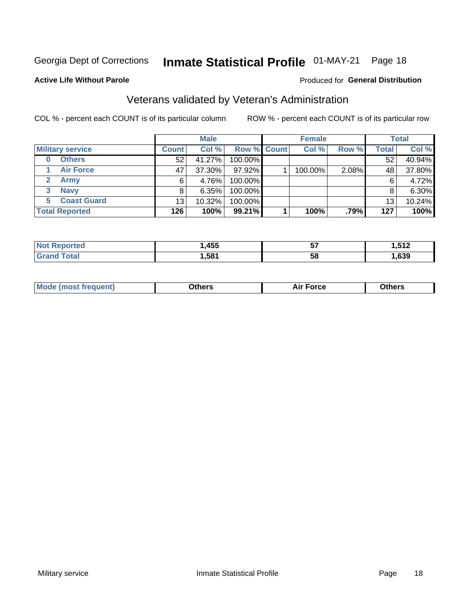# Inmate Statistical Profile 01-MAY-21 Page 18

#### **Active Life Without Parole**

#### Produced for General Distribution

### Veterans validated by Veteran's Administration

COL % - percent each COUNT is of its particular column

|                          |              | <b>Male</b> |                    | <b>Female</b> |       |       | <b>Total</b> |
|--------------------------|--------------|-------------|--------------------|---------------|-------|-------|--------------|
| <b>Military service</b>  | <b>Count</b> | Col %       | <b>Row % Count</b> | Col %         | Row % | Total | Col %        |
| <b>Others</b><br>0       | 52           | 41.27%      | 100.00%            |               |       | 52    | 40.94%       |
| <b>Air Force</b>         | 47           | 37.30%      | 97.92%             | 100.00%       | 2.08% | 48    | 37.80%       |
| <b>Army</b>              | 6            | 4.76%       | 100.00%            |               |       | 6     | 4.72%        |
| <b>Navy</b><br>3         |              | $6.35\%$    | 100.00%            |               |       | 8     | 6.30%        |
| <b>Coast Guard</b><br>5. | 13           | 10.32%      | 100.00%            |               |       | 13    | 10.24%       |
| <b>Total Reported</b>    | 126          | 100%        | 99.21%             | 100%          | .79%  | 127   | 100%         |

|             | <b>A55</b><br>7JJ | --<br>v, | E12<br>. |
|-------------|-------------------|----------|----------|
| $f$ ata $f$ | ,581              | 58       | ,639     |

| <b>Moo.</b> |
|-------------|
|-------------|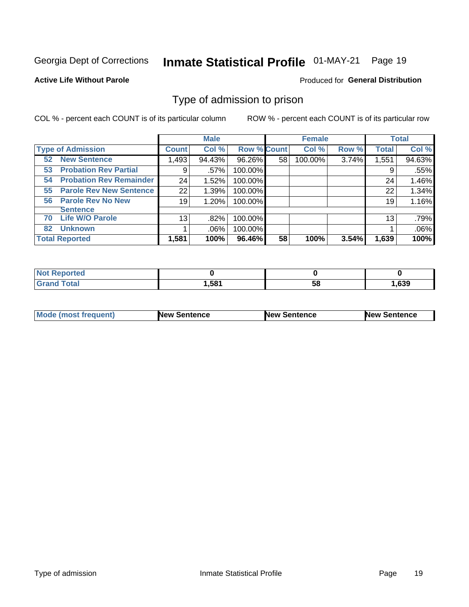#### Inmate Statistical Profile 01-MAY-21 Page 19

### **Active Life Without Parole**

#### Produced for General Distribution

### Type of admission to prison

COL % - percent each COUNT is of its particular column

|                                      |              | <b>Male</b> |                    |    | <b>Female</b> |       |              | <b>Total</b> |
|--------------------------------------|--------------|-------------|--------------------|----|---------------|-------|--------------|--------------|
| <b>Type of Admission</b>             | <b>Count</b> | Col %       | <b>Row % Count</b> |    | Col %         | Row % | <b>Total</b> | Col %        |
| <b>New Sentence</b><br>52            | 1,493        | 94.43%      | 96.26%             | 58 | 100.00%       | 3.74% | 1,551        | 94.63%       |
| <b>Probation Rev Partial</b><br>53   | 9            | .57%        | 100.00%            |    |               |       | 9            | .55%         |
| <b>Probation Rev Remainder</b><br>54 | 24           | 1.52%       | 100.00%            |    |               |       | 24           | 1.46%        |
| <b>Parole Rev New Sentence</b><br>55 | 22           | 1.39%       | 100.00%            |    |               |       | 22           | 1.34%        |
| <b>Parole Rev No New</b><br>56       | 19           | 1.20%       | 100.00%            |    |               |       | 19           | 1.16%        |
| <b>Sentence</b>                      |              |             |                    |    |               |       |              |              |
| <b>Life W/O Parole</b><br>70         | 13           | .82%        | 100.00%            |    |               |       | 13           | .79%         |
| <b>Unknown</b><br>82                 |              | .06%        | 100.00%            |    |               |       |              | .06%         |
| <b>Total Reported</b>                | 1,581        | 100%        | 96.46%             | 58 | 100%          | 3.54% | 1,639        | 100%         |

| <b>Not Reported</b> |      |           |      |
|---------------------|------|-----------|------|
| <b>Total</b>        | ,581 | - -<br>Эō | ,639 |

| <b>Mode (most frequent)</b> | <b>New Sentence</b> | <b>New Sentence</b> | <b>New Sentence</b> |
|-----------------------------|---------------------|---------------------|---------------------|
|                             |                     |                     |                     |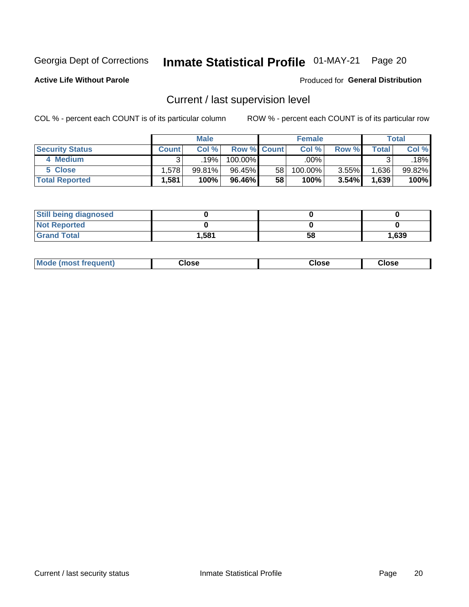# Inmate Statistical Profile 01-MAY-21 Page 20

**Active Life Without Parole** 

#### Produced for General Distribution

### Current / last supervision level

COL % - percent each COUNT is of its particular column

|                        |              | <b>Male</b>      |                    |    | <b>Female</b> |       |       | <b>Total</b> |
|------------------------|--------------|------------------|--------------------|----|---------------|-------|-------|--------------|
| <b>Security Status</b> | <b>Count</b> | Col%             | <b>Row % Count</b> |    | Col %         | Row % | Total | Col %        |
| 4 Medium               | ົ            | 19% <sub>1</sub> | 100.00%            |    | .00%          |       |       | .18%         |
| 5 Close                | 1.578        | 99.81%           | 96.45%             | 58 | 100.00%       | 3.55% | .636  | 99.82%       |
| <b>Total Reported</b>  | .581         | 100%             | 96.46%             | 58 | 100%          | 3.54% | 1,639 | 100%         |

| <b>Still being diagnosed</b> |       |    |       |
|------------------------------|-------|----|-------|
| <b>Not Reported</b>          |       |    |       |
| <b>Grand Total</b>           | 1,581 | 58 | 1,639 |

| <b>Mode (most frequent)</b> | Close | ∵lose | Close |
|-----------------------------|-------|-------|-------|
|                             |       |       |       |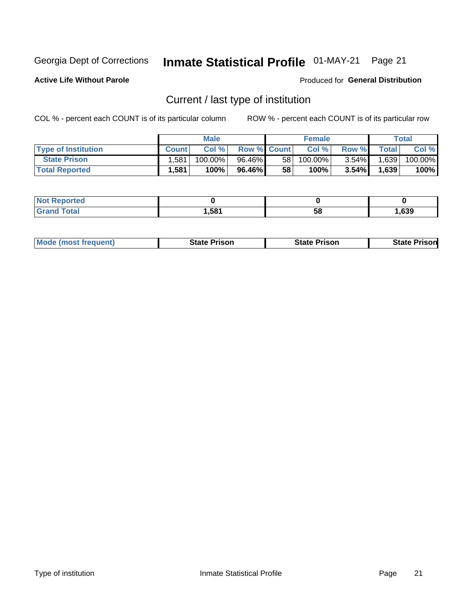# Inmate Statistical Profile 01-MAY-21 Page 21

**Active Life Without Parole** 

Produced for General Distribution

### Current / last type of institution

COL % - percent each COUNT is of its particular column

|                            |              | <b>Male</b> |                    |    | <b>Female</b> |          |              | Total   |
|----------------------------|--------------|-------------|--------------------|----|---------------|----------|--------------|---------|
| <b>Type of Institution</b> | <b>Count</b> | Col %       | <b>Row % Count</b> |    | Col %         | Row %    | <b>Total</b> | Col %   |
| <b>State Prison</b>        | .581         | $100.00\%$  | 96.46%             | 58 | $100.00\%$    | $3.54\%$ | 1,639        | 100.00% |
| <b>Total Reported</b>      | 1,581        | 100%        | 96.46% I           | 58 | 100%          | $3.54\%$ | 1,639        | 100%    |

| rted<br>. |      |    |      |
|-----------|------|----|------|
|           | ,581 | ວເ | .639 |

| <b>Mode (most frequent)</b> | State Prison | <b>State Prison</b> | State<br>⊦ Prisonl |
|-----------------------------|--------------|---------------------|--------------------|
|                             |              |                     |                    |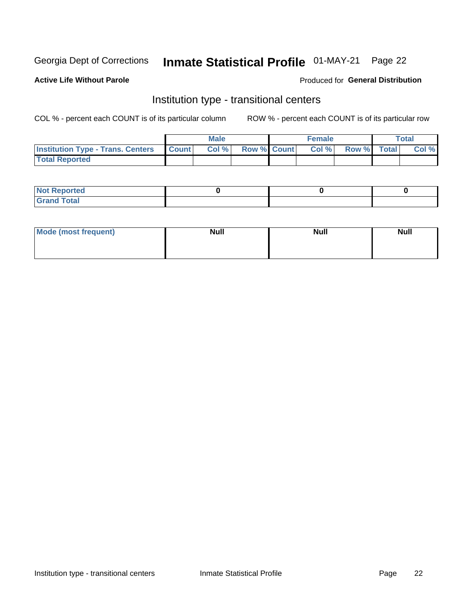# Inmate Statistical Profile 01-MAY-21 Page 22

### **Active Life Without Parole**

#### Produced for General Distribution

### Institution type - transitional centers

COL % - percent each COUNT is of its particular column

|                                          |              | <b>Male</b> |                    | <b>Female</b> |             | <b>Total</b> |
|------------------------------------------|--------------|-------------|--------------------|---------------|-------------|--------------|
| <b>Institution Type - Trans. Centers</b> | <b>Count</b> | CoI%        | <b>Row % Count</b> | Col %         | Row % Total | Col %        |
| <b>Total Reported</b>                    |              |             |                    |               |             |              |

| <b>Reported</b><br><b>NOT</b><br>$\sim$            |  |  |
|----------------------------------------------------|--|--|
| $f$ $f \circ f \circ f$<br>$C = 1$<br><b>TULAI</b> |  |  |

| Mode (most frequent) | <b>Null</b> | <b>Null</b> | <b>Null</b> |
|----------------------|-------------|-------------|-------------|
|                      |             |             |             |
|                      |             |             |             |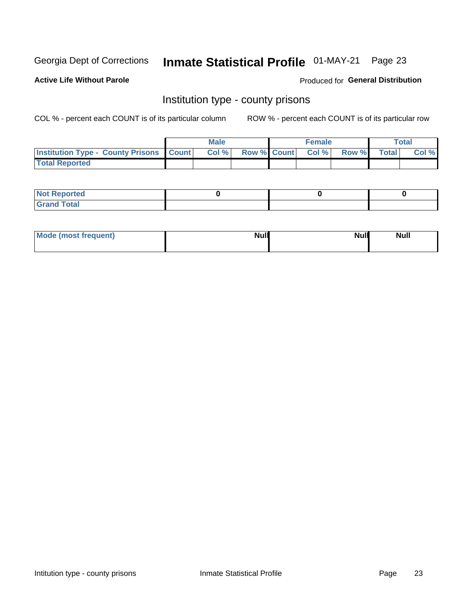# Inmate Statistical Profile 01-MAY-21 Page 23

**Active Life Without Parole** 

Produced for General Distribution

### Institution type - county prisons

COL % - percent each COUNT is of its particular column

|                                                    | <b>Male</b> |       |  | <b>Female</b> |                          |             | <b>Total</b> |       |
|----------------------------------------------------|-------------|-------|--|---------------|--------------------------|-------------|--------------|-------|
| <b>Institution Type - County Prisons   Count  </b> |             | Col % |  |               | <b>Row % Count Col %</b> | Row % Total |              | Col % |
| <b>Total Reported</b>                              |             |       |  |               |                          |             |              |       |

| <b>Not Reported</b>   |  |  |
|-----------------------|--|--|
| <b>Total</b><br>Granc |  |  |

| Mode (most frequent) | <b>Null</b> | <b>Null</b><br><b>Null</b> |
|----------------------|-------------|----------------------------|
|                      |             |                            |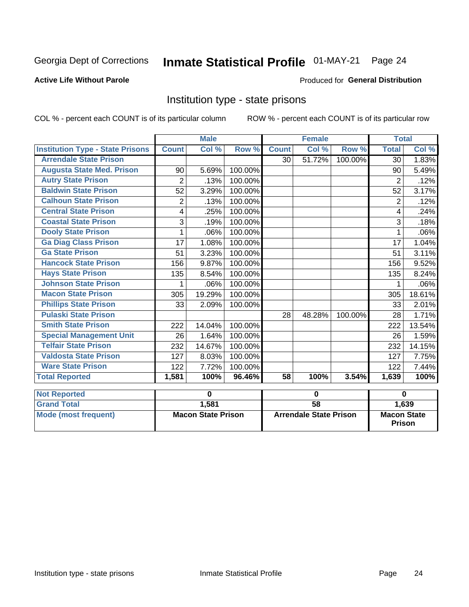# Inmate Statistical Profile 01-MAY-21 Page 24

#### **Active Life Without Parole**

#### Produced for General Distribution

### Institution type - state prisons

COL % - percent each COUNT is of its particular column

|                                         | <b>Male</b>               |        |                               |              | <b>Female</b> |                                     | <b>Total</b>   |        |
|-----------------------------------------|---------------------------|--------|-------------------------------|--------------|---------------|-------------------------------------|----------------|--------|
| <b>Institution Type - State Prisons</b> | <b>Count</b>              | Col %  | Row %                         | <b>Count</b> | Col %         | Row %                               | <b>Total</b>   | Col %  |
| <b>Arrendale State Prison</b>           |                           |        |                               | 30           | 51.72%        | 100.00%                             | 30             | 1.83%  |
| <b>Augusta State Med. Prison</b>        | 90                        | 5.69%  | 100.00%                       |              |               |                                     | 90             | 5.49%  |
| <b>Autry State Prison</b>               | $\overline{2}$            | .13%   | 100.00%                       |              |               |                                     | $\overline{2}$ | .12%   |
| <b>Baldwin State Prison</b>             | 52                        | 3.29%  | 100.00%                       |              |               |                                     | 52             | 3.17%  |
| <b>Calhoun State Prison</b>             | $\overline{2}$            | .13%   | 100.00%                       |              |               |                                     | $\overline{2}$ | .12%   |
| <b>Central State Prison</b>             | 4                         | .25%   | 100.00%                       |              |               |                                     | 4              | .24%   |
| <b>Coastal State Prison</b>             | 3                         | .19%   | 100.00%                       |              |               |                                     | 3              | .18%   |
| <b>Dooly State Prison</b>               | 1                         | .06%   | 100.00%                       |              |               |                                     | 1              | .06%   |
| <b>Ga Diag Class Prison</b>             | 17                        | 1.08%  | 100.00%                       |              |               |                                     | 17             | 1.04%  |
| <b>Ga State Prison</b>                  | 51                        | 3.23%  | 100.00%                       |              |               |                                     | 51             | 3.11%  |
| <b>Hancock State Prison</b>             | 156                       | 9.87%  | 100.00%                       |              |               |                                     | 156            | 9.52%  |
| <b>Hays State Prison</b>                | 135                       | 8.54%  | 100.00%                       |              |               |                                     | 135            | 8.24%  |
| <b>Johnson State Prison</b>             | 1                         | .06%   | 100.00%                       |              |               |                                     | 1              | .06%   |
| <b>Macon State Prison</b>               | 305                       | 19.29% | 100.00%                       |              |               |                                     | 305            | 18.61% |
| <b>Phillips State Prison</b>            | 33                        | 2.09%  | 100.00%                       |              |               |                                     | 33             | 2.01%  |
| <b>Pulaski State Prison</b>             |                           |        |                               | 28           | 48.28%        | 100.00%                             | 28             | 1.71%  |
| <b>Smith State Prison</b>               | 222                       | 14.04% | 100.00%                       |              |               |                                     | 222            | 13.54% |
| <b>Special Management Unit</b>          | 26                        | 1.64%  | 100.00%                       |              |               |                                     | 26             | 1.59%  |
| <b>Telfair State Prison</b>             | 232                       | 14.67% | 100.00%                       |              |               |                                     | 232            | 14.15% |
| <b>Valdosta State Prison</b>            | 127                       | 8.03%  | 100.00%                       |              |               |                                     | 127            | 7.75%  |
| <b>Ware State Prison</b>                | 122                       | 7.72%  | 100.00%                       |              |               |                                     | 122            | 7.44%  |
| <b>Total Reported</b>                   | 1,581                     | 100%   | 96.46%                        | 58           | 100%          | 3.54%                               | 1,639          | 100%   |
| <b>Not Reported</b>                     | 0                         |        | $\mathbf 0$                   |              |               | $\bf{0}$                            |                |        |
| <b>Grand Total</b>                      |                           | 1,581  |                               | 58           |               |                                     |                | 1,639  |
| <b>Mode (most frequent)</b>             | <b>Macon State Prison</b> |        | <b>Arrendale State Prison</b> |              |               | <b>Macon State</b><br><b>Prison</b> |                |        |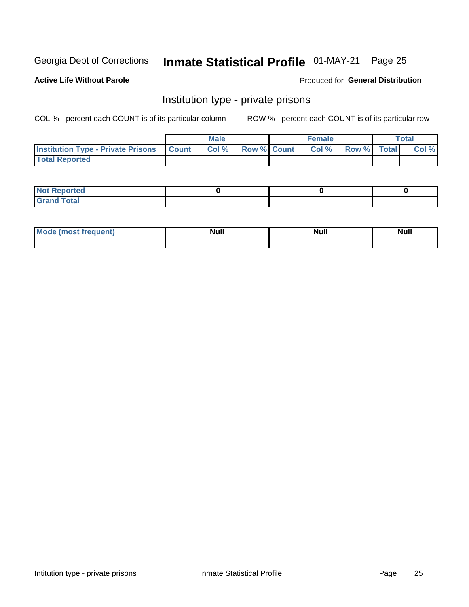# Inmate Statistical Profile 01-MAY-21 Page 25

### **Active Life Without Parole**

#### Produced for General Distribution

### Institution type - private prisons

COL % - percent each COUNT is of its particular column

|                                                     | <b>Male</b> |       |                    | <b>Female</b> |       |             | Total |       |
|-----------------------------------------------------|-------------|-------|--------------------|---------------|-------|-------------|-------|-------|
| <b>Institution Type - Private Prisons   Count  </b> |             | Col % | <b>Row % Count</b> |               | Col % | Row % Total |       | Col % |
| <b>Total Reported</b>                               |             |       |                    |               |       |             |       |       |

| Not Reported           |  |  |
|------------------------|--|--|
| <b>Cotal</b><br>______ |  |  |

| <b>Mo</b><br>frequent) | <b>Null</b> | <b>Null</b> | . . I *<br><b>IVUII</b> |
|------------------------|-------------|-------------|-------------------------|
|                        |             |             |                         |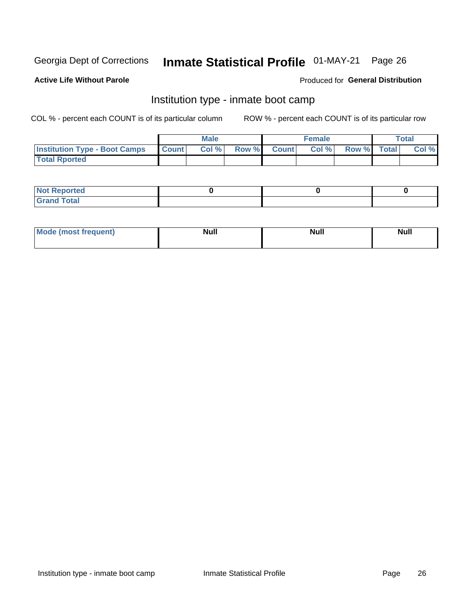# Inmate Statistical Profile 01-MAY-21 Page 26

#### **Active Life Without Parole**

#### Produced for General Distribution

### Institution type - inmate boot camp

COL % - percent each COUNT is of its particular column

|                                      | <b>Male</b>  |       |               |              | <b>Female</b> | <b>Total</b> |       |
|--------------------------------------|--------------|-------|---------------|--------------|---------------|--------------|-------|
| <b>Institution Type - Boot Camps</b> | <b>Count</b> | Col % | <b>Row %I</b> | <b>Count</b> | Col %         | Row % Total  | Col % |
| <b>Total Rported</b>                 |              |       |               |              |               |              |       |

| <b>Not Reported</b>            |  |  |
|--------------------------------|--|--|
| <b>Total</b><br>C <sub>r</sub> |  |  |

| Mod<br>uamo | Nul.<br>$- - - - - -$ | <b>Null</b> | <br>uu.<br>------ |
|-------------|-----------------------|-------------|-------------------|
|             |                       |             |                   |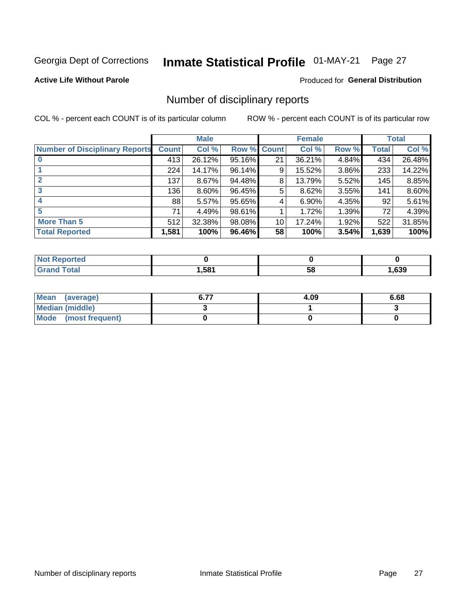# Inmate Statistical Profile 01-MAY-21 Page 27

#### **Active Life Without Parole**

### **Produced for General Distribution**

### Number of disciplinary reports

COL % - percent each COUNT is of its particular column

|                                       | <b>Male</b>  |          |        | <b>Female</b> |        |          | <b>Total</b> |        |
|---------------------------------------|--------------|----------|--------|---------------|--------|----------|--------------|--------|
| <b>Number of Disciplinary Reports</b> | <b>Count</b> | Col %    | Row %  | <b>Count</b>  | Col %  | Row %    | <b>Total</b> | Col %  |
|                                       | 413          | 26.12%   | 95.16% | 21            | 36.21% | 4.84%    | 434          | 26.48% |
|                                       | 224          | 14.17%   | 96.14% | 9             | 15.52% | 3.86%    | 233          | 14.22% |
| $\mathbf{2}$                          | 137          | $8.67\%$ | 94.48% | 8             | 13.79% | 5.52%    | 145          | 8.85%  |
| 3                                     | 136          | $8.60\%$ | 96.45% | 5             | 8.62%  | $3.55\%$ | 141          | 8.60%  |
|                                       | 88           | 5.57%    | 95.65% | 4             | 6.90%  | 4.35%    | 92           | 5.61%  |
| 5                                     | 71           | 4.49%    | 98.61% |               | 1.72%  | 1.39%    | 72           | 4.39%  |
| <b>More Than 5</b>                    | 512          | 32.38%   | 98.08% | 10            | 17.24% | 1.92%    | 522          | 31.85% |
| <b>Total Reported</b>                 | 1,581        | 100%     | 96.46% | 58            | 100%   | 3.54%    | 1,639        | 100%   |

| NO<br>τеο |      |    |      |
|-----------|------|----|------|
| Гоtal     | ,581 | Ⴢჾ | ,639 |

| Mean (average)         | 4.09 | 6.68 |
|------------------------|------|------|
| <b>Median (middle)</b> |      |      |
| Mode (most frequent)   |      |      |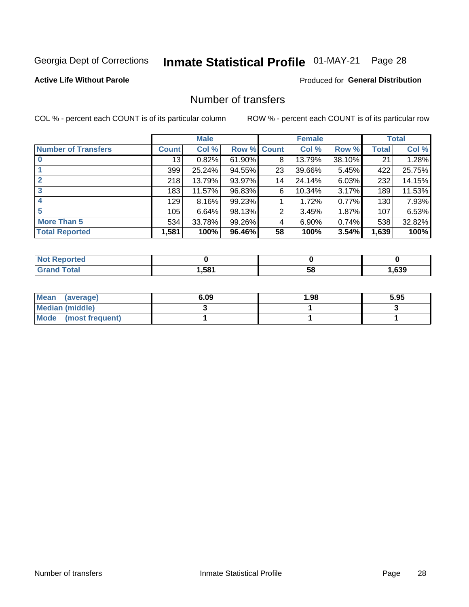# Inmate Statistical Profile 01-MAY-21 Page 28

#### **Active Life Without Parole**

### **Produced for General Distribution**

### Number of transfers

COL % - percent each COUNT is of its particular column

|                            |         | <b>Male</b> |        |              | <b>Female</b> |        |              | <b>Total</b> |
|----------------------------|---------|-------------|--------|--------------|---------------|--------|--------------|--------------|
| <b>Number of Transfers</b> | Count l | Col %       | Row %  | <b>Count</b> | Col %         | Row %  | <b>Total</b> | Col %        |
|                            | 13      | 0.82%       | 61.90% | 8            | 13.79%        | 38.10% | 21           | 1.28%        |
|                            | 399     | 25.24%      | 94.55% | 23           | 39.66%        | 5.45%  | 422          | 25.75%       |
| $\mathbf{2}$               | 218     | 13.79%      | 93.97% | 14           | 24.14%        | 6.03%  | 232          | 14.15%       |
| 3                          | 183     | 11.57%      | 96.83% | 6            | 10.34%        | 3.17%  | 189          | 11.53%       |
|                            | 129     | $8.16\%$    | 99.23% |              | 1.72%         | 0.77%  | 130          | 7.93%        |
| 5                          | 105     | 6.64%       | 98.13% | 2            | 3.45%         | 1.87%  | 107          | 6.53%        |
| <b>More Than 5</b>         | 534     | 33.78%      | 99.26% | 4            | 6.90%         | 0.74%  | 538          | 32.82%       |
| <b>Total Reported</b>      | 1,581   | 100%        | 96.46% | 58           | 100%          | 3.54%  | 1,639        | 100%         |

| NO<br>τеο |      |    |      |
|-----------|------|----|------|
| Гоtal     | ,581 | Ⴢჾ | ,639 |

| Mean (average)       | 6.09 | 1.98 | 5.95 |
|----------------------|------|------|------|
| Median (middle)      |      |      |      |
| Mode (most frequent) |      |      |      |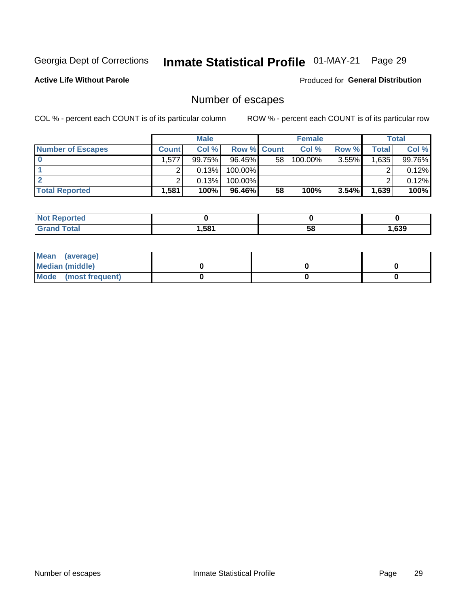# Inmate Statistical Profile 01-MAY-21 Page 29

**Active Life Without Parole** 

Produced for General Distribution

### Number of escapes

COL % - percent each COUNT is of its particular column

|                          | <b>Male</b>  |        |                    | <b>Female</b> |            |          | Total |        |
|--------------------------|--------------|--------|--------------------|---------------|------------|----------|-------|--------|
| <b>Number of Escapes</b> | <b>Count</b> | Col %  | <b>Row % Count</b> |               | Col %      | Row %    | Total | Col %  |
|                          | .577         | 99.75% | $96.45\%$          | 58            | $100.00\%$ | $3.55\%$ | 1,635 | 99.76% |
|                          |              | 0.13%  | 100.00%            |               |            |          |       | 0.12%  |
|                          |              | 0.13%  | $100.00\%$         |               |            |          |       | 0.12%  |
| <b>Total Reported</b>    | .581         | 100%   | $96.46\%$          | 58            | 100%       | $3.54\%$ | 1,639 | 100%   |

| <b>Reported</b><br><b>NOT</b> |       |    |      |
|-------------------------------|-------|----|------|
| <b>Total</b>                  | 581.ا | 58 | ,639 |

| Mean (average)       |  |  |
|----------------------|--|--|
| Median (middle)      |  |  |
| Mode (most frequent) |  |  |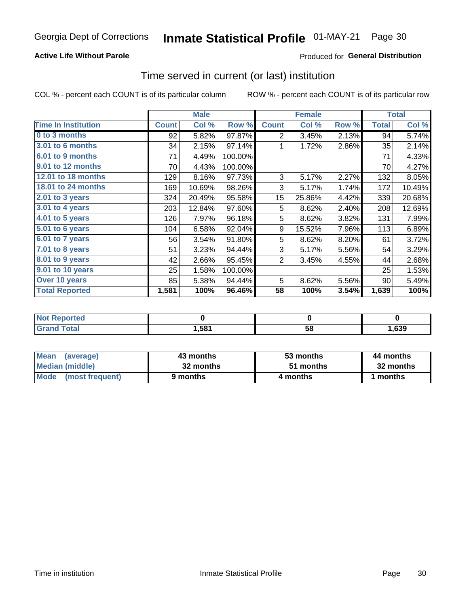### **Active Life Without Parole**

### Produced for General Distribution

### Time served in current (or last) institution

COL % - percent each COUNT is of its particular column

|                            |              | <b>Male</b> |         |              | <b>Female</b> | <b>Total</b> |              |        |
|----------------------------|--------------|-------------|---------|--------------|---------------|--------------|--------------|--------|
| <b>Time In Institution</b> | <b>Count</b> | Col %       | Row %   | <b>Count</b> | Col %         | Row %        | <b>Total</b> | Col %  |
| 0 to 3 months              | 92           | 5.82%       | 97.87%  | 2            | 3.45%         | 2.13%        | 94           | 5.74%  |
| <b>3.01 to 6 months</b>    | 34           | 2.15%       | 97.14%  |              | 1.72%         | 2.86%        | 35           | 2.14%  |
| 6.01 to 9 months           | 71           | 4.49%       | 100.00% |              |               |              | 71           | 4.33%  |
| 9.01 to 12 months          | 70           | 4.43%       | 100.00% |              |               |              | 70           | 4.27%  |
| <b>12.01 to 18 months</b>  | 129          | 8.16%       | 97.73%  | 3            | 5.17%         | 2.27%        | 132          | 8.05%  |
| <b>18.01 to 24 months</b>  | 169          | 10.69%      | 98.26%  | 3            | 5.17%         | 1.74%        | 172          | 10.49% |
| $2.01$ to 3 years          | 324          | 20.49%      | 95.58%  | 15           | 25.86%        | 4.42%        | 339          | 20.68% |
| 3.01 to 4 years            | 203          | 12.84%      | 97.60%  | 5            | 8.62%         | 2.40%        | 208          | 12.69% |
| $4.01$ to 5 years          | 126          | 7.97%       | 96.18%  | 5            | 8.62%         | 3.82%        | 131          | 7.99%  |
| 5.01 to 6 years            | 104          | 6.58%       | 92.04%  | 9            | 15.52%        | 7.96%        | 113          | 6.89%  |
| 6.01 to 7 years            | 56           | 3.54%       | 91.80%  | 5            | 8.62%         | 8.20%        | 61           | 3.72%  |
| 7.01 to 8 years            | 51           | 3.23%       | 94.44%  | 3            | 5.17%         | 5.56%        | 54           | 3.29%  |
| 8.01 to 9 years            | 42           | 2.66%       | 95.45%  | 2            | 3.45%         | 4.55%        | 44           | 2.68%  |
| 9.01 to 10 years           | 25           | 1.58%       | 100.00% |              |               |              | 25           | 1.53%  |
| Over 10 years              | 85           | 5.38%       | 94.44%  | 5            | 8.62%         | 5.56%        | 90           | 5.49%  |
| <b>Total Reported</b>      | 1,581        | 100%        | 96.46%  | 58           | 100%          | 3.54%        | 1,639        | 100%   |

| Reported<br><b>Not</b> |      |    |      |
|------------------------|------|----|------|
| <i>i</i> otal          | ,581 | vu | ,639 |

| <b>Mean</b><br>(average) | 43 months | 53 months | 44 months |
|--------------------------|-----------|-----------|-----------|
| Median (middle)          | 32 months | 51 months | 32 months |
| Mode (most frequent)     | 9 months  | 4 months  | 1 months  |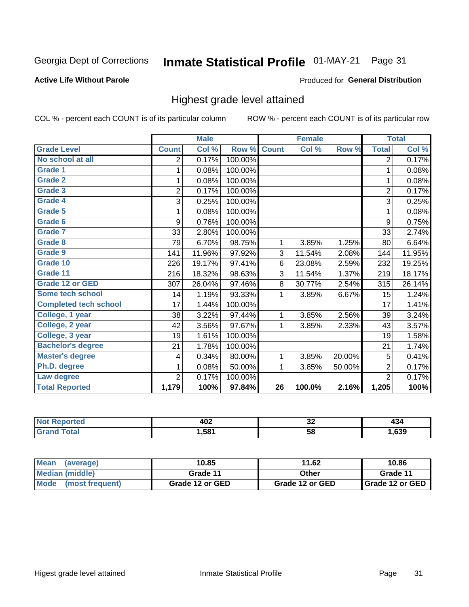#### Inmate Statistical Profile 01-MAY-21 Page 31

#### **Active Life Without Parole**

#### Produced for General Distribution

### Highest grade level attained

COL % - percent each COUNT is of its particular column

|                              |                | <b>Male</b> |         |                 | <b>Female</b> |        |                | <b>Total</b> |
|------------------------------|----------------|-------------|---------|-----------------|---------------|--------|----------------|--------------|
| <b>Grade Level</b>           | <b>Count</b>   | Col %       | Row %   | <b>Count</b>    | Col %         | Row %  | <b>Total</b>   | Col %        |
| No school at all             | 2              | 0.17%       | 100.00% |                 |               |        | $\overline{2}$ | 0.17%        |
| <b>Grade 1</b>               | 1              | 0.08%       | 100.00% |                 |               |        | 1              | 0.08%        |
| <b>Grade 2</b>               | 1              | 0.08%       | 100.00% |                 |               |        | 1              | 0.08%        |
| <b>Grade 3</b>               | $\overline{2}$ | 0.17%       | 100.00% |                 |               |        | $\overline{2}$ | 0.17%        |
| Grade 4                      | 3              | 0.25%       | 100.00% |                 |               |        | 3              | 0.25%        |
| Grade 5                      | 1              | 0.08%       | 100.00% |                 |               |        | 1              | 0.08%        |
| Grade 6                      | 9              | 0.76%       | 100.00% |                 |               |        | 9              | 0.75%        |
| Grade 7                      | 33             | 2.80%       | 100.00% |                 |               |        | 33             | 2.74%        |
| <b>Grade 8</b>               | 79             | 6.70%       | 98.75%  | 1               | 3.85%         | 1.25%  | 80             | 6.64%        |
| Grade 9                      | 141            | 11.96%      | 97.92%  | 3               | 11.54%        | 2.08%  | 144            | 11.95%       |
| Grade 10                     | 226            | 19.17%      | 97.41%  | 6               | 23.08%        | 2.59%  | 232            | 19.25%       |
| Grade 11                     | 216            | 18.32%      | 98.63%  | 3               | 11.54%        | 1.37%  | 219            | 18.17%       |
| <b>Grade 12 or GED</b>       | 307            | 26.04%      | 97.46%  | 8               | 30.77%        | 2.54%  | 315            | 26.14%       |
| Some tech school             | 14             | 1.19%       | 93.33%  | 1               | 3.85%         | 6.67%  | 15             | 1.24%        |
| <b>Completed tech school</b> | 17             | 1.44%       | 100.00% |                 |               |        | 17             | 1.41%        |
| College, 1 year              | 38             | 3.22%       | 97.44%  | 1               | 3.85%         | 2.56%  | 39             | 3.24%        |
| College, 2 year              | 42             | 3.56%       | 97.67%  | 1               | 3.85%         | 2.33%  | 43             | 3.57%        |
| College, 3 year              | 19             | 1.61%       | 100.00% |                 |               |        | 19             | 1.58%        |
| <b>Bachelor's degree</b>     | 21             | 1.78%       | 100.00% |                 |               |        | 21             | 1.74%        |
| <b>Master's degree</b>       | 4              | 0.34%       | 80.00%  | 1               | 3.85%         | 20.00% | 5              | 0.41%        |
| Ph.D. degree                 | 1              | 0.08%       | 50.00%  | 1               | 3.85%         | 50.00% | $\overline{2}$ | 0.17%        |
| Law degree                   | $\overline{2}$ | 0.17%       | 100.00% |                 |               |        | $\overline{2}$ | 0.17%        |
| <b>Total Reported</b>        | 1,179          | 100%        | 97.84%  | $\overline{26}$ | 100.0%        | 2.16%  | 1,205          | 100%         |

| rteo        | AN <sup>o</sup> | ^^ | .    |
|-------------|-----------------|----|------|
| NO          | TVŁ             | ◡∠ | -105 |
| <b>Utal</b> | .581            | 58 | ,639 |

| <b>Mean</b><br>(average) | 10.85           | 11.62           | 10.86           |
|--------------------------|-----------------|-----------------|-----------------|
| <b>Median (middle)</b>   | Grade 11        | Other           | Grade 11        |
| Mode<br>(most frequent)  | Grade 12 or GED | Grade 12 or GED | Grade 12 or GED |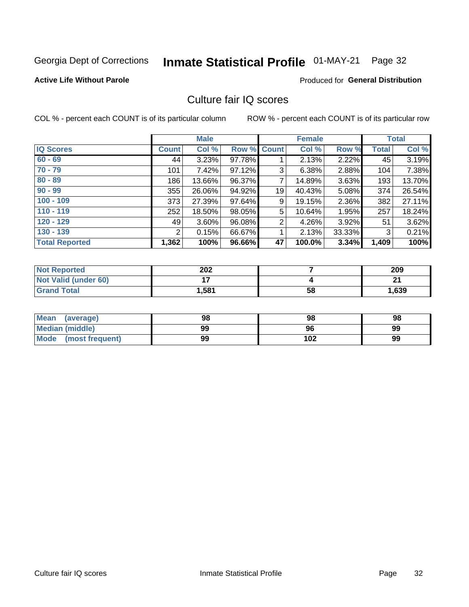#### Inmate Statistical Profile 01-MAY-21 Page 32

#### **Active Life Without Parole**

### **Produced for General Distribution**

### Culture fair IQ scores

COL % - percent each COUNT is of its particular column

|                       |                | <b>Male</b> |        |                | <b>Female</b> |          |              | <b>Total</b> |
|-----------------------|----------------|-------------|--------|----------------|---------------|----------|--------------|--------------|
| <b>IQ Scores</b>      | <b>Count</b>   | Col %       | Row %  | Count          | Col %         | Row %    | <b>Total</b> | Col %        |
| $60 - 69$             | 44             | 3.23%       | 97.78% |                | 2.13%         | 2.22%    | 45           | 3.19%        |
| $70 - 79$             | 101            | 7.42%       | 97.12% | 3              | 6.38%         | 2.88%    | 104          | 7.38%        |
| $80 - 89$             | 186            | 13.66%      | 96.37% | 7              | 14.89%        | $3.63\%$ | 193          | 13.70%       |
| $90 - 99$             | 355            | 26.06%      | 94.92% | 19             | 40.43%        | 5.08%    | 374          | 26.54%       |
| $100 - 109$           | 373            | 27.39%      | 97.64% | 9              | 19.15%        | 2.36%    | 382          | 27.11%       |
| $110 - 119$           | 252            | 18.50%      | 98.05% | 5              | 10.64%        | 1.95%    | 257          | 18.24%       |
| $120 - 129$           | 49             | $3.60\%$    | 96.08% | $\overline{2}$ | 4.26%         | $3.92\%$ | 51           | 3.62%        |
| $130 - 139$           | $\overline{2}$ | 0.15%       | 66.67% | 1              | 2.13%         | 33.33%   | 3            | 0.21%        |
| <b>Total Reported</b> | 1,362          | 100%        | 96.66% | 47             | 100.0%        | 3.34%    | 1,409        | 100%         |

| <b>Not Reported</b>  | 202   |    | 209   |
|----------------------|-------|----|-------|
| Not Valid (under 60) |       |    | ີ     |
| <b>Grand Total</b>   | 1,581 | 58 | 1,639 |

| <b>Mean</b><br>(average) | 98 | 98  | 98 |
|--------------------------|----|-----|----|
| <b>Median (middle)</b>   | 99 | 96  | 99 |
| Mode<br>(most frequent)  | 99 | 102 | 99 |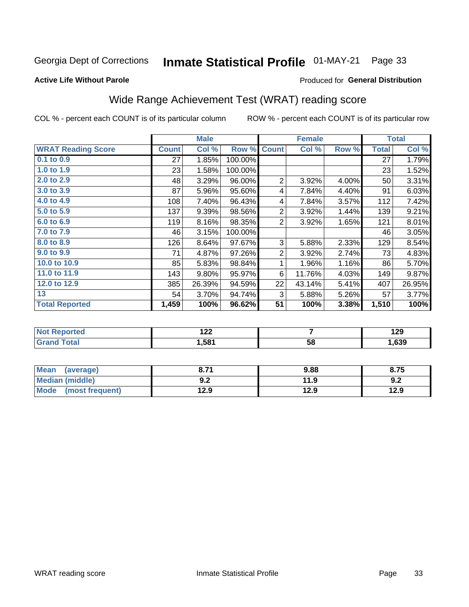#### Inmate Statistical Profile 01-MAY-21 Page 33

#### **Active Life Without Parole**

### Produced for General Distribution

## Wide Range Achievement Test (WRAT) reading score

COL % - percent each COUNT is of its particular column

|                           |              | <b>Male</b> |         | <b>Female</b>  |                |       | <b>Total</b> |        |
|---------------------------|--------------|-------------|---------|----------------|----------------|-------|--------------|--------|
| <b>WRAT Reading Score</b> | <b>Count</b> | Col %       | Row %   | <b>Count</b>   | Col %          | Row % | <b>Total</b> | Col %  |
| $0.1$ to $0.9$            | 27           | 1.85%       | 100.00% |                |                |       | 27           | 1.79%  |
| 1.0 to 1.9                | 23           | 1.58%       | 100.00% |                |                |       | 23           | 1.52%  |
| 2.0 to 2.9                | 48           | 3.29%       | 96.00%  | 2              | 3.92%          | 4.00% | 50           | 3.31%  |
| 3.0 to 3.9                | 87           | 5.96%       | 95.60%  | 4              | 7.84%          | 4.40% | 91           | 6.03%  |
| 4.0 to 4.9                | 108          | 7.40%       | 96.43%  | 4              | 7.84%          | 3.57% | 112          | 7.42%  |
| 5.0 to 5.9                | 137          | 9.39%       | 98.56%  | $\overline{2}$ | 3.92%          | 1.44% | 139          | 9.21%  |
| 6.0 to 6.9                | 119          | 8.16%       | 98.35%  | $\overline{2}$ | 3.92%          | 1.65% | 121          | 8.01%  |
| 7.0 to 7.9                | 46           | 3.15%       | 100.00% |                |                |       | 46           | 3.05%  |
| 8.0 to 8.9                | 126          | 8.64%       | 97.67%  | 3              | 5.88%          | 2.33% | 129          | 8.54%  |
| 9.0 to 9.9                | 71           | 4.87%       | 97.26%  | $\overline{2}$ | 3.92%          | 2.74% | 73           | 4.83%  |
| 10.0 to 10.9              | 85           | 5.83%       | 98.84%  | 1              | 1.96%          | 1.16% | 86           | 5.70%  |
| 11.0 to 11.9              | 143          | 9.80%       | 95.97%  | 6              | 11.76%         | 4.03% | 149          | 9.87%  |
| 12.0 to 12.9              | 385          | 26.39%      | 94.59%  | 22             | 43.14%         | 5.41% | 407          | 26.95% |
| 13                        | 54           | 3.70%       | 94.74%  | 3              | 5.88%          | 5.26% | 57           | 3.77%  |
| <b>Total Reported</b>     | 1,459        | 100%        | 96.62%  | 51             | 100%           | 3.38% | 1,510        | 100%   |
|                           |              |             |         |                |                |       |              |        |
| Not Penerted              |              | 122         |         |                | $\overline{ }$ |       |              | 120    |

| ortea | $\overline{100}$<br>. <i>. .</i> |    | 120<br>1 Z.J |
|-------|----------------------------------|----|--------------|
| _____ | .581                             | 58 | ,639         |
|       |                                  |    |              |

| <b>Mean</b><br>(average)       | 0.74       | 9.88 | 8.75 |
|--------------------------------|------------|------|------|
| <b>Median (middle)</b>         | ר ח<br>Y.Z | 11.9 | 9.Z  |
| <b>Mode</b><br>(most frequent) | l2.9       | 12.9 | 12.9 |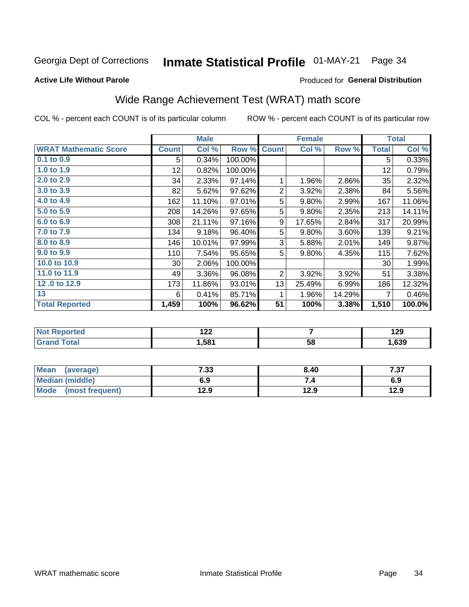#### Inmate Statistical Profile 01-MAY-21 Page 34

#### **Active Life Without Parole**

### Produced for General Distribution

## Wide Range Achievement Test (WRAT) math score

COL % - percent each COUNT is of its particular column

|                              |              | <b>Male</b> |         |                | <b>Female</b> |        |              | <b>Total</b> |
|------------------------------|--------------|-------------|---------|----------------|---------------|--------|--------------|--------------|
| <b>WRAT Mathematic Score</b> | <b>Count</b> | Col %       | Row %   | <b>Count</b>   | Col %         | Row %  | <b>Total</b> | Col %        |
| $0.1$ to $0.9$               | 5            | 0.34%       | 100.00% |                |               |        | 5            | 0.33%        |
| 1.0 to 1.9                   | 12           | 0.82%       | 100.00% |                |               |        | 12           | 0.79%        |
| 2.0 to 2.9                   | 34           | 2.33%       | 97.14%  | 1              | 1.96%         | 2.86%  | 35           | 2.32%        |
| 3.0 to 3.9                   | 82           | 5.62%       | 97.62%  | $\overline{2}$ | 3.92%         | 2.38%  | 84           | 5.56%        |
| 4.0 to 4.9                   | 162          | 11.10%      | 97.01%  | 5              | 9.80%         | 2.99%  | 167          | 11.06%       |
| 5.0 to 5.9                   | 208          | 14.26%      | 97.65%  | 5              | 9.80%         | 2.35%  | 213          | 14.11%       |
| 6.0 to 6.9                   | 308          | 21.11%      | 97.16%  | 9              | 17.65%        | 2.84%  | 317          | 20.99%       |
| 7.0 to 7.9                   | 134          | 9.18%       | 96.40%  | 5              | 9.80%         | 3.60%  | 139          | 9.21%        |
| 8.0 to 8.9                   | 146          | 10.01%      | 97.99%  | 3              | 5.88%         | 2.01%  | 149          | 9.87%        |
| 9.0 to 9.9                   | 110          | 7.54%       | 95.65%  | 5              | 9.80%         | 4.35%  | 115          | 7.62%        |
| 10.0 to 10.9                 | 30           | 2.06%       | 100.00% |                |               |        | 30           | 1.99%        |
| 11.0 to 11.9                 | 49           | 3.36%       | 96.08%  | $\overline{2}$ | 3.92%         | 3.92%  | 51           | 3.38%        |
| 12.0 to 12.9                 | 173          | 11.86%      | 93.01%  | 13             | 25.49%        | 6.99%  | 186          | 12.32%       |
| 13                           | 6            | 0.41%       | 85.71%  | 1              | 1.96%         | 14.29% | 7            | 0.46%        |
| <b>Total Reported</b>        | 1,459        | 100%        | 96.62%  | 51             | 100%          | 3.38%  | 1,510        | 100.0%       |
|                              |              |             |         |                |               |        |              |              |

| <b>Not Reported</b> | ה הו<br>175 |    | 190<br>1 Z J |
|---------------------|-------------|----|--------------|
| <b>Total</b>        | 581,ا       | 58 | ,639         |

| <b>Mean</b><br>(average)       | 7.33 | 8.40 | 7 27<br>، د. ا |
|--------------------------------|------|------|----------------|
| <b>Median (middle)</b>         | 6.9  |      | 6.9            |
| <b>Mode</b><br>(most frequent) | l2.9 | 12.9 | 12.9           |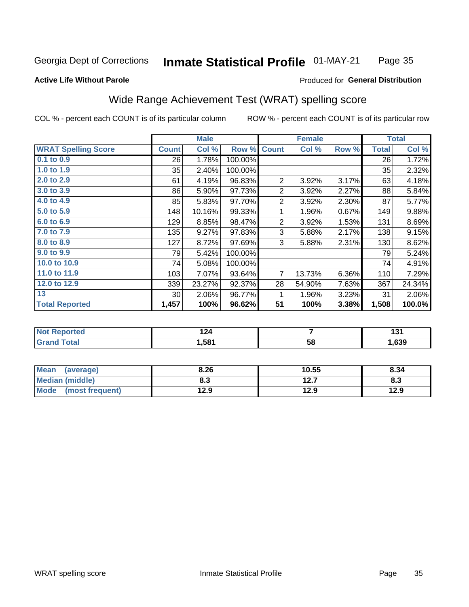#### Inmate Statistical Profile 01-MAY-21 Page 35

#### **Active Life Without Parole**

#### Produced for General Distribution

### Wide Range Achievement Test (WRAT) spelling score

COL % - percent each COUNT is of its particular column

|                            |              | <b>Male</b> |         | <b>Female</b>  |        |       | <b>Total</b> |        |
|----------------------------|--------------|-------------|---------|----------------|--------|-------|--------------|--------|
| <b>WRAT Spelling Score</b> | <b>Count</b> | Col %       | Row %   | <b>Count</b>   | Col %  | Row % | <b>Total</b> | Col %  |
| 0.1 to 0.9                 | 26           | 1.78%       | 100.00% |                |        |       | 26           | 1.72%  |
| 1.0 to 1.9                 | 35           | 2.40%       | 100.00% |                |        |       | 35           | 2.32%  |
| 2.0 to 2.9                 | 61           | 4.19%       | 96.83%  | 2              | 3.92%  | 3.17% | 63           | 4.18%  |
| 3.0 to 3.9                 | 86           | 5.90%       | 97.73%  | $\overline{2}$ | 3.92%  | 2.27% | 88           | 5.84%  |
| 4.0 to 4.9                 | 85           | 5.83%       | 97.70%  | $\overline{2}$ | 3.92%  | 2.30% | 87           | 5.77%  |
| 5.0 to 5.9                 | 148          | 10.16%      | 99.33%  | 1              | 1.96%  | 0.67% | 149          | 9.88%  |
| 6.0 to 6.9                 | 129          | 8.85%       | 98.47%  | $\overline{2}$ | 3.92%  | 1.53% | 131          | 8.69%  |
| 7.0 to 7.9                 | 135          | 9.27%       | 97.83%  | 3              | 5.88%  | 2.17% | 138          | 9.15%  |
| 8.0 to 8.9                 | 127          | 8.72%       | 97.69%  | 3              | 5.88%  | 2.31% | 130          | 8.62%  |
| 9.0 to 9.9                 | 79           | 5.42%       | 100.00% |                |        |       | 79           | 5.24%  |
| 10.0 to 10.9               | 74           | 5.08%       | 100.00% |                |        |       | 74           | 4.91%  |
| 11.0 to 11.9               | 103          | 7.07%       | 93.64%  | $\overline{7}$ | 13.73% | 6.36% | 110          | 7.29%  |
| 12.0 to 12.9               | 339          | 23.27%      | 92.37%  | 28             | 54.90% | 7.63% | 367          | 24.34% |
| 13                         | 30           | 2.06%       | 96.77%  | 1              | 1.96%  | 3.23% | 31           | 2.06%  |
| <b>Total Reported</b>      | 1,457        | 100%        | 96.62%  | 51             | 100%   | 3.38% | 1,508        | 100.0% |
|                            |              |             |         |                |        |       |              |        |
| <b>Not Reported</b>        |              | 124         |         | $\overline{7}$ |        |       | 131          |        |
| <b>Grand Total</b>         |              | 1,581       |         |                | 58     |       |              | 1,639  |

| <b>Mean</b><br>(average) | 8.26 | 10.55         | 8.34 |
|--------------------------|------|---------------|------|
| <b>Median (middle)</b>   | 8.3  | 1つ フ<br>I 4.I | ი.ა  |
| Mode<br>(most frequent)  | 12.9 | 12.9          | 12.9 |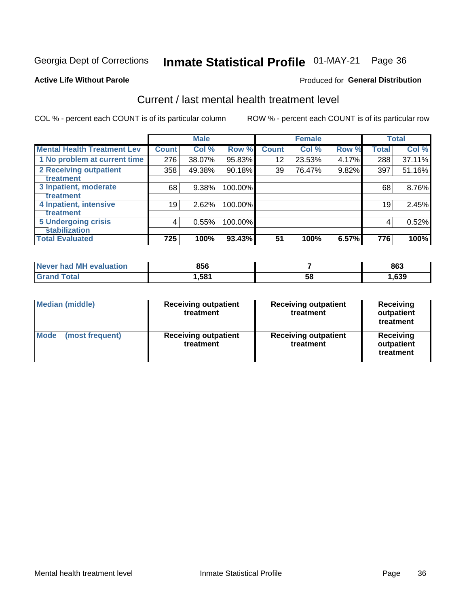# Inmate Statistical Profile 01-MAY-21 Page 36

#### **Active Life Without Parole**

### **Produced for General Distribution**

### Current / last mental health treatment level

COL % - percent each COUNT is of its particular column

|                                    |              | <b>Male</b> |         |              | <b>Female</b> |       |              | <b>Total</b> |
|------------------------------------|--------------|-------------|---------|--------------|---------------|-------|--------------|--------------|
| <b>Mental Health Treatment Lev</b> | <b>Count</b> | Col %       | Row %   | <b>Count</b> | Col %         | Row % | <b>Total</b> | Col %        |
| 1 No problem at current time       | 276          | 38.07%      | 95.83%  | 12           | 23.53%        | 4.17% | 288          | 37.11%       |
| 2 Receiving outpatient             | 358          | 49.38%      | 90.18%  | 39           | 76.47%        | 9.82% | 397          | 51.16%       |
| <b>Treatment</b>                   |              |             |         |              |               |       |              |              |
| 3 Inpatient, moderate              | 68           | 9.38%       | 100.00% |              |               |       | 68           | 8.76%        |
| Treatment                          |              |             |         |              |               |       |              |              |
| 4 Inpatient, intensive             | 19           | 2.62%       | 100.00% |              |               |       | 19           | 2.45%        |
| Treatment                          |              |             |         |              |               |       |              |              |
| <b>5 Undergoing crisis</b>         | 4            | 0.55%       | 100.00% |              |               |       | 4            | 0.52%        |
| <b>stabilization</b>               |              |             |         |              |               |       |              |              |
| <b>Total Evaluated</b>             | 725          | 100%        | 93.43%  | 51           | 100%          | 6.57% | 776          | 100%         |

| <b>evaluation</b><br>Never had MF | 856   |    | 863  |
|-----------------------------------|-------|----|------|
| $f$ otol                          | .,581 | 58 | ,639 |

| Median (middle)                | <b>Receiving outpatient</b><br>treatment | <b>Receiving outpatient</b><br>treatment | <b>Receiving</b><br>outpatient<br>treatment |  |  |
|--------------------------------|------------------------------------------|------------------------------------------|---------------------------------------------|--|--|
| <b>Mode</b><br>(most frequent) | <b>Receiving outpatient</b><br>treatment | <b>Receiving outpatient</b><br>treatment | <b>Receiving</b><br>outpatient<br>treatment |  |  |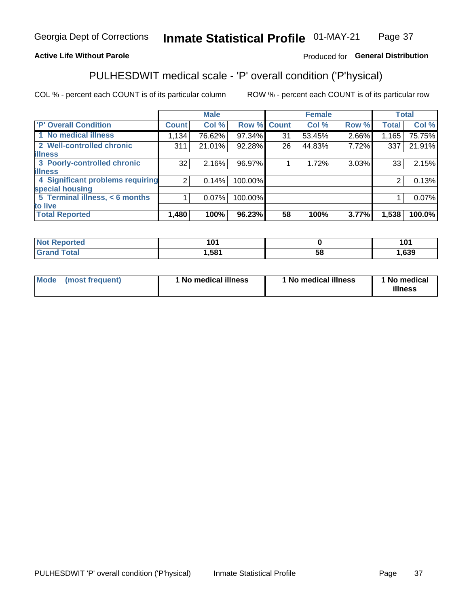#### Inmate Statistical Profile 01-MAY-21 Page 37

### **Active Life Without Parole**

### Produced for General Distribution

## PULHESDWIT medical scale - 'P' overall condition ('P'hysical)

COL % - percent each COUNT is of its particular column

|                                  |                | <b>Male</b> |             |    | <b>Female</b> |       |              | <b>Total</b> |
|----------------------------------|----------------|-------------|-------------|----|---------------|-------|--------------|--------------|
| 'P' Overall Condition            | <b>Count</b>   | Col %       | Row % Count |    | Col %         | Row % | <b>Total</b> | Col %        |
| 1 No medical illness             | 1,134          | 76.62%      | 97.34%      | 31 | 53.45%        | 2.66% | 1,165        | 75.75%       |
| 2 Well-controlled chronic        | 311            | 21.01%      | 92.28%      | 26 | 44.83%        | 7.72% | 337          | 21.91%       |
| <b>lillness</b>                  |                |             |             |    |               |       |              |              |
| 3 Poorly-controlled chronic      | 32             | 2.16%       | 96.97%      |    | 1.72%         | 3.03% | 33           | 2.15%        |
| <b>illness</b>                   |                |             |             |    |               |       |              |              |
| 4 Significant problems requiring | $\overline{2}$ | 0.14%       | 100.00%     |    |               |       | 2            | 0.13%        |
| special housing                  |                |             |             |    |               |       |              |              |
| 5 Terminal illness, < 6 months   |                | $0.07\%$    | 100.00%     |    |               |       |              | 0.07%        |
| to live                          |                |             |             |    |               |       |              |              |
| <b>Total Reported</b>            | 1,480          | 100%        | 96.23%      | 58 | 100%          | 3.77% | 1,538        | 100.0%       |

| rtea<br>ени<br>           | 1 N 1<br>ו טו |    | 1 N 1<br>ιv |
|---------------------------|---------------|----|-------------|
| $F_{\alpha}$ ial<br>_____ | 581,ا         | Эč | ,639        |

|  |  | Mode (most frequent) | 1 No medical illness | 1 No medical illness | 1 No medical<br>illness |
|--|--|----------------------|----------------------|----------------------|-------------------------|
|--|--|----------------------|----------------------|----------------------|-------------------------|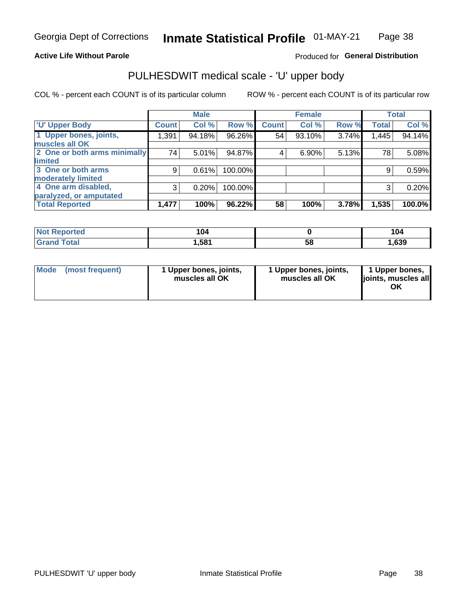#### **Active Life Without Parole**

### Produced for General Distribution

# PULHESDWIT medical scale - 'U' upper body

COL % - percent each COUNT is of its particular column

|                              |              | <b>Male</b> |         |              | <b>Female</b> |       |              | <b>Total</b> |
|------------------------------|--------------|-------------|---------|--------------|---------------|-------|--------------|--------------|
| <b>'U' Upper Body</b>        | <b>Count</b> | Col %       | Row %   | <b>Count</b> | Col %         | Row % | <b>Total</b> | Col %        |
| 1 Upper bones, joints,       | 1,391        | 94.18%      | 96.26%  | 54           | 93.10%        | 3.74% | 1,445        | 94.14%       |
| muscles all OK               |              |             |         |              |               |       |              |              |
| 2 One or both arms minimally | 74           | 5.01%       | 94.87%  | 4            | 6.90%         | 5.13% | 78           | 5.08%        |
| limited                      |              |             |         |              |               |       |              |              |
| 3 One or both arms           | 9            | 0.61%       | 100.00% |              |               |       | 9            | 0.59%        |
| moderately limited           |              |             |         |              |               |       |              |              |
| 4 One arm disabled,          | 3            | 0.20%       | 100.00% |              |               |       | 3            | 0.20%        |
| paralyzed, or amputated      |              |             |         |              |               |       |              |              |
| <b>Total Reported</b>        | 1,477        | 100%        | 96.22%  | 58           | 100%          | 3.78% | 1,535        | 100.0%       |

| <b>Not Reported</b> | 104  |    | 104  |
|---------------------|------|----|------|
| <b>Grand Total</b>  | ,581 | 58 | ,639 |

| <b>Mode</b> | (most frequent) | 1 Upper bones, joints,<br>muscles all OK | 1 Upper bones, joints,<br>muscles all OK | 1 Upper bones,<br>ljoints, muscles all<br>ОK |
|-------------|-----------------|------------------------------------------|------------------------------------------|----------------------------------------------|
|-------------|-----------------|------------------------------------------|------------------------------------------|----------------------------------------------|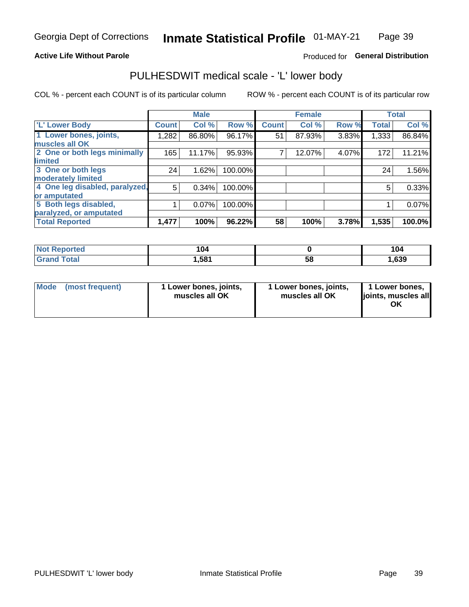#### **Active Life Without Parole**

#### Produced for General Distribution

### PULHESDWIT medical scale - 'L' lower body

COL % - percent each COUNT is of its particular column

|                                |              | <b>Male</b> |         |              | <b>Female</b> |       |              | <b>Total</b> |
|--------------------------------|--------------|-------------|---------|--------------|---------------|-------|--------------|--------------|
| 'L' Lower Body                 | <b>Count</b> | Col %       | Row %   | <b>Count</b> | Col %         | Row % | <b>Total</b> | Col %        |
| 1 Lower bones, joints,         | 1,282        | 86.80%      | 96.17%  | 51           | 87.93%        | 3.83% | 1,333        | 86.84%       |
| muscles all OK                 |              |             |         |              |               |       |              |              |
| 2 One or both legs minimally   | 165          | 11.17%      | 95.93%  |              | 12.07%        | 4.07% | 172          | 11.21%       |
| limited                        |              |             |         |              |               |       |              |              |
| 3 One or both legs             | 24           | 1.62%       | 100.00% |              |               |       | 24           | 1.56%        |
| moderately limited             |              |             |         |              |               |       |              |              |
| 4 One leg disabled, paralyzed, | 5            | 0.34%       | 100.00% |              |               |       | 5            | 0.33%        |
| or amputated                   |              |             |         |              |               |       |              |              |
| 5 Both legs disabled,          |              | 0.07%       | 100.00% |              |               |       |              | 0.07%        |
| paralyzed, or amputated        |              |             |         |              |               |       |              |              |
| <b>Total Reported</b>          | 1,477        | 100%        | 96.22%  | 58           | 100%          | 3.78% | 1,535        | 100.0%       |

| <b>Not Reported</b> | 04    |    | 104  |
|---------------------|-------|----|------|
| <b>Grand Total</b>  | 581,ا | ხშ | ,639 |

| Mode (most frequent) | I Lower bones, joints,<br>muscles all OK | 1 Lower bones, joints,<br>muscles all OK | 1 Lower bones,<br>joints, muscles all<br>ΟK |
|----------------------|------------------------------------------|------------------------------------------|---------------------------------------------|
|----------------------|------------------------------------------|------------------------------------------|---------------------------------------------|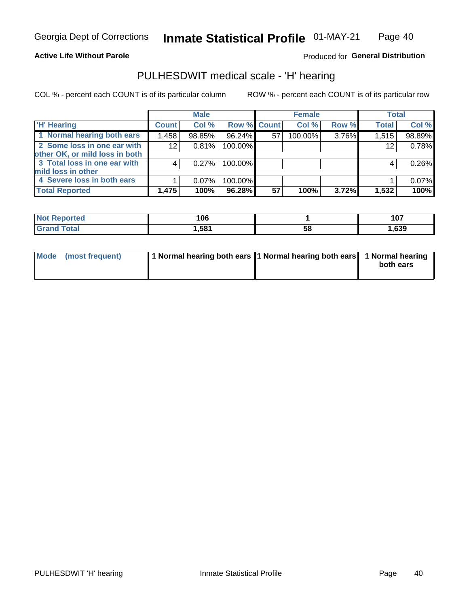#### **Active Life Without Parole**

Produced for General Distribution

### PULHESDWIT medical scale - 'H' hearing

COL % - percent each COUNT is of its particular column

|                                |              | <b>Male</b> |                    |    | <b>Female</b> |       | <b>Total</b> |        |
|--------------------------------|--------------|-------------|--------------------|----|---------------|-------|--------------|--------|
| <b>H' Hearing</b>              | <b>Count</b> | Col %       | <b>Row % Count</b> |    | Col %         | Row % | <b>Total</b> | Col %  |
| 1 Normal hearing both ears     | 1,458        | 98.85%      | 96.24%             | 57 | 100.00%       | 3.76% | 1,515        | 98.89% |
| 2 Some loss in one ear with    | 12           | 0.81%       | 100.00%            |    |               |       | 12           | 0.78%  |
| other OK, or mild loss in both |              |             |                    |    |               |       |              |        |
| 3 Total loss in one ear with   | 4            | 0.27%       | 100.00%            |    |               |       | 4            | 0.26%  |
| mild loss in other             |              |             |                    |    |               |       |              |        |
| 4 Severe loss in both ears     |              | $0.07\%$    | 100.00%            |    |               |       |              | 0.07%  |
| <b>Total Reported</b>          | 1,475        | 100%        | 96.28%             | 57 | 100%          | 3.72% | 1,532        | 100%   |

| <b>Not</b><br>ported | 106 |    | 1 N 7<br>1 V 1 |
|----------------------|-----|----|----------------|
| $\sim$ 10            | 581 | Эō | ,639           |

| Mode (most frequent) | 1 Normal hearing both ears 1 Normal hearing both ears 1 Normal hearing | both ears |
|----------------------|------------------------------------------------------------------------|-----------|
|                      |                                                                        |           |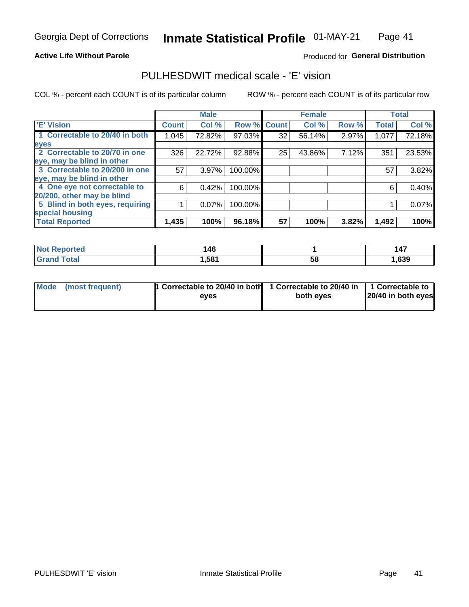#### **Active Life Without Parole**

#### Produced for General Distribution

### PULHESDWIT medical scale - 'E' vision

COL % - percent each COUNT is of its particular column

|                                 |              | <b>Male</b> |         |              | <b>Female</b> |       |              | <b>Total</b> |
|---------------------------------|--------------|-------------|---------|--------------|---------------|-------|--------------|--------------|
| 'E' Vision                      | <b>Count</b> | Col %       | Row %   | <b>Count</b> | Col %         | Row % | <b>Total</b> | Col %        |
| 1 Correctable to 20/40 in both  | 1,045        | 72.82%      | 97.03%  | 32           | 56.14%        | 2.97% | 1,077        | 72.18%       |
| eyes                            |              |             |         |              |               |       |              |              |
| 2 Correctable to 20/70 in one   | 326          | 22.72%      | 92.88%  | 25           | 43.86%        | 7.12% | 351          | 23.53%       |
| eye, may be blind in other      |              |             |         |              |               |       |              |              |
| 3 Correctable to 20/200 in one  | 57           | 3.97%       | 100.00% |              |               |       | 57           | 3.82%        |
| eye, may be blind in other      |              |             |         |              |               |       |              |              |
| 4 One eye not correctable to    | 6            | 0.42%       | 100.00% |              |               |       | 6            | 0.40%        |
| 20/200, other may be blind      |              |             |         |              |               |       |              |              |
| 5 Blind in both eyes, requiring |              | 0.07%       | 100.00% |              |               |       |              | 0.07%        |
| special housing                 |              |             |         |              |               |       |              |              |
| <b>Total Reported</b>           | 1,435        | 100%        | 96.18%  | 57           | 100%          | 3.82% | 1,492        | 100%         |

| <i><b>ported</b></i><br>NO:<br>Reno | ،46   |    | .<br>147 |
|-------------------------------------|-------|----|----------|
| $T \cap f \cap$                     | Ⅰ,581 | 58 | ,639     |

| Mode (most frequent) | 1 Correctable to 20/40 in both<br>eves | 1 Correctable to 20/40 in   1 Correctable to  <br>both eyes | 20/40 in both eyes |
|----------------------|----------------------------------------|-------------------------------------------------------------|--------------------|
|                      |                                        |                                                             |                    |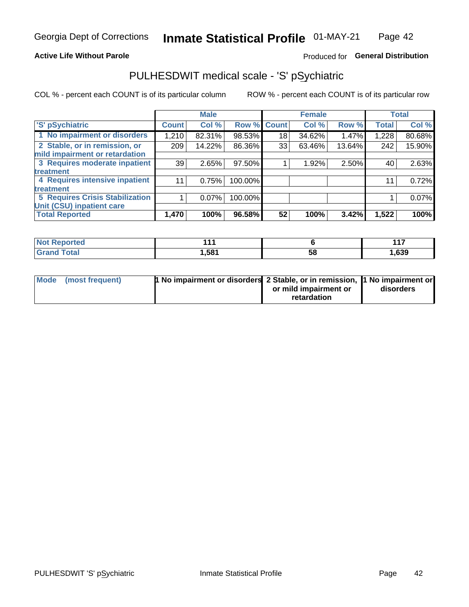#### **Active Life Without Parole**

### Produced for General Distribution

### PULHESDWIT medical scale - 'S' pSychiatric

COL % - percent each COUNT is of its particular column

|                                        |              | <b>Male</b> |                    |    | <b>Female</b> |        |              | <b>Total</b> |
|----------------------------------------|--------------|-------------|--------------------|----|---------------|--------|--------------|--------------|
| 'S' pSychiatric                        | <b>Count</b> | Col %       | <b>Row % Count</b> |    | Col %         | Row %  | <b>Total</b> | Col %        |
| 1 No impairment or disorders           | 1,210        | 82.31%      | 98.53%             | 18 | 34.62%        | 1.47%  | 1,228        | 80.68%       |
| 2 Stable, or in remission, or          | 209          | 14.22%      | 86.36%             | 33 | 63.46%        | 13.64% | 242          | 15.90%       |
| mild impairment or retardation         |              |             |                    |    |               |        |              |              |
| 3 Requires moderate inpatient          | 39           | 2.65%       | 97.50%             |    | 1.92%         | 2.50%  | 40           | 2.63%        |
| treatment                              |              |             |                    |    |               |        |              |              |
| 4 Requires intensive inpatient         | 11           | 0.75%       | 100.00%            |    |               |        | 11           | 0.72%        |
| treatment                              |              |             |                    |    |               |        |              |              |
| <b>5 Requires Crisis Stabilization</b> |              | $0.07\%$    | 100.00%            |    |               |        |              | 0.07%        |
| Unit (CSU) inpatient care              |              |             |                    |    |               |        |              |              |
| <b>Total Reported</b>                  | 1,470        | 100%        | 96.58%             | 52 | 100%          | 3.42%  | 1,522        | 100%         |

| <b>Not Reported</b> | 444   |    | 447   |
|---------------------|-------|----|-------|
| <b>Grand Total</b>  | 581,ا | 58 | 1,639 |

| Mode (most frequent) | <b>1 No impairment or disorders 2 Stable, or in remission, 1 No impairment or</b> |                       |           |
|----------------------|-----------------------------------------------------------------------------------|-----------------------|-----------|
|                      |                                                                                   | or mild impairment or | disorders |
|                      |                                                                                   | retardation           |           |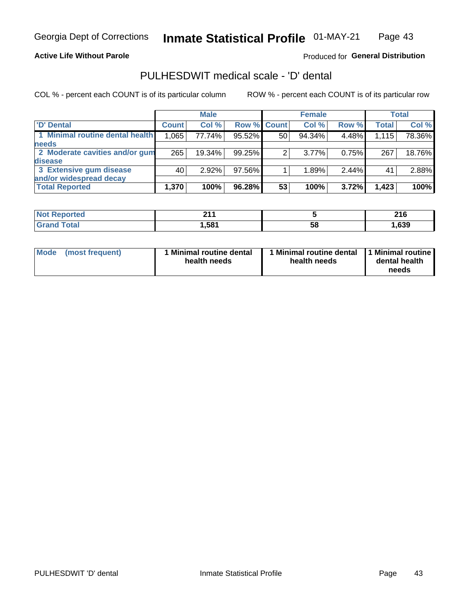#### **Active Life Without Parole**

### Produced for General Distribution

### PULHESDWIT medical scale - 'D' dental

COL % - percent each COUNT is of its particular column

|                                 |              | <b>Male</b> |                    |    | <b>Female</b> |       |              | Total  |
|---------------------------------|--------------|-------------|--------------------|----|---------------|-------|--------------|--------|
| 'D' Dental                      | <b>Count</b> | Col %       | <b>Row % Count</b> |    | Col %         | Row % | <b>Total</b> | Col %  |
| 1 Minimal routine dental health | 1,065        | 77.74%      | 95.52%             | 50 | 94.34%        | 4.48% | 1,115        | 78.36% |
| <b>needs</b>                    |              |             |                    |    |               |       |              |        |
| 2 Moderate cavities and/or gum  | 265          | 19.34%      | 99.25%             | 2  | $3.77\%$      | 0.75% | 267          | 18.76% |
| <b>disease</b>                  |              |             |                    |    |               |       |              |        |
| 3 Extensive gum disease         | 40           | 2.92%       | 97.56%             |    | 1.89%         | 2.44% | 41           | 2.88%  |
| and/or widespread decay         |              |             |                    |    |               |       |              |        |
| <b>Total Reported</b>           | 1,370        | 100%        | 96.28%             | 53 | 100%          | 3.72% | 1,423        | 100%   |

| prtea<br>NOT F<br> | 24<br>.          |    | 24C<br>2 I U |
|--------------------|------------------|----|--------------|
| <b>cotal</b>       | .58 <sup>4</sup> | 58 | ,639         |

| Mode<br>(most frequent) | Minimal routine dental<br>health needs | <b>Minimal routine dental</b><br>health needs | 1 Minimal routine<br>dental health<br>needs |
|-------------------------|----------------------------------------|-----------------------------------------------|---------------------------------------------|
|-------------------------|----------------------------------------|-----------------------------------------------|---------------------------------------------|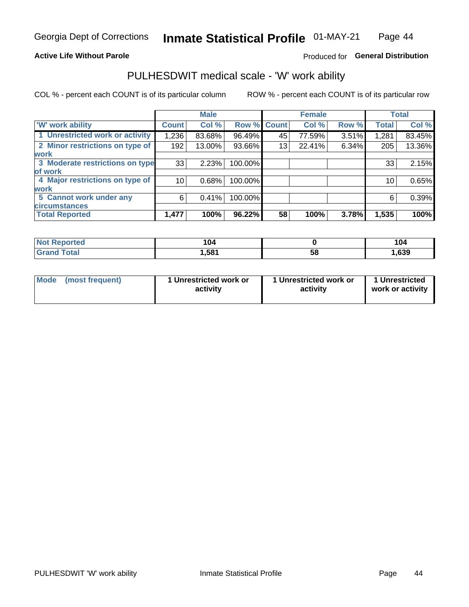#### **Active Life Without Parole**

### Produced for General Distribution

### PULHESDWIT medical scale - 'W' work ability

COL % - percent each COUNT is of its particular column

|                                 |              | <b>Male</b> |         |             | <b>Female</b> |       |              | <b>Total</b> |
|---------------------------------|--------------|-------------|---------|-------------|---------------|-------|--------------|--------------|
| <b>W' work ability</b>          | <b>Count</b> | Col %       |         | Row % Count | Col %         | Row % | <b>Total</b> | Col %        |
| 1 Unrestricted work or activity | 1,236        | 83.68%      | 96.49%  | 45          | 77.59%        | 3.51% | 1,281        | 83.45%       |
| 2 Minor restrictions on type of | 192          | 13.00%      | 93.66%  | 13          | 22.41%        | 6.34% | 205          | 13.36%       |
| <b>work</b>                     |              |             |         |             |               |       |              |              |
| 3 Moderate restrictions on type | 33           | 2.23%       | 100.00% |             |               |       | 33           | 2.15%        |
| lof work                        |              |             |         |             |               |       |              |              |
| 4 Major restrictions on type of | 10           | 0.68%       | 100.00% |             |               |       | 10           | 0.65%        |
| <b>work</b>                     |              |             |         |             |               |       |              |              |
| 5 Cannot work under any         | 6            | 0.41%       | 100.00% |             |               |       | 6            | 0.39%        |
| <b>circumstances</b>            |              |             |         |             |               |       |              |              |
| <b>Total Reported</b>           | 1,477        | 100%        | 96.22%  | 58          | 100%          | 3.78% | 1,535        | 100%         |

| <b>Not Reported</b> | 104  |   | 104  |
|---------------------|------|---|------|
| <b>Total</b>        | ,581 | ວ | ,639 |

| Mode            | 1 Unrestricted work or | 1 Unrestricted work or | 1 Unrestricted   |
|-----------------|------------------------|------------------------|------------------|
| (most frequent) | activity               | activity               | work or activity |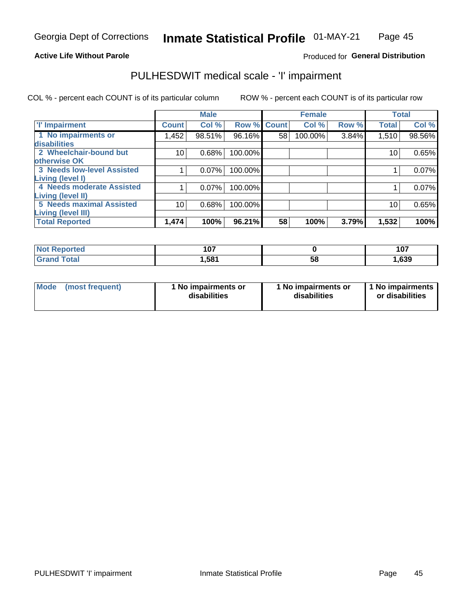#### **Active Life Without Parole**

### Produced for General Distribution

### PULHESDWIT medical scale - 'I' impairment

COL % - percent each COUNT is of its particular column ROW % - percent each COUNT is of its particular row

|                                                       |                 | <b>Male</b> |                    |    | <b>Female</b> |       |              | <b>Total</b> |
|-------------------------------------------------------|-----------------|-------------|--------------------|----|---------------|-------|--------------|--------------|
| <b>T' Impairment</b>                                  | <b>Count</b>    | Col %       | <b>Row % Count</b> |    | Col %         | Row % | <b>Total</b> | Col %        |
| 1 No impairments or<br>disabilities                   | 1,452           | 98.51%      | 96.16%             | 58 | 100.00%       | 3.84% | 1,510        | 98.56%       |
| 2 Wheelchair-bound but                                | 10 <sub>1</sub> | 0.68%       | 100.00%            |    |               |       | 10           | 0.65%        |
| otherwise OK<br><b>3 Needs low-level Assisted</b>     |                 | 0.07%       | 100.00%            |    |               |       |              | 0.07%        |
| Living (level I)                                      |                 |             |                    |    |               |       |              |              |
| 4 Needs moderate Assisted<br><b>Living (level II)</b> |                 | 0.07%       | 100.00%            |    |               |       |              | 0.07%        |
| <b>5 Needs maximal Assisted</b>                       | 10              | 0.68%       | 100.00%            |    |               |       | 10           | 0.65%        |
| <b>Living (level III)</b><br><b>Total Reported</b>    | 1,474           | 100%        | 96.21%             | 58 | 100%          | 3.79% | 1,532        | 100%         |

| วrted | 107<br><u>. v i</u> |    | 107   |
|-------|---------------------|----|-------|
|       | .581                | 58 | 1,639 |

| Mode | (most frequent) | 1 No impairments or<br>disabilities | 1 No impairments or<br>disabilities | 1 No impairments<br>or disabilities |
|------|-----------------|-------------------------------------|-------------------------------------|-------------------------------------|
|------|-----------------|-------------------------------------|-------------------------------------|-------------------------------------|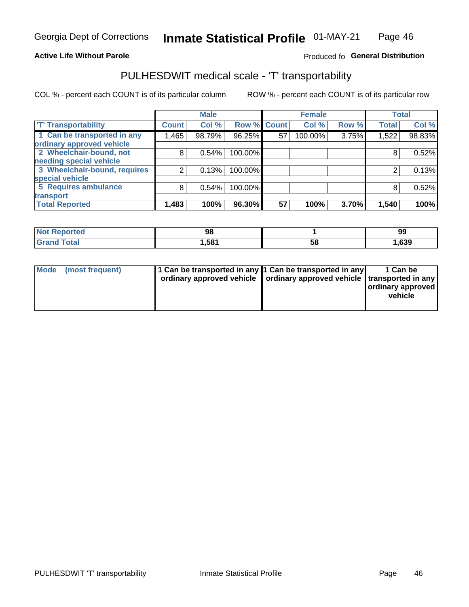#### **Active Life Without Parole**

#### Produced fo General Distribution

### PULHESDWIT medical scale - 'T' transportability

COL % - percent each COUNT is of its particular column

|                                                      |              | <b>Male</b> |         |                    | <b>Female</b> |       |              | <b>Total</b> |
|------------------------------------------------------|--------------|-------------|---------|--------------------|---------------|-------|--------------|--------------|
| <b>T' Transportability</b>                           | <b>Count</b> | Col %       |         | <b>Row % Count</b> | Col %         | Row % | <b>Total</b> | Col %        |
| 1 Can be transported in any                          | .465         | 98.79%      | 96.25%  | 57                 | 100.00%       | 3.75% | 1,522        | 98.83%       |
| ordinary approved vehicle<br>2 Wheelchair-bound, not | 8            | 0.54%       | 100.00% |                    |               |       |              | 0.52%        |
| needing special vehicle                              |              |             |         |                    |               |       |              |              |
| 3 Wheelchair-bound, requires                         |              | 0.13%       | 100.00% |                    |               |       |              | 0.13%        |
| special vehicle                                      |              |             |         |                    |               |       |              |              |
| 5 Requires ambulance                                 | 8            | 0.54%       | 100.00% |                    |               |       |              | 0.52%        |
| transport                                            |              |             |         |                    |               |       |              |              |
| <b>Total Reported</b>                                | 1,483        | 100%        | 96.30%  | 57                 | 100%          | 3.70% | 1,540        | 100%         |

| rted        | 98    |     | 99   |
|-------------|-------|-----|------|
| <b>otal</b> | 581.ا | IJΟ | ,639 |

| <b>Mode</b> | (most frequent) | 1 Can be transported in any 1 Can be transported in any | ordinary approved vehicle   ordinary approved vehicle   transported in any | 1 Can be<br>  ordinary approved  <br>vehicle |
|-------------|-----------------|---------------------------------------------------------|----------------------------------------------------------------------------|----------------------------------------------|
|-------------|-----------------|---------------------------------------------------------|----------------------------------------------------------------------------|----------------------------------------------|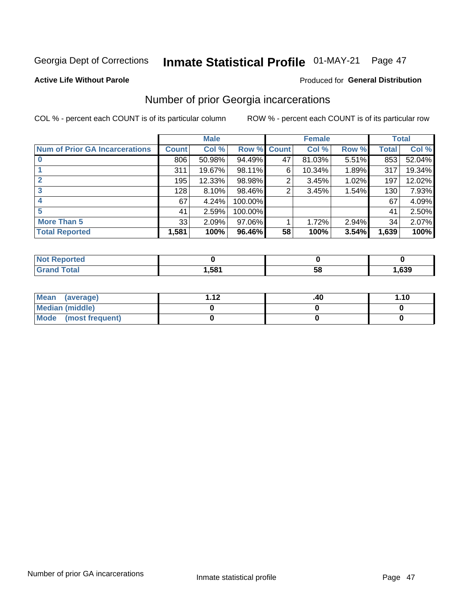# Inmate Statistical Profile 01-MAY-21 Page 47

#### **Active Life Without Parole**

### **Produced for General Distribution**

### Number of prior Georgia incarcerations

COL % - percent each COUNT is of its particular column

|                                       |              | <b>Male</b> |                    |    | <b>Female</b> |       |       | <b>Total</b> |
|---------------------------------------|--------------|-------------|--------------------|----|---------------|-------|-------|--------------|
| <b>Num of Prior GA Incarcerations</b> | <b>Count</b> | Col %       | <b>Row % Count</b> |    | Col %         | Row % | Total | Col %        |
|                                       | 806          | 50.98%      | 94.49%             | 47 | 81.03%        | 5.51% | 853   | 52.04%       |
|                                       | 311          | 19.67%      | 98.11%             | 6  | 10.34%        | 1.89% | 317   | 19.34%       |
|                                       | 195          | 12.33%      | 98.98%             | 2  | 3.45%         | 1.02% | 197   | 12.02%       |
| 3                                     | 128          | 8.10%       | 98.46%             | 2  | 3.45%         | 1.54% | 130   | 7.93%        |
| 4                                     | 67           | 4.24%       | 100.00%            |    |               |       | 67    | 4.09%        |
| 5                                     | 41           | 2.59%       | 100.00%            |    |               |       | 41    | 2.50%        |
| <b>More Than 5</b>                    | 33           | 2.09%       | 97.06%             |    | 1.72%         | 2.94% | 34    | 2.07%        |
| <b>Total Reported</b>                 | 1,581        | 100%        | 96.46%             | 58 | 100%          | 3.54% | 1,639 | 100%         |

| ported<br><b>NOT</b> |      |    |      |  |
|----------------------|------|----|------|--|
| <b>Total</b>         | ,581 | эι | ,639 |  |

| Mean (average)         | 1 1 J | .40 | 1.10 |
|------------------------|-------|-----|------|
| <b>Median (middle)</b> |       |     |      |
| Mode (most frequent)   |       |     |      |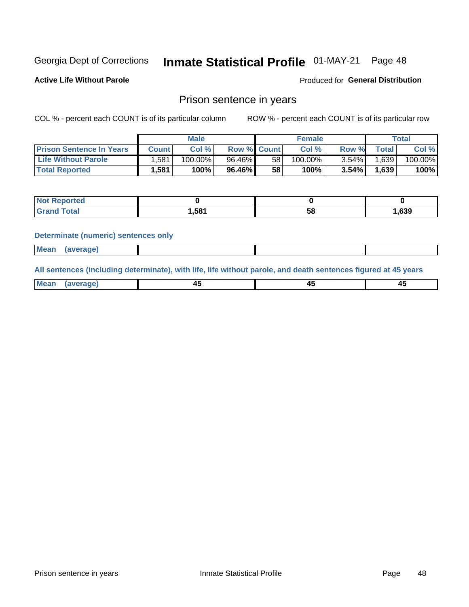#### **Inmate Statistical Profile 01-MAY-21** Page 48

**Active Life Without Parole** 

**Produced for General Distribution** 

### Prison sentence in years

COL % - percent each COUNT is of its particular column

ROW % - percent each COUNT is of its particular row

|                                 | <b>Male</b> |            |                    |                 | <b>Female</b> | Total    |             |         |
|---------------------------------|-------------|------------|--------------------|-----------------|---------------|----------|-------------|---------|
| <b>Prison Sentence In Years</b> | Count l     | Col %      | <b>Row % Count</b> |                 | Col %         | Row %    | $\tau$ otal | Col %   |
| <b>Life Without Parole</b>      | .581        | $100.00\%$ | 96.46%             | 58              | $100.00\%$    | $3.54\%$ | 1,639       | 100.00% |
| <b>Total Reported</b>           | 1,581       | 100%       | 96.46%             | 58 <sub>1</sub> | 100%          | 3.54%    | 1,639       | 100%    |

| Reported |       |    |       |
|----------|-------|----|-------|
| Total    | 581.، | 58 | 1,639 |

#### **Determinate (numeric) sentences only**

|  | <b>Mean</b><br>(average) |  |  |  |
|--|--------------------------|--|--|--|
|--|--------------------------|--|--|--|

All sentences (including determinate), with life, life without parole, and death sentences figured at 45 years

| Me<br>.<br> | -- | -- |  |
|-------------|----|----|--|
|             |    |    |  |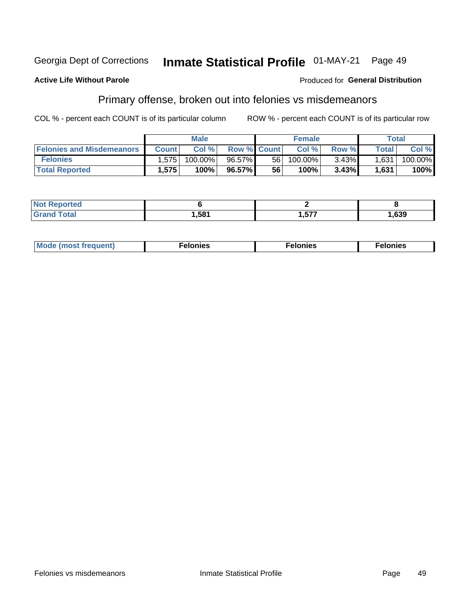#### Georgia Dept of Corrections Inmate Statistical Profile 01-MAY-21 Page 49

#### **Active Life Without Parole**

#### Produced for General Distribution

### Primary offense, broken out into felonies vs misdemeanors

COL % - percent each COUNT is of its particular column

|                                  | <b>Male</b>  |         |                    | <b>Female</b> |            |          | Total              |         |
|----------------------------------|--------------|---------|--------------------|---------------|------------|----------|--------------------|---------|
| <b>Felonies and Misdemeanors</b> | <b>Count</b> | Col%    | <b>Row % Count</b> |               | Col%       | Row %    | Total <sub>1</sub> | Col %   |
| <b>Felonies</b>                  | 1,575        | 100.00% | 96.57%             | 56 I          | $100.00\%$ | $3.43\%$ | 1,631              | 100.00% |
| <b>Total Reported</b>            | .575         | 100%    | 96.57%             | 56            | $100\%$    | 3.43%    | 1,631              | 100%    |

| <b>Not Reported</b>   |      |             |      |
|-----------------------|------|-------------|------|
| Total<br><b>Grand</b> | ,581 | ドップ<br>' יש | ,639 |

| <b>Mode</b><br>frequent)<br>nies<br>≧ (most tr.<br>. | onies<br>. | lonies<br>ею<br>____ |
|------------------------------------------------------|------------|----------------------|
|------------------------------------------------------|------------|----------------------|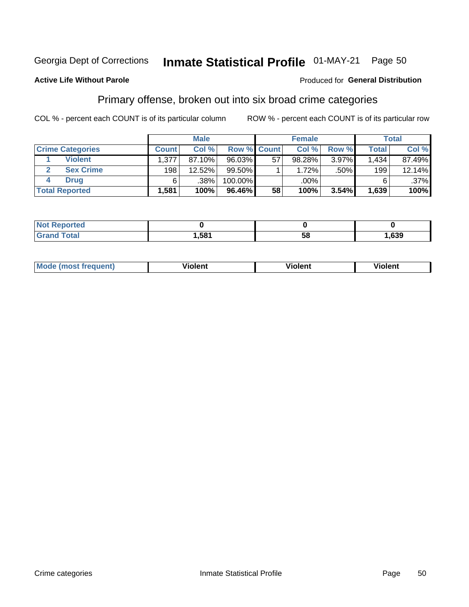#### Inmate Statistical Profile 01-MAY-21 Georgia Dept of Corrections Page 50

#### **Active Life Without Parole**

#### Produced for General Distribution

### Primary offense, broken out into six broad crime categories

COL % - percent each COUNT is of its particular column

|                         | <b>Male</b>  |        |           |                    | <b>Female</b> |       |              | <b>Total</b> |  |
|-------------------------|--------------|--------|-----------|--------------------|---------------|-------|--------------|--------------|--|
| <b>Crime Categories</b> | <b>Count</b> | Col%   |           | <b>Row % Count</b> | Col %         | Row % | <b>Total</b> | Col %        |  |
| <b>Violent</b>          | 1,377        | 87.10% | $96.03\%$ | 57                 | 98.28%        | 3.97% | 1,434        | 87.49%       |  |
| <b>Sex Crime</b>        | 198          | 12.52% | $99.50\%$ |                    | 1.72%         | .50%  | 199          | 12.14%       |  |
| <b>Drug</b>             | 6            | .38%   | 100.00%   |                    | .00%          |       | 6            | $.37\%$      |  |
| <b>Total Reported</b>   | 1,581        | 100%   | 96.46%    | 58                 | 100%          | 3.54% | 1,639        | 100%         |  |

| .      |     |    |      |
|--------|-----|----|------|
| ______ | 581 | 58 | ,639 |

| <b>Mode (most frequent)</b> | .             |         | .     |
|-----------------------------|---------------|---------|-------|
|                             | <b>ïolent</b> | ∕iolent | ∍lent |
|                             |               |         |       |
|                             |               |         |       |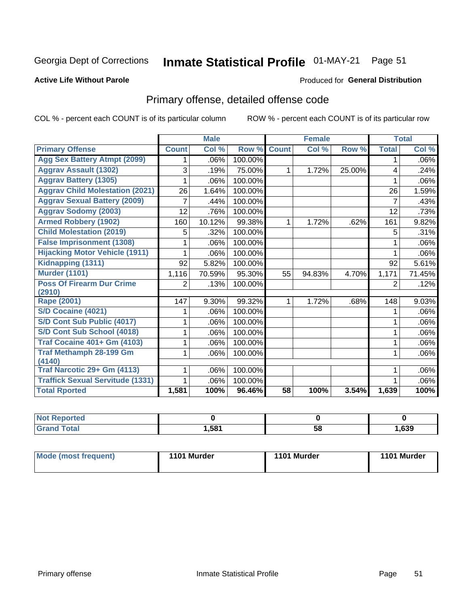# Inmate Statistical Profile 01-MAY-21 Page 51

#### **Active Life Without Parole**

#### Produced for General Distribution

### Primary offense, detailed offense code

COL % - percent each COUNT is of its particular column

|                                         |                | <b>Male</b> |         |              | <b>Female</b> |        |                | <b>Total</b> |
|-----------------------------------------|----------------|-------------|---------|--------------|---------------|--------|----------------|--------------|
| <b>Primary Offense</b>                  | <b>Count</b>   | Col %       | Row %   | <b>Count</b> | Col %         | Row %  | <b>Total</b>   | Col %        |
| <b>Agg Sex Battery Atmpt (2099)</b>     | 1              | .06%        | 100.00% |              |               |        | 1              | $.06\%$      |
| <b>Aggrav Assault (1302)</b>            | 3              | .19%        | 75.00%  | $\mathbf 1$  | 1.72%         | 25.00% | 4              | .24%         |
| <b>Aggrav Battery (1305)</b>            |                | .06%        | 100.00% |              |               |        |                | $.06\%$      |
| <b>Aggrav Child Molestation (2021)</b>  | 26             | 1.64%       | 100.00% |              |               |        | 26             | 1.59%        |
| <b>Aggrav Sexual Battery (2009)</b>     | 7              | .44%        | 100.00% |              |               |        | 7              | .43%         |
| <b>Aggrav Sodomy (2003)</b>             | 12             | .76%        | 100.00% |              |               |        | 12             | .73%         |
| <b>Armed Robbery (1902)</b>             | 160            | 10.12%      | 99.38%  | 1.           | 1.72%         | .62%   | 161            | 9.82%        |
| <b>Child Molestation (2019)</b>         | 5              | .32%        | 100.00% |              |               |        | 5              | .31%         |
| <b>False Imprisonment (1308)</b>        |                | .06%        | 100.00% |              |               |        | 1              | .06%         |
| <b>Hijacking Motor Vehicle (1911)</b>   |                | .06%        | 100.00% |              |               |        |                | .06%         |
| Kidnapping (1311)                       | 92             | 5.82%       | 100.00% |              |               |        | 92             | 5.61%        |
| <b>Murder (1101)</b>                    | 1,116          | 70.59%      | 95.30%  | 55           | 94.83%        | 4.70%  | 1,171          | 71.45%       |
| <b>Poss Of Firearm Dur Crime</b>        | $\overline{2}$ | .13%        | 100.00% |              |               |        | $\overline{2}$ | .12%         |
| (2910)                                  |                |             |         |              |               |        |                |              |
| Rape (2001)                             | 147            | 9.30%       | 99.32%  | 1.           | 1.72%         | .68%   | 148            | 9.03%        |
| S/D Cocaine (4021)                      |                | .06%        | 100.00% |              |               |        | 1              | .06%         |
| S/D Cont Sub Public (4017)              |                | .06%        | 100.00% |              |               |        |                | $.06\%$      |
| S/D Cont Sub School (4018)              | 1              | .06%        | 100.00% |              |               |        | 1              | $.06\%$      |
| <b>Traf Cocaine 401+ Gm (4103)</b>      |                | .06%        | 100.00% |              |               |        | 1              | $.06\%$      |
| <b>Traf Methamph 28-199 Gm</b>          | 1              | .06%        | 100.00% |              |               |        | 1              | $.06\%$      |
| (4140)                                  |                |             |         |              |               |        |                |              |
| Traf Narcotic 29+ Gm (4113)             |                | .06%        | 100.00% |              |               |        |                | .06%         |
| <b>Traffick Sexual Servitude (1331)</b> | 1              | .06%        | 100.00% |              |               |        |                | .06%         |
| <b>Total Rported</b>                    | 1,581          | 100%        | 96.46%  | 58           | 100%          | 3.54%  | 1,639          | 100%         |

| <b>Not</b><br><b>orted</b> |      |    |      |
|----------------------------|------|----|------|
| <b>Total</b>               | ,581 | 58 | ,639 |

| Mode (most frequent) | 1101 Murder | 1101 Murder | 1101 Murder |
|----------------------|-------------|-------------|-------------|
|----------------------|-------------|-------------|-------------|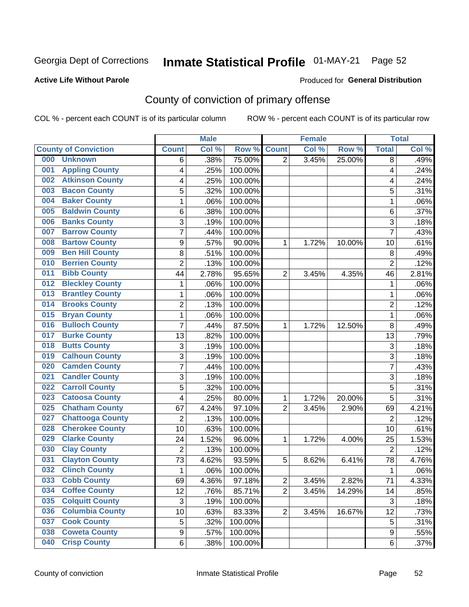# Inmate Statistical Profile 01-MAY-21 Page 52

#### **Active Life Without Parole**

#### Produced for General Distribution

### County of conviction of primary offense

COL % - percent each COUNT is of its particular column

|                                |                  | <b>Male</b> |         |                | <b>Female</b> |        |                | <b>Total</b> |
|--------------------------------|------------------|-------------|---------|----------------|---------------|--------|----------------|--------------|
| <b>County of Conviction</b>    | <b>Count</b>     | Col %       | Row %   | <b>Count</b>   | Col %         | Row %  | <b>Total</b>   | Col %        |
| 000<br><b>Unknown</b>          | 6                | .38%        | 75.00%  | $\overline{2}$ | 3.45%         | 25.00% | 8              | .49%         |
| <b>Appling County</b><br>001   | 4                | .25%        | 100.00% |                |               |        | 4              | .24%         |
| <b>Atkinson County</b><br>002  | 4                | .25%        | 100.00% |                |               |        | 4              | .24%         |
| <b>Bacon County</b><br>003     | 5                | .32%        | 100.00% |                |               |        | 5              | .31%         |
| <b>Baker County</b><br>004     | 1                | .06%        | 100.00% |                |               |        | $\mathbf{1}$   | .06%         |
| <b>Baldwin County</b><br>005   | 6                | .38%        | 100.00% |                |               |        | 6              | .37%         |
| <b>Banks County</b><br>006     | 3                | .19%        | 100.00% |                |               |        | 3              | .18%         |
| <b>Barrow County</b><br>007    | $\overline{7}$   | .44%        | 100.00% |                |               |        | $\overline{7}$ | .43%         |
| <b>Bartow County</b><br>008    | $\boldsymbol{9}$ | .57%        | 90.00%  | 1              | 1.72%         | 10.00% | 10             | .61%         |
| <b>Ben Hill County</b><br>009  | 8                | .51%        | 100.00% |                |               |        | 8              | .49%         |
| <b>Berrien County</b><br>010   | $\overline{2}$   | .13%        | 100.00% |                |               |        | $\overline{2}$ | .12%         |
| <b>Bibb County</b><br>011      | 44               | 2.78%       | 95.65%  | $\overline{2}$ | 3.45%         | 4.35%  | 46             | 2.81%        |
| <b>Bleckley County</b><br>012  | 1                | .06%        | 100.00% |                |               |        | 1              | .06%         |
| <b>Brantley County</b><br>013  | $\mathbf{1}$     | .06%        | 100.00% |                |               |        | $\mathbf{1}$   | .06%         |
| <b>Brooks County</b><br>014    | $\overline{2}$   | .13%        | 100.00% |                |               |        | $\overline{2}$ | .12%         |
| <b>Bryan County</b><br>015     | $\mathbf{1}$     | .06%        | 100.00% |                |               |        | $\mathbf{1}$   | .06%         |
| <b>Bulloch County</b><br>016   | $\overline{7}$   | .44%        | 87.50%  | 1              | 1.72%         | 12.50% | 8              | .49%         |
| <b>Burke County</b><br>017     | 13               | .82%        | 100.00% |                |               |        | 13             | .79%         |
| <b>Butts County</b><br>018     | 3                | .19%        | 100.00% |                |               |        | 3              | .18%         |
| <b>Calhoun County</b><br>019   | $\overline{3}$   | .19%        | 100.00% |                |               |        | $\overline{3}$ | .18%         |
| <b>Camden County</b><br>020    | 7                | .44%        | 100.00% |                |               |        | 7              | .43%         |
| <b>Candler County</b><br>021   | 3                | .19%        | 100.00% |                |               |        | 3              | .18%         |
| <b>Carroll County</b><br>022   | 5                | .32%        | 100.00% |                |               |        | 5              | .31%         |
| <b>Catoosa County</b><br>023   | 4                | .25%        | 80.00%  | 1              | 1.72%         | 20.00% | 5              | .31%         |
| <b>Chatham County</b><br>025   | 67               | 4.24%       | 97.10%  | $\overline{2}$ | 3.45%         | 2.90%  | 69             | 4.21%        |
| <b>Chattooga County</b><br>027 | $\overline{2}$   | .13%        | 100.00% |                |               |        | $\overline{2}$ | .12%         |
| <b>Cherokee County</b><br>028  | 10               | .63%        | 100.00% |                |               |        | 10             | .61%         |
| <b>Clarke County</b><br>029    | 24               | 1.52%       | 96.00%  | 1              | 1.72%         | 4.00%  | 25             | 1.53%        |
| <b>Clay County</b><br>030      | $\overline{2}$   | .13%        | 100.00% |                |               |        | $\overline{2}$ | .12%         |
| <b>Clayton County</b><br>031   | 73               | 4.62%       | 93.59%  | 5              | 8.62%         | 6.41%  | 78             | 4.76%        |
| <b>Clinch County</b><br>032    | 1                | .06%        | 100.00% |                |               |        | 1              | .06%         |
| <b>Cobb County</b><br>033      | 69               | 4.36%       | 97.18%  | 2              | 3.45%         | 2.82%  | 71             | 4.33%        |
| <b>Coffee County</b><br>034    | 12               | .76%        | 85.71%  | $\overline{2}$ | 3.45%         | 14.29% | 14             | .85%         |
| 035<br><b>Colquitt County</b>  | $\sqrt{3}$       | .19%        | 100.00% |                |               |        | $\sqrt{3}$     | .18%         |
| <b>Columbia County</b><br>036  | 10               | .63%        | 83.33%  | $\overline{2}$ | 3.45%         | 16.67% | 12             | .73%         |
| <b>Cook County</b><br>037      | 5                | .32%        | 100.00% |                |               |        | 5              | .31%         |
| <b>Coweta County</b><br>038    | $\boldsymbol{9}$ | .57%        | 100.00% |                |               |        | 9              | .55%         |
| <b>Crisp County</b><br>040     | 6                | .38%        | 100.00% |                |               |        | 6              | .37%         |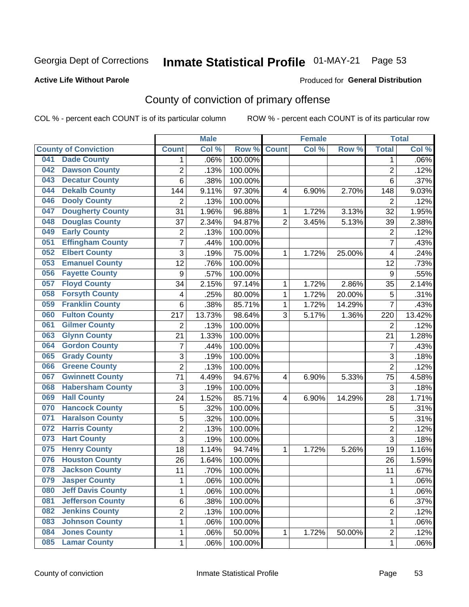# Inmate Statistical Profile 01-MAY-21 Page 53

#### **Active Life Without Parole**

#### Produced for General Distribution

### County of conviction of primary offense

COL % - percent each COUNT is of its particular column

|     |                             |                         | <b>Male</b> |         |                | <b>Female</b> |        |                | <b>Total</b> |
|-----|-----------------------------|-------------------------|-------------|---------|----------------|---------------|--------|----------------|--------------|
|     | <b>County of Conviction</b> | <b>Count</b>            | Col %       | Row %   | <b>Count</b>   | Col %         | Row %  | <b>Total</b>   | Col %        |
| 041 | <b>Dade County</b>          | 1                       | .06%        | 100.00% |                |               |        | 1              | $.06\%$      |
| 042 | <b>Dawson County</b>        | $\overline{2}$          | .13%        | 100.00% |                |               |        | $\overline{2}$ | .12%         |
| 043 | <b>Decatur County</b>       | 6                       | .38%        | 100.00% |                |               |        | 6              | .37%         |
| 044 | <b>Dekalb County</b>        | 144                     | 9.11%       | 97.30%  | 4              | 6.90%         | 2.70%  | 148            | 9.03%        |
| 046 | <b>Dooly County</b>         | $\overline{2}$          | .13%        | 100.00% |                |               |        | $\overline{2}$ | .12%         |
| 047 | <b>Dougherty County</b>     | 31                      | 1.96%       | 96.88%  | 1              | 1.72%         | 3.13%  | 32             | 1.95%        |
| 048 | <b>Douglas County</b>       | 37                      | 2.34%       | 94.87%  | $\overline{2}$ | 3.45%         | 5.13%  | 39             | 2.38%        |
| 049 | <b>Early County</b>         | $\mathbf 2$             | .13%        | 100.00% |                |               |        | $\overline{2}$ | .12%         |
| 051 | <b>Effingham County</b>     | 7                       | .44%        | 100.00% |                |               |        | $\overline{7}$ | .43%         |
| 052 | <b>Elbert County</b>        | 3                       | .19%        | 75.00%  | 1              | 1.72%         | 25.00% | 4              | .24%         |
| 053 | <b>Emanuel County</b>       | $\overline{12}$         | .76%        | 100.00% |                |               |        | 12             | .73%         |
| 056 | <b>Fayette County</b>       | $\boldsymbol{9}$        | .57%        | 100.00% |                |               |        | 9              | .55%         |
| 057 | <b>Floyd County</b>         | 34                      | 2.15%       | 97.14%  | $\mathbf{1}$   | 1.72%         | 2.86%  | 35             | 2.14%        |
| 058 | <b>Forsyth County</b>       | 4                       | .25%        | 80.00%  | 1              | 1.72%         | 20.00% | 5              | .31%         |
| 059 | <b>Franklin County</b>      | 6                       | .38%        | 85.71%  | 1              | 1.72%         | 14.29% | $\overline{7}$ | .43%         |
| 060 | <b>Fulton County</b>        | 217                     | 13.73%      | 98.64%  | 3              | 5.17%         | 1.36%  | 220            | 13.42%       |
| 061 | <b>Gilmer County</b>        | $\overline{2}$          | .13%        | 100.00% |                |               |        | $\overline{2}$ | .12%         |
| 063 | <b>Glynn County</b>         | 21                      | 1.33%       | 100.00% |                |               |        | 21             | 1.28%        |
| 064 | <b>Gordon County</b>        | 7                       | .44%        | 100.00% |                |               |        | 7              | .43%         |
| 065 | <b>Grady County</b>         | 3                       | .19%        | 100.00% |                |               |        | 3              | .18%         |
| 066 | <b>Greene County</b>        | $\overline{2}$          | .13%        | 100.00% |                |               |        | $\overline{2}$ | .12%         |
| 067 | <b>Gwinnett County</b>      | 71                      | 4.49%       | 94.67%  | 4              | 6.90%         | 5.33%  | 75             | 4.58%        |
| 068 | <b>Habersham County</b>     | 3                       | .19%        | 100.00% |                |               |        | 3              | .18%         |
| 069 | <b>Hall County</b>          | 24                      | 1.52%       | 85.71%  | 4              | 6.90%         | 14.29% | 28             | 1.71%        |
| 070 | <b>Hancock County</b>       | 5                       | .32%        | 100.00% |                |               |        | 5              | .31%         |
| 071 | <b>Haralson County</b>      | 5                       | .32%        | 100.00% |                |               |        | 5              | .31%         |
| 072 | <b>Harris County</b>        | $\overline{2}$          | .13%        | 100.00% |                |               |        | $\overline{2}$ | .12%         |
| 073 | <b>Hart County</b>          | 3                       | .19%        | 100.00% |                |               |        | $\overline{3}$ | .18%         |
| 075 | <b>Henry County</b>         | 18                      | 1.14%       | 94.74%  | $\mathbf{1}$   | 1.72%         | 5.26%  | 19             | 1.16%        |
| 076 | <b>Houston County</b>       | 26                      | 1.64%       | 100.00% |                |               |        | 26             | 1.59%        |
| 078 | <b>Jackson County</b>       | 11                      | .70%        | 100.00% |                |               |        | 11             | .67%         |
| 079 | <b>Jasper County</b>        | 1                       | .06%        | 100.00% |                |               |        | 1              | .06%         |
| 080 | <b>Jeff Davis County</b>    | 1                       | .06%        | 100.00% |                |               |        | $\mathbf{1}$   | .06%         |
| 081 | <b>Jefferson County</b>     | 6                       | .38%        | 100.00% |                |               |        | 6              | .37%         |
| 082 | <b>Jenkins County</b>       | $\overline{\mathbf{c}}$ | .13%        | 100.00% |                |               |        | $\overline{2}$ | .12%         |
| 083 | <b>Johnson County</b>       | 1                       | .06%        | 100.00% |                |               |        | $\mathbf{1}$   | .06%         |
| 084 | <b>Jones County</b>         | 1                       | .06%        | 50.00%  | $\mathbf{1}$   | 1.72%         | 50.00% | $\overline{c}$ | .12%         |
| 085 | <b>Lamar County</b>         | $\mathbf 1$             | .06%        | 100.00% |                |               |        | $\mathbf 1$    | .06%         |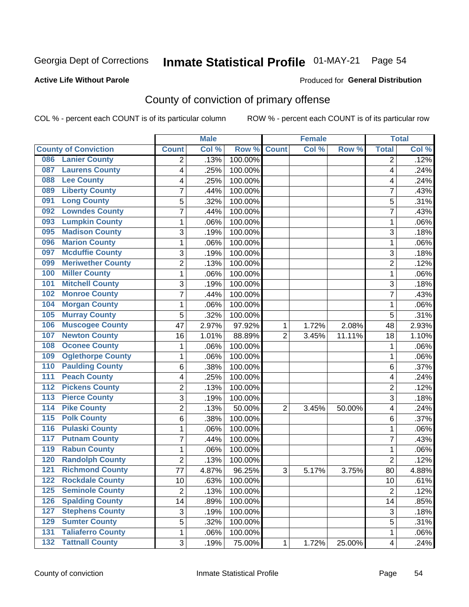# Inmate Statistical Profile 01-MAY-21 Page 54

#### **Active Life Without Parole**

### **Produced for General Distribution**

### County of conviction of primary offense

COL % - percent each COUNT is of its particular column

|                                            |                | <b>Male</b> |         |                | <b>Female</b> |        |                         | <b>Total</b> |
|--------------------------------------------|----------------|-------------|---------|----------------|---------------|--------|-------------------------|--------------|
| <b>County of Conviction</b>                | <b>Count</b>   | Col %       | Row %   | <b>Count</b>   | Col %         | Row %  | <b>Total</b>            | Col %        |
| <b>Lanier County</b><br>086                | 2              | .13%        | 100.00% |                |               |        | 2                       | .12%         |
| <b>Laurens County</b><br>087               | 4              | .25%        | 100.00% |                |               |        | 4                       | .24%         |
| <b>Lee County</b><br>088                   | 4              | .25%        | 100.00% |                |               |        | 4                       | .24%         |
| <b>Liberty County</b><br>089               | 7              | .44%        | 100.00% |                |               |        | 7                       | .43%         |
| <b>Long County</b><br>091                  | 5              | .32%        | 100.00% |                |               |        | 5                       | .31%         |
| <b>Lowndes County</b><br>092               | 7              | .44%        | 100.00% |                |               |        | $\overline{7}$          | .43%         |
| <b>Lumpkin County</b><br>093               | 1              | .06%        | 100.00% |                |               |        | 1                       | .06%         |
| <b>Madison County</b><br>095               | 3              | .19%        | 100.00% |                |               |        | 3                       | .18%         |
| <b>Marion County</b><br>096                | 1              | .06%        | 100.00% |                |               |        | $\mathbf{1}$            | .06%         |
| <b>Mcduffie County</b><br>097              | 3              | .19%        | 100.00% |                |               |        | 3                       | .18%         |
| <b>Meriwether County</b><br>099            | 2              | .13%        | 100.00% |                |               |        | $\overline{c}$          | .12%         |
| <b>Miller County</b><br>100                | 1              | .06%        | 100.00% |                |               |        | $\mathbf{1}$            | .06%         |
| <b>Mitchell County</b><br>101              | 3              | .19%        | 100.00% |                |               |        | 3                       | .18%         |
| <b>Monroe County</b><br>102                | 7              | .44%        | 100.00% |                |               |        | 7                       | .43%         |
| <b>Morgan County</b><br>104                | 1              | .06%        | 100.00% |                |               |        | $\mathbf{1}$            | .06%         |
| <b>Murray County</b><br>105                | 5              | .32%        | 100.00% |                |               |        | 5                       | .31%         |
| <b>Muscogee County</b><br>106              | 47             | 2.97%       | 97.92%  | 1              | 1.72%         | 2.08%  | 48                      | 2.93%        |
| <b>Newton County</b><br>107                | 16             | 1.01%       | 88.89%  | $\overline{2}$ | 3.45%         | 11.11% | 18                      | 1.10%        |
| <b>Oconee County</b><br>108                | 1              | .06%        | 100.00% |                |               |        | 1                       | .06%         |
| <b>Oglethorpe County</b><br>109            | 1              | .06%        | 100.00% |                |               |        | $\mathbf{1}$            | .06%         |
| <b>Paulding County</b><br>110              | 6              | .38%        | 100.00% |                |               |        | 6                       | .37%         |
| <b>Peach County</b><br>$\overline{111}$    | 4              | .25%        | 100.00% |                |               |        | 4                       | .24%         |
| <b>Pickens County</b><br>$\overline{112}$  | $\overline{2}$ | .13%        | 100.00% |                |               |        | $\overline{2}$          | .12%         |
| <b>Pierce County</b><br>113                | $\overline{3}$ | .19%        | 100.00% |                |               |        | $\overline{3}$          | .18%         |
| <b>Pike County</b><br>114                  | 2              | .13%        | 50.00%  | $\overline{2}$ | 3.45%         | 50.00% | 4                       | .24%         |
| 115<br><b>Polk County</b>                  | 6              | .38%        | 100.00% |                |               |        | 6                       | .37%         |
| <b>Pulaski County</b><br>116               | 1              | .06%        | 100.00% |                |               |        | $\mathbf{1}$            | .06%         |
| <b>Putnam County</b><br>117                | 7              | .44%        | 100.00% |                |               |        | $\overline{7}$          | .43%         |
| <b>Rabun County</b><br>119                 | 1              | .06%        | 100.00% |                |               |        | $\mathbf{1}$            | .06%         |
| <b>Randolph County</b><br>120              | $\overline{2}$ | .13%        | 100.00% |                |               |        | $\overline{2}$          | .12%         |
| <b>Richmond County</b><br>121              | 77             | 4.87%       | 96.25%  | 3              | 5.17%         | 3.75%  | 80                      | 4.88%        |
| 122<br><b>Rockdale County</b>              | 10             | .63%        | 100.00% |                |               |        | 10                      | .61%         |
| <b>Seminole County</b><br>125              | $\overline{2}$ | .13%        | 100.00% |                |               |        | $\overline{2}$          | .12%         |
| 126<br><b>Spalding County</b>              | 14             | .89%        | 100.00% |                |               |        | 14                      | .85%         |
| <b>Stephens County</b><br>127              | 3              | .19%        | 100.00% |                |               |        | 3                       | .18%         |
| <b>Sumter County</b><br>129                | 5              | .32%        | 100.00% |                |               |        | 5                       | .31%         |
| <b>Taliaferro County</b><br>131            | 1              | .06%        | 100.00% |                |               |        | $\mathbf 1$             | .06%         |
| <b>Tattnall County</b><br>$\overline{132}$ | 3              | .19%        | 75.00%  | 1              | 1.72%         | 25.00% | $\overline{\mathbf{4}}$ | .24%         |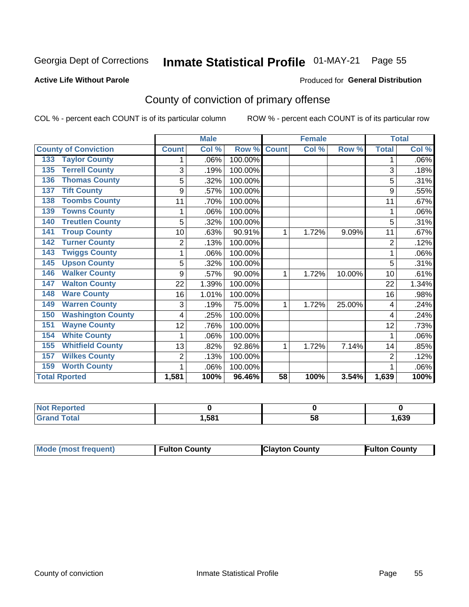# Inmate Statistical Profile 01-MAY-21 Page 55

#### **Active Life Without Parole**

### **Produced for General Distribution**

### County of conviction of primary offense

COL % - percent each COUNT is of its particular column

|                                 |              | <b>Male</b> |         |                 | <b>Female</b> |        |                | <b>Total</b> |
|---------------------------------|--------------|-------------|---------|-----------------|---------------|--------|----------------|--------------|
| <b>County of Conviction</b>     | <b>Count</b> | Col %       | Row %   | <b>Count</b>    | Col %         | Row %  | <b>Total</b>   | Col %        |
| <b>Taylor County</b><br>$133$   |              | .06%        | 100.00% |                 |               |        |                | .06%         |
| <b>Terrell County</b><br>135    | 3            | .19%        | 100.00% |                 |               |        | 3              | .18%         |
| <b>Thomas County</b><br>136     | 5            | .32%        | 100.00% |                 |               |        | 5              | .31%         |
| <b>Tift County</b><br>137       | 9            | .57%        | 100.00% |                 |               |        | 9              | .55%         |
| <b>Toombs County</b><br>138     | 11           | .70%        | 100.00% |                 |               |        | 11             | .67%         |
| <b>Towns County</b><br>139      |              | .06%        | 100.00% |                 |               |        |                | .06%         |
| <b>Treutlen County</b><br>140   | 5            | .32%        | 100.00% |                 |               |        | 5              | .31%         |
| <b>Troup County</b><br>141      | 10           | .63%        | 90.91%  | 1               | 1.72%         | 9.09%  | 11             | .67%         |
| <b>Turner County</b><br>142     | 2            | .13%        | 100.00% |                 |               |        | $\overline{2}$ | .12%         |
| <b>Twiggs County</b><br>143     | 1            | .06%        | 100.00% |                 |               |        | 1              | .06%         |
| <b>Upson County</b><br>145      | 5            | .32%        | 100.00% |                 |               |        | 5              | .31%         |
| <b>Walker County</b><br>146     | 9            | .57%        | 90.00%  | 1               | 1.72%         | 10.00% | 10             | .61%         |
| <b>Walton County</b><br>147     | 22           | 1.39%       | 100.00% |                 |               |        | 22             | 1.34%        |
| <b>Ware County</b><br>148       | 16           | 1.01%       | 100.00% |                 |               |        | 16             | .98%         |
| <b>Warren County</b><br>149     | 3            | .19%        | 75.00%  | 1               | 1.72%         | 25.00% | 4              | .24%         |
| <b>Washington County</b><br>150 | 4            | .25%        | 100.00% |                 |               |        | 4              | .24%         |
| <b>Wayne County</b><br>151      | 12           | .76%        | 100.00% |                 |               |        | 12             | .73%         |
| <b>White County</b><br>154      | 1            | .06%        | 100.00% |                 |               |        | 1              | .06%         |
| <b>Whitfield County</b><br>155  | 13           | .82%        | 92.86%  | 1               | 1.72%         | 7.14%  | 14             | .85%         |
| <b>Wilkes County</b><br>157     | 2            | .13%        | 100.00% |                 |               |        | $\overline{2}$ | .12%         |
| <b>Worth County</b><br>159      | 1            | .06%        | 100.00% |                 |               |        |                | .06%         |
| <b>Total Rported</b>            | 1,581        | 100%        | 96.46%  | $\overline{58}$ | 100%          | 3.54%  | 1,639          | 100%         |

| <b>eported</b><br><b>NOT</b> |      |    |      |
|------------------------------|------|----|------|
| <b>Total</b>                 | .581 | ၁၀ | .639 |

| Mode (most frequent) | <b>Fulton County</b> | <b>IClayton County</b> | <b>Fulton County</b> |
|----------------------|----------------------|------------------------|----------------------|
|----------------------|----------------------|------------------------|----------------------|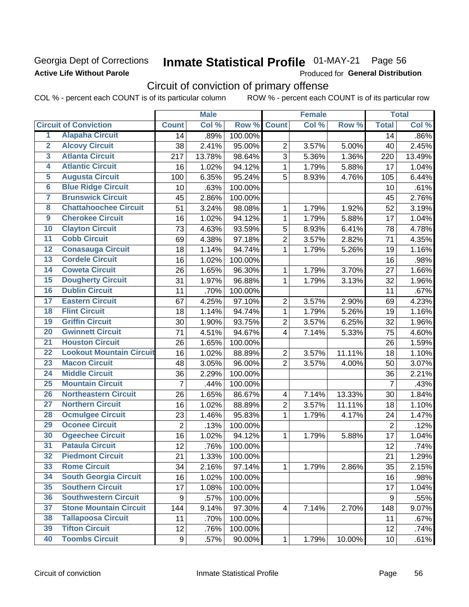### Georgia Dept of Corrections **Active Life Without Parole**

# Inmate Statistical Profile 01-MAY-21 Page 56

Produced for General Distribution

## Circuit of conviction of primary offense

COL % - percent each COUNT is of its particular column ROW % - percent each COUNT is of its particular row

|                         |                                 |                | <b>Male</b> |         |                         | <b>Female</b> |        |                 | <b>Total</b> |
|-------------------------|---------------------------------|----------------|-------------|---------|-------------------------|---------------|--------|-----------------|--------------|
|                         | <b>Circuit of Conviction</b>    | <b>Count</b>   | Col %       | Row %   | <b>Count</b>            | Col %         | Row %  | <b>Total</b>    | Col %        |
| 1                       | <b>Alapaha Circuit</b>          | 14             | .89%        | 100.00% |                         |               |        | 14              | .86%         |
| $\overline{2}$          | <b>Alcovy Circuit</b>           | 38             | 2.41%       | 95.00%  | $\overline{2}$          | 3.57%         | 5.00%  | 40              | 2.45%        |
| $\overline{3}$          | <b>Atlanta Circuit</b>          | 217            | 13.78%      | 98.64%  | 3                       | 5.36%         | 1.36%  | 220             | 13.49%       |
| 4                       | <b>Atlantic Circuit</b>         | 16             | 1.02%       | 94.12%  | 1                       | 1.79%         | 5.88%  | 17              | 1.04%        |
| 5                       | <b>Augusta Circuit</b>          | 100            | 6.35%       | 95.24%  | 5                       | 8.93%         | 4.76%  | 105             | 6.44%        |
| $\overline{\bf{6}}$     | <b>Blue Ridge Circuit</b>       | 10             | .63%        | 100.00% |                         |               |        | 10              | .61%         |
| 7                       | <b>Brunswick Circuit</b>        | 45             | 2.86%       | 100.00% |                         |               |        | 45              | 2.76%        |
| $\overline{\mathbf{8}}$ | <b>Chattahoochee Circuit</b>    | 51             | 3.24%       | 98.08%  | 1                       | 1.79%         | 1.92%  | 52              | 3.19%        |
| $\overline{9}$          | <b>Cherokee Circuit</b>         | 16             | 1.02%       | 94.12%  | $\mathbf{1}$            | 1.79%         | 5.88%  | 17              | 1.04%        |
| 10                      | <b>Clayton Circuit</b>          | 73             | 4.63%       | 93.59%  | 5                       | 8.93%         | 6.41%  | 78              | 4.78%        |
| $\overline{11}$         | <b>Cobb Circuit</b>             | 69             | 4.38%       | 97.18%  | $\overline{2}$          | 3.57%         | 2.82%  | 71              | 4.35%        |
| $\overline{12}$         | <b>Conasauga Circuit</b>        | 18             | 1.14%       | 94.74%  | 1                       | 1.79%         | 5.26%  | 19              | 1.16%        |
| 13                      | <b>Cordele Circuit</b>          | 16             | 1.02%       | 100.00% |                         |               |        | 16              | .98%         |
| $\overline{14}$         | <b>Coweta Circuit</b>           | 26             | 1.65%       | 96.30%  | 1                       | 1.79%         | 3.70%  | 27              | 1.66%        |
| 15                      | <b>Dougherty Circuit</b>        | 31             | 1.97%       | 96.88%  | $\mathbf{1}$            | 1.79%         | 3.13%  | 32              | 1.96%        |
| 16                      | <b>Dublin Circuit</b>           | 11             | .70%        | 100.00% |                         |               |        | 11              | .67%         |
| 17                      | <b>Eastern Circuit</b>          | 67             | 4.25%       | 97.10%  | $\overline{2}$          | 3.57%         | 2.90%  | 69              | 4.23%        |
| $\overline{18}$         | <b>Flint Circuit</b>            | 18             | 1.14%       | 94.74%  | 1                       | 1.79%         | 5.26%  | 19              | 1.16%        |
| 19                      | <b>Griffin Circuit</b>          | 30             | 1.90%       | 93.75%  | $\mathbf 2$             | 3.57%         | 6.25%  | 32              | 1.96%        |
| $\overline{20}$         | <b>Gwinnett Circuit</b>         | 71             | 4.51%       | 94.67%  | 4                       | 7.14%         | 5.33%  | 75              | 4.60%        |
| $\overline{21}$         | <b>Houston Circuit</b>          | 26             | 1.65%       | 100.00% |                         |               |        | 26              | 1.59%        |
| $\overline{22}$         | <b>Lookout Mountain Circuit</b> | 16             | 1.02%       | 88.89%  | $\overline{2}$          | 3.57%         | 11.11% | 18              | 1.10%        |
| 23                      | <b>Macon Circuit</b>            | 48             | 3.05%       | 96.00%  | $\overline{2}$          | 3.57%         | 4.00%  | 50              | 3.07%        |
| $\overline{24}$         | <b>Middle Circuit</b>           | 36             | 2.29%       | 100.00% |                         |               |        | 36              | 2.21%        |
| $\overline{25}$         | <b>Mountain Circuit</b>         | $\overline{7}$ | .44%        | 100.00% |                         |               |        | $\overline{7}$  | .43%         |
| 26                      | <b>Northeastern Circuit</b>     | 26             | 1.65%       | 86.67%  | $\overline{\mathbf{4}}$ | 7.14%         | 13.33% | 30              | 1.84%        |
| $\overline{27}$         | <b>Northern Circuit</b>         | 16             | 1.02%       | 88.89%  | $\overline{2}$          | 3.57%         | 11.11% | 18              | 1.10%        |
| 28                      | <b>Ocmulgee Circuit</b>         | 23             | 1.46%       | 95.83%  | 1                       | 1.79%         | 4.17%  | 24              | 1.47%        |
| 29                      | <b>Oconee Circuit</b>           | $\overline{2}$ | .13%        | 100.00% |                         |               |        | $\overline{2}$  | .12%         |
| 30                      | <b>Ogeechee Circuit</b>         | 16             | 1.02%       | 94.12%  | 1                       | 1.79%         | 5.88%  | 17              | 1.04%        |
| $\overline{31}$         | <b>Pataula Circuit</b>          | 12             | .76%        | 100.00% |                         |               |        | 12              | .74%         |
| 32                      | <b>Piedmont Circuit</b>         | 21             | 1.33%       | 100.00% |                         |               |        | 21              | 1.29%        |
| 33                      | <b>Rome Circuit</b>             | 34             | 2.16%       | 97.14%  | $\mathbf{1}$            | 1.79%         | 2.86%  | 35              | 2.15%        |
| 34                      | <b>South Georgia Circuit</b>    | 16             | 1.02%       | 100.00% |                         |               |        | 16              | .98%         |
| 35                      | <b>Southern Circuit</b>         | 17             | 1.08%       | 100.00% |                         |               |        | 17              | 1.04%        |
| 36                      | <b>Southwestern Circuit</b>     | 9              | .57%        | 100.00% |                         |               |        | 9               | .55%         |
| 37                      | <b>Stone Mountain Circuit</b>   | 144            | 9.14%       | 97.30%  | $\overline{\mathbf{4}}$ | 7.14%         | 2.70%  | 148             | 9.07%        |
| 38                      | <b>Tallapoosa Circuit</b>       | 11             | .70%        | 100.00% |                         |               |        | 11              | .67%         |
| 39                      | <b>Tifton Circuit</b>           | 12             | .76%        | 100.00% |                         |               |        | 12              | .74%         |
| 40                      | <b>Toombs Circuit</b>           | 9              | .57%        | 90.00%  | $\mathbf{1}$            | 1.79%         | 10.00% | 10 <sup>1</sup> | .61%         |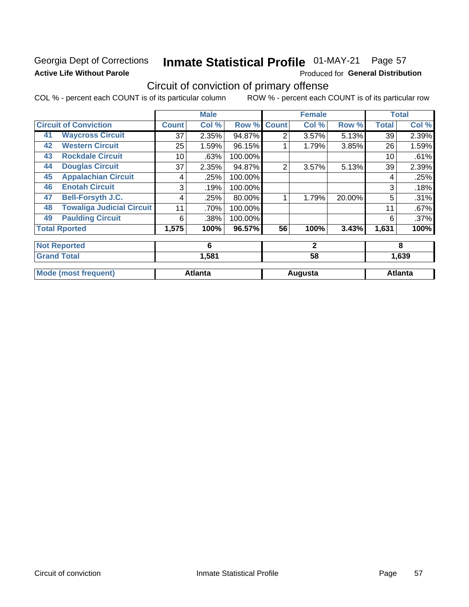### Georgia Dept of Corrections **Active Life Without Parole**

#### Inmate Statistical Profile 01-MAY-21 Page 57

Produced for General Distribution

### Circuit of conviction of primary offense

COL % - percent each COUNT is of its particular column ROW % - percent each COUNT is of its particular row

|    |                                  |              | <b>Male</b>    |         |              | <b>Female</b> |        |              | <b>Total</b>   |
|----|----------------------------------|--------------|----------------|---------|--------------|---------------|--------|--------------|----------------|
|    | <b>Circuit of Conviction</b>     | <b>Count</b> | Col %          | Row %   | <b>Count</b> | Col %         | Row %  | <b>Total</b> | Col %          |
| 41 | <b>Waycross Circuit</b>          | 37           | 2.35%          | 94.87%  | 2            | 3.57%         | 5.13%  | 39           | 2.39%          |
| 42 | <b>Western Circuit</b>           | 25           | 1.59%          | 96.15%  |              | 1.79%         | 3.85%  | 26           | 1.59%          |
| 43 | <b>Rockdale Circuit</b>          | 10           | .63%           | 100.00% |              |               |        | 10           | .61%           |
| 44 | <b>Douglas Circuit</b>           | 37           | 2.35%          | 94.87%  | 2            | 3.57%         | 5.13%  | 39           | 2.39%          |
| 45 | <b>Appalachian Circuit</b>       | 4            | .25%           | 100.00% |              |               |        | 4            | .25%           |
| 46 | <b>Enotah Circuit</b>            | 3            | .19%           | 100.00% |              |               |        | 3            | .18%           |
| 47 | <b>Bell-Forsyth J.C.</b>         | 4            | .25%           | 80.00%  |              | 1.79%         | 20.00% | 5            | .31%           |
| 48 | <b>Towaliga Judicial Circuit</b> | 11           | .70%           | 100.00% |              |               |        | 11           | .67%           |
| 49 | <b>Paulding Circuit</b>          | 6            | .38%           | 100.00% |              |               |        | 6            | .37%           |
|    | <b>Total Rported</b>             | 1,575        | 100%           | 96.57%  | 56           | 100%          | 3.43%  | 1,631        | 100%           |
|    | <b>Not Reported</b>              |              | 6              |         |              | $\mathbf{2}$  |        |              | 8              |
|    | <b>Grand Total</b>               |              | 1,581          |         |              | 58            |        |              | 1,639          |
|    | <b>Mode (most frequent)</b>      |              | <b>Atlanta</b> |         |              | Augusta       |        |              | <b>Atlanta</b> |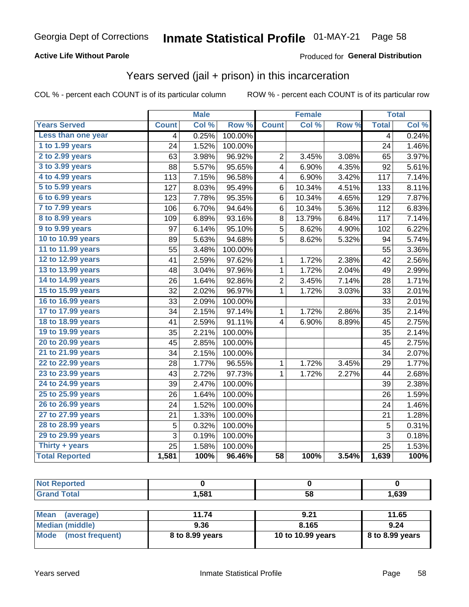### **Active Life Without Parole**

### Produced for General Distribution

### Years served (jail + prison) in this incarceration

COL % - percent each COUNT is of its particular column

|                        | <b>Male</b>     |       | <b>Female</b>    |                 |        | <b>Total</b> |                |       |
|------------------------|-----------------|-------|------------------|-----------------|--------|--------------|----------------|-------|
| <b>Years Served</b>    | <b>Count</b>    | Col % | Row <sup>%</sup> | <b>Count</b>    | Col %  | Row %        | <b>Total</b>   | Col % |
| Less than one year     | 4               | 0.25% | 100.00%          |                 |        |              | $\overline{4}$ | 0.24% |
| 1 to 1.99 years        | 24              | 1.52% | 100.00%          |                 |        |              | 24             | 1.46% |
| 2 to 2.99 years        | 63              | 3.98% | 96.92%           | $\overline{2}$  | 3.45%  | 3.08%        | 65             | 3.97% |
| 3 to 3.99 years        | 88              | 5.57% | 95.65%           | 4               | 6.90%  | 4.35%        | 92             | 5.61% |
| 4 to 4.99 years        | 113             | 7.15% | 96.58%           | 4               | 6.90%  | 3.42%        | 117            | 7.14% |
| 5 to 5.99 years        | 127             | 8.03% | 95.49%           | 6               | 10.34% | 4.51%        | 133            | 8.11% |
| 6 to 6.99 years        | 123             | 7.78% | 95.35%           | 6               | 10.34% | 4.65%        | 129            | 7.87% |
| 7 to 7.99 years        | 106             | 6.70% | 94.64%           | 6               | 10.34% | 5.36%        | 112            | 6.83% |
| <b>8 to 8.99 years</b> | 109             | 6.89% | 93.16%           | 8               | 13.79% | 6.84%        | 117            | 7.14% |
| 9 to 9.99 years        | 97              | 6.14% | 95.10%           | $\overline{5}$  | 8.62%  | 4.90%        | 102            | 6.22% |
| 10 to 10.99 years      | 89              | 5.63% | 94.68%           | 5               | 8.62%  | 5.32%        | 94             | 5.74% |
| 11 to 11.99 years      | 55              | 3.48% | 100.00%          |                 |        |              | 55             | 3.36% |
| 12 to 12.99 years      | 41              | 2.59% | 97.62%           | 1               | 1.72%  | 2.38%        | 42             | 2.56% |
| 13 to 13.99 years      | 48              | 3.04% | 97.96%           | 1               | 1.72%  | 2.04%        | 49             | 2.99% |
| 14 to 14.99 years      | 26              | 1.64% | 92.86%           | 2               | 3.45%  | 7.14%        | 28             | 1.71% |
| 15 to 15.99 years      | 32              | 2.02% | 96.97%           | $\mathbf 1$     | 1.72%  | 3.03%        | 33             | 2.01% |
| 16 to 16.99 years      | 33              | 2.09% | 100.00%          |                 |        |              | 33             | 2.01% |
| 17 to 17.99 years      | 34              | 2.15% | 97.14%           | 1               | 1.72%  | 2.86%        | 35             | 2.14% |
| 18 to 18.99 years      | 41              | 2.59% | 91.11%           | 4               | 6.90%  | 8.89%        | 45             | 2.75% |
| 19 to 19.99 years      | 35              | 2.21% | 100.00%          |                 |        |              | 35             | 2.14% |
| 20 to 20.99 years      | 45              | 2.85% | 100.00%          |                 |        |              | 45             | 2.75% |
| 21 to 21.99 years      | 34              | 2.15% | 100.00%          |                 |        |              | 34             | 2.07% |
| 22 to 22.99 years      | 28              | 1.77% | 96.55%           | 1               | 1.72%  | 3.45%        | 29             | 1.77% |
| 23 to 23.99 years      | 43              | 2.72% | 97.73%           | 1               | 1.72%  | 2.27%        | 44             | 2.68% |
| 24 to 24.99 years      | 39              | 2.47% | 100.00%          |                 |        |              | 39             | 2.38% |
| 25 to 25.99 years      | 26              | 1.64% | 100.00%          |                 |        |              | 26             | 1.59% |
| 26 to 26.99 years      | $\overline{24}$ | 1.52% | 100.00%          |                 |        |              | 24             | 1.46% |
| 27 to 27.99 years      | 21              | 1.33% | 100.00%          |                 |        |              | 21             | 1.28% |
| 28 to 28.99 years      | 5               | 0.32% | 100.00%          |                 |        |              | 5              | 0.31% |
| 29 to 29.99 years      | 3               | 0.19% | 100.00%          |                 |        |              | 3              | 0.18% |
| Thirty + years         | $\overline{25}$ | 1.58% | 100.00%          |                 |        |              | 25             | 1.53% |
| <b>Total Reported</b>  | 1,581           | 100%  | 96.46%           | $\overline{58}$ | 100%   | 3.54%        | 1,639          | 100%  |

| <b>Not Reported</b>             |       |      |                   |
|---------------------------------|-------|------|-------------------|
| <b>Grand Total</b>              | 1,581 | 58   | 1,639             |
|                                 |       |      |                   |
| <b>Moon</b><br>$l$ <sup>2</sup> | 44.74 | ດ າ4 | 44 C <sub>E</sub> |

| ⊺Mean<br>(average)   | 11.74           | 9.21              | 11.65             |
|----------------------|-----------------|-------------------|-------------------|
| Median (middle)      | 9.36            | 8.165             | 9.24              |
| Mode (most frequent) | 8 to 8.99 years | 10 to 10.99 years | $8$ to 8.99 years |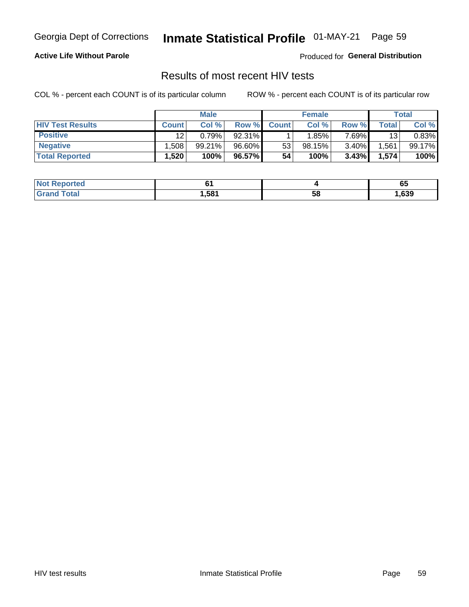#### Inmate Statistical Profile 01-MAY-21 Page 59

### **Active Life Without Parole**

Produced for General Distribution

### Results of most recent HIV tests

COL % - percent each COUNT is of its particular column

|                         | <b>Male</b>  |        |        | <b>Female</b> |          |        | Total |        |
|-------------------------|--------------|--------|--------|---------------|----------|--------|-------|--------|
| <b>HIV Test Results</b> | <b>Count</b> | Col %  | Row %I | <b>Count</b>  | Col %    | Row %  | Total | Col %  |
| <b>Positive</b>         | 12           | 0.79%  | 92.31% |               | $1.85\%$ | 7.69%∎ | 13    | 0.83%  |
| <b>Negative</b>         | .508         | 99.21% | 96.60% | 53            | 98.15%   | 3.40%  | .561  | 99.17% |
| <b>Total Reported</b>   | .520         | 100%   | 96.57% | 54            | 100%     | 3.43%  | 1,574 | 100%   |

| <b>Not Reported</b>  |      |    | v    |
|----------------------|------|----|------|
| <b>Fotal</b><br>Gr2r | .581 | 58 | ,639 |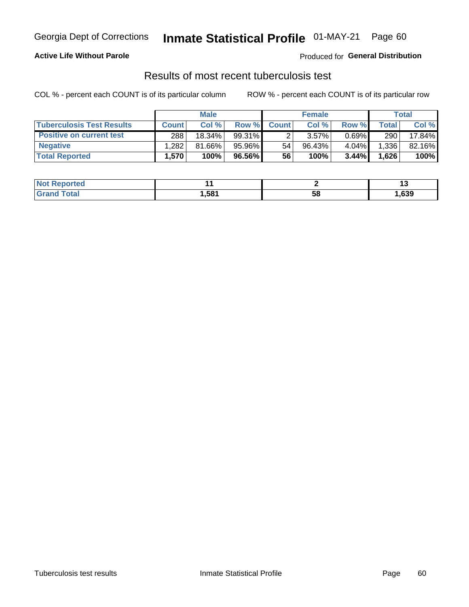## Georgia Dept of Corrections **Inmate Statistical Profile** 01-MAY-21 Page 60

### **Active Life Without Parole**

Produced for **General Distribution**

### Results of most recent tuberculosis test

COL % - percent each COUNT is of its particular column ROW % - percent each COUNT is of its particular row

|                                  |              | <b>Male</b> |           |              | <b>Female</b> |          |       | Total  |
|----------------------------------|--------------|-------------|-----------|--------------|---------------|----------|-------|--------|
| <b>Tuberculosis Test Results</b> | <b>Count</b> | Col%        | Row %     | <b>Count</b> | Col%          | Row %    | Total | Col %  |
| <b>Positive on current test</b>  | 288          | $18.34\%$   | $99.31\%$ |              | $3.57\%$      | $0.69\%$ | 290   | 17.84% |
| <b>Negative</b>                  | .282         | 81.66%      | 95.96%    | 54           | 96.43%        | 4.04%    | 1,336 | 82.16% |
| <b>Total Reported</b>            | 1,570'       | 100%        | 96.56%    | 56           | 100%          | 3.44%    | 1,626 | 100%   |

| <b>Not Reported</b> |      |    | $\cdot$ |
|---------------------|------|----|---------|
| <b>Total</b>        | .581 | 58 | ,639    |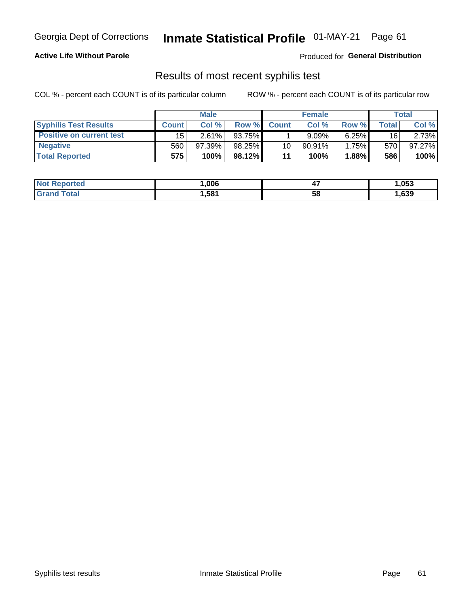## Georgia Dept of Corrections **Inmate Statistical Profile** 01-MAY-21 Page 61

### **Active Life Without Parole**

Produced for **General Distribution**

### Results of most recent syphilis test

COL % - percent each COUNT is of its particular column ROW % - percent each COUNT is of its particular row

|                                 | <b>Male</b>  |        |           | <b>Female</b> |           |        | Total |        |
|---------------------------------|--------------|--------|-----------|---------------|-----------|--------|-------|--------|
| <b>Syphilis Test Results</b>    | <b>Count</b> | Col%   | Row %     | <b>Count</b>  | Col %     | Row %I | Total | Col %  |
| <b>Positive on current test</b> | 15           | 2.61%  | 93.75%    |               | 9.09%     | 6.25%  | 16    | 2.73%  |
| <b>Negative</b>                 | 560          | 97.39% | $98.25\%$ | 10            | $90.91\%$ | 1.75%  | 570   | 97.27% |
| <b>Total Reported</b>           | 575          | 100%   | 98.12%    | 11            | 100%      | 1.88%  | 586   | 100%   |

| <b>Not Reported</b> | .006 | . .<br>−. | ,053 |
|---------------------|------|-----------|------|
| <b>Grand Total</b>  | 581, | 58        | ,639 |